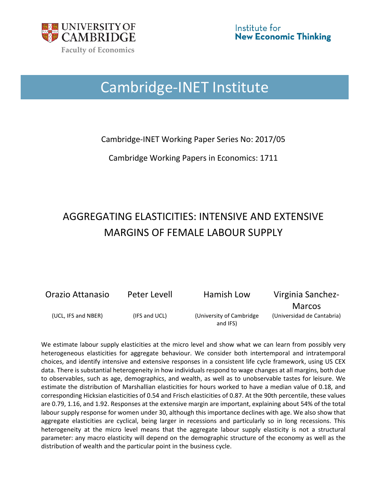

# Cambridge-INET Institute

Cambridge-INET Working Paper Series No: 2017/05

Cambridge Working Papers in Economics: 1711

# AGGREGATING ELASTICITIES: INTENSIVE AND EXTENSIVE MARGINS OF FEMALE LABOUR SUPPLY

Orazio Attanasio Peter Levell Hamish Low Virginia Sanchez-

(UCL, IFS and NBER) (IFS and UCL) (University of Cambridge and IFS)

Marcos (Universidad de Cantabria)

We estimate labour supply elasticities at the micro level and show what we can learn from possibly very heterogeneous elasticities for aggregate behaviour. We consider both intertemporal and intratemporal choices, and identify intensive and extensive responses in a consistent life cycle framework, using US CEX data. There is substantial heterogeneity in how individuals respond to wage changes at all margins, both due to observables, such as age, demographics, and wealth, as well as to unobservable tastes for leisure. We estimate the distribution of Marshallian elasticities for hours worked to have a median value of 0.18, and corresponding Hicksian elasticities of 0.54 and Frisch elasticities of 0.87. At the 90th percentile, these values are 0.79, 1.16, and 1.92. Responses at the extensive margin are important, explaining about 54% of the total labour supply response for women under 30, although this importance declines with age. We also show that aggregate elasticities are cyclical, being larger in recessions and particularly so in long recessions. This heterogeneity at the micro level means that the aggregate labour supply elasticity is not a structural parameter: any macro elasticity will depend on the demographic structure of the economy as well as the distribution of wealth and the particular point in the business cycle.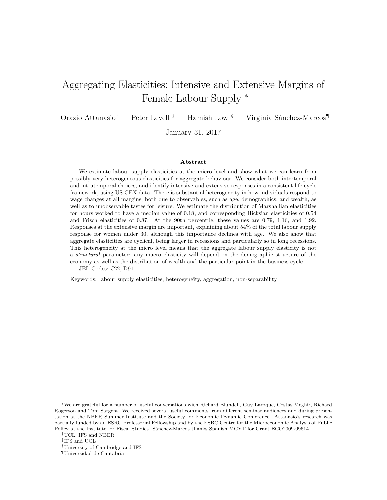# Aggregating Elasticities: Intensive and Extensive Margins of Female Labour Supply <sup>∗</sup>

Orazio Attanasio<sup>†</sup> Peter Levell<sup>‡</sup> Hamish Low <sup>§</sup> Virginia Sánchez-Marcos

January 31, 2017

#### Abstract

We estimate labour supply elasticities at the micro level and show what we can learn from possibly very heterogeneous elasticities for aggregate behaviour. We consider both intertemporal and intratemporal choices, and identify intensive and extensive responses in a consistent life cycle framework, using US CEX data. There is substantial heterogeneity in how individuals respond to wage changes at all margins, both due to observables, such as age, demographics, and wealth, as well as to unobservable tastes for leisure. We estimate the distribution of Marshallian elasticities for hours worked to have a median value of 0.18, and corresponding Hicksian elasticities of 0.54 and Frisch elasticities of 0.87. At the 90th percentile, these values are 0.79, 1.16, and 1.92. Responses at the extensive margin are important, explaining about 54% of the total labour supply response for women under 30, although this importance declines with age. We also show that aggregate elasticities are cyclical, being larger in recessions and particularly so in long recessions. This heterogeneity at the micro level means that the aggregate labour supply elasticity is not a structural parameter: any macro elasticity will depend on the demographic structure of the economy as well as the distribution of wealth and the particular point in the business cycle.

JEL Codes: J22, D91

Keywords: labour supply elasticities, heterogeneity, aggregation, non-separability

<sup>∗</sup>We are grateful for a number of useful conversations with Richard Blundell, Guy Laroque, Costas Meghir, Richard Rogerson and Tom Sargent. We received several useful comments from different seminar audiences and during presentation at the NBER Summer Institute and the Society for Economic Dynamic Conference. Attanasio's research was partially funded by an ESRC Professorial Fellowship and by the ESRC Centre for the Microeconomic Analysis of Public Policy at the Institute for Fiscal Studies. Sánchez-Marcos thanks Spanish MCYT for Grant ECO2009-09614.

<sup>†</sup>UCL, IFS and NBER

<sup>‡</sup> IFS and UCL

<sup>§</sup>University of Cambridge and IFS

<sup>¶</sup>Universidad de Cantabria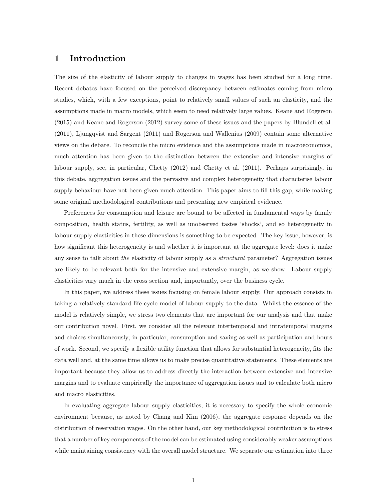## 1 Introduction

The size of the elasticity of labour supply to changes in wages has been studied for a long time. Recent debates have focused on the perceived discrepancy between estimates coming from micro studies, which, with a few exceptions, point to relatively small values of such an elasticity, and the assumptions made in macro models, which seem to need relatively large values. Keane and Rogerson (2015) and Keane and Rogerson (2012) survey some of these issues and the papers by Blundell et al. (2011), Ljungqvist and Sargent (2011) and Rogerson and Wallenius (2009) contain some alternative views on the debate. To reconcile the micro evidence and the assumptions made in macroeconomics, much attention has been given to the distinction between the extensive and intensive margins of labour supply, see, in particular, Chetty (2012) and Chetty et al. (2011). Perhaps surprisingly, in this debate, aggregation issues and the pervasive and complex heterogeneity that characterise labour supply behaviour have not been given much attention. This paper aims to fill this gap, while making some original methodological contributions and presenting new empirical evidence.

Preferences for consumption and leisure are bound to be affected in fundamental ways by family composition, health status, fertility, as well as unobserved tastes 'shocks', and so heterogeneity in labour supply elasticities in these dimensions is something to be expected. The key issue, however, is how significant this heterogeneity is and whether it is important at the aggregate level: does it make any sense to talk about the elasticity of labour supply as a structural parameter? Aggregation issues are likely to be relevant both for the intensive and extensive margin, as we show. Labour supply elasticities vary much in the cross section and, importantly, over the business cycle.

In this paper, we address these issues focusing on female labour supply. Our approach consists in taking a relatively standard life cycle model of labour supply to the data. Whilst the essence of the model is relatively simple, we stress two elements that are important for our analysis and that make our contribution novel. First, we consider all the relevant intertemporal and intratemporal margins and choices simultaneously; in particular, consumption and saving as well as participation and hours of work. Second, we specify a flexible utility function that allows for substantial heterogeneity, fits the data well and, at the same time allows us to make precise quantitative statements. These elements are important because they allow us to address directly the interaction between extensive and intensive margins and to evaluate empirically the importance of aggregation issues and to calculate both micro and macro elasticities.

In evaluating aggregate labour supply elasticities, it is necessary to specify the whole economic environment because, as noted by Chang and Kim (2006), the aggregate response depends on the distribution of reservation wages. On the other hand, our key methodological contribution is to stress that a number of key components of the model can be estimated using considerably weaker assumptions while maintaining consistency with the overall model structure. We separate our estimation into three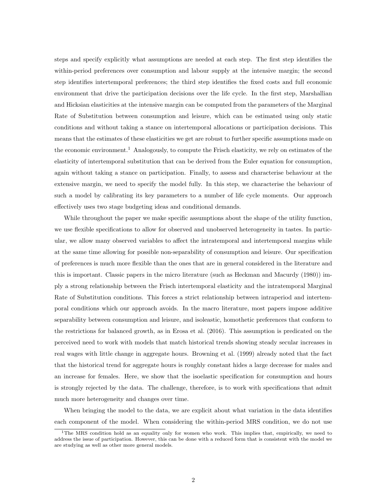steps and specify explicitly what assumptions are needed at each step. The first step identifies the within-period preferences over consumption and labour supply at the intensive margin; the second step identifies intertemporal preferences; the third step identifies the fixed costs and full economic environment that drive the participation decisions over the life cycle. In the first step, Marshallian and Hicksian elasticities at the intensive margin can be computed from the parameters of the Marginal Rate of Substitution between consumption and leisure, which can be estimated using only static conditions and without taking a stance on intertemporal allocations or participation decisions. This means that the estimates of these elasticities we get are robust to further specific assumptions made on the economic environment.<sup>1</sup> Analogously, to compute the Frisch elasticity, we rely on estimates of the elasticity of intertemporal substitution that can be derived from the Euler equation for consumption, again without taking a stance on participation. Finally, to assess and characterise behaviour at the extensive margin, we need to specify the model fully. In this step, we characterise the behaviour of such a model by calibrating its key parameters to a number of life cycle moments. Our approach effectively uses two stage budgeting ideas and conditional demands.

While throughout the paper we make specific assumptions about the shape of the utility function, we use flexible specifications to allow for observed and unobserved heterogeneity in tastes. In particular, we allow many observed variables to affect the intratemporal and intertemporal margins while at the same time allowing for possible non-separability of consumption and leisure. Our specification of preferences is much more flexible than the ones that are in general considered in the literature and this is important. Classic papers in the micro literature (such as Heckman and Macurdy (1980)) imply a strong relationship between the Frisch intertemporal elasticity and the intratemporal Marginal Rate of Substitution conditions. This forces a strict relationship between intraperiod and intertemporal conditions which our approach avoids. In the macro literature, most papers impose additive separability between consumption and leisure, and isoleastic, homothetic preferences that conform to the restrictions for balanced growth, as in Erosa et al. (2016). This assumption is predicated on the perceived need to work with models that match historical trends showing steady secular increases in real wages with little change in aggregate hours. Browning et al. (1999) already noted that the fact that the historical trend for aggregate hours is roughly constant hides a large decrease for males and an increase for females. Here, we show that the isoelastic specification for consumption and hours is strongly rejected by the data. The challenge, therefore, is to work with specifications that admit much more heterogeneity and changes over time.

When bringing the model to the data, we are explicit about what variation in the data identifies each component of the model. When considering the within-period MRS condition, we do not use

<sup>&</sup>lt;sup>1</sup>The MRS condition hold as an equality only for women who work. This implies that, empirically, we need to address the issue of participation. However, this can be done with a reduced form that is consistent with the model we are studying as well as other more general models.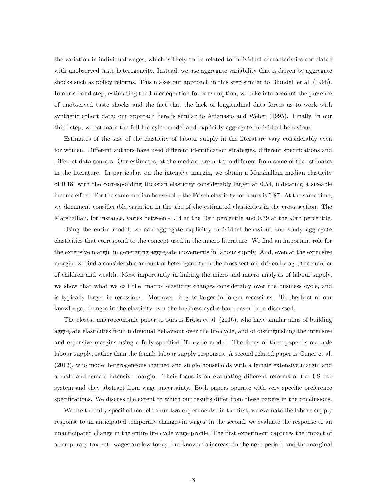the variation in individual wages, which is likely to be related to individual characteristics correlated with unobserved taste heterogeneity. Instead, we use aggregate variability that is driven by aggregate shocks such as policy reforms. This makes our approach in this step similar to Blundell et al. (1998). In our second step, estimating the Euler equation for consumption, we take into account the presence of unobserved taste shocks and the fact that the lack of longitudinal data forces us to work with synthetic cohort data; our approach here is similar to Attanasio and Weber (1995). Finally, in our third step, we estimate the full life-cylce model and explicitly aggregate individual behaviour.

Estimates of the size of the elasticity of labour supply in the literature vary considerably even for women. Different authors have used different identification strategies, different specifications and different data sources. Our estimates, at the median, are not too different from some of the estimates in the literature. In particular, on the intensive margin, we obtain a Marshallian median elasticity of 0.18, with the corresponding Hicksian elasticity considerably larger at 0.54, indicating a sizeable income effect. For the same median household, the Frisch elasticity for hours is 0.87. At the same time, we document considerable variation in the size of the estimated elasticities in the cross section. The Marshallian, for instance, varies between -0.14 at the 10th percentile and 0.79 at the 90th percentile.

Using the entire model, we can aggregate explicitly individual behaviour and study aggregate elasticities that correspond to the concept used in the macro literature. We find an important role for the extensive margin in generating aggregate movements in labour supply. And, even at the extensive margin, we find a considerable amount of heterogeneity in the cross section, driven by age, the number of children and wealth. Most importantly in linking the micro and macro analysis of labour supply, we show that what we call the 'macro' elasticity changes considerably over the business cycle, and is typically larger in recessions. Moreover, it gets larger in longer recessions. To the best of our knowledge, changes in the elasticity over the business cycles have never been discussed.

The closest macroeconomic paper to ours is Erosa et al. (2016), who have similar aims of building aggregate elasticities from individual behaviour over the life cycle, and of distinguishing the intensive and extensive margins using a fully specified life cycle model. The focus of their paper is on male labour supply, rather than the female labour supply responses. A second related paper is Guner et al. (2012), who model heterogeneous married and single households with a female extensive margin and a male and female intensive margin. Their focus is on evaluating different reforms of the US tax system and they abstract from wage uncertainty. Both papers operate with very specific preference specifications. We discuss the extent to which our results differ from these papers in the conclusions.

We use the fully specified model to run two experiments: in the first, we evaluate the labour supply response to an anticipated temporary changes in wages; in the second, we evaluate the response to an unanticipated change in the entire life cycle wage profile. The first experiment captures the impact of a temporary tax cut: wages are low today, but known to increase in the next period, and the marginal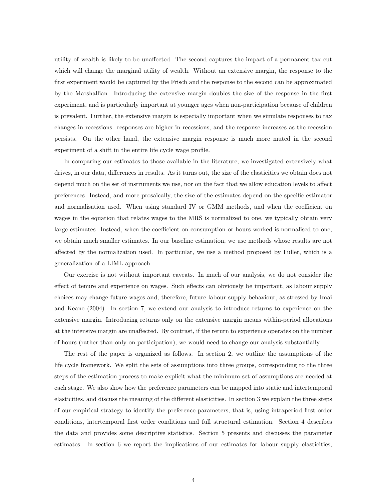utility of wealth is likely to be unaffected. The second captures the impact of a permanent tax cut which will change the marginal utility of wealth. Without an extensive margin, the response to the first experiment would be captured by the Frisch and the response to the second can be approximated by the Marshallian. Introducing the extensive margin doubles the size of the response in the first experiment, and is particularly important at younger ages when non-participation because of children is prevalent. Further, the extensive margin is especially important when we simulate responses to tax changes in recessions: responses are higher in recessions, and the response increases as the recession persists. On the other hand, the extensive margin response is much more muted in the second experiment of a shift in the entire life cycle wage profile.

In comparing our estimates to those available in the literature, we investigated extensively what drives, in our data, differences in results. As it turns out, the size of the elasticities we obtain does not depend much on the set of instruments we use, nor on the fact that we allow education levels to affect preferences. Instead, and more prosaically, the size of the estimates depend on the specific estimator and normalisation used. When using standard IV or GMM methods, and when the coefficient on wages in the equation that relates wages to the MRS is normalized to one, we typically obtain very large estimates. Instead, when the coefficient on consumption or hours worked is normalised to one, we obtain much smaller estimates. In our baseline estimation, we use methods whose results are not affected by the normalization used. In particular, we use a method proposed by Fuller, which is a generalization of a LIML approach.

Our exercise is not without important caveats. In much of our analysis, we do not consider the effect of tenure and experience on wages. Such effects can obviously be important, as labour supply choices may change future wages and, therefore, future labour supply behaviour, as stressed by Imai and Keane (2004). In section 7, we extend our analysis to introduce returns to experience on the extensive margin. Introducing returns only on the extensive margin means within-period allocations at the intensive margin are unaffected. By contrast, if the return to experience operates on the number of hours (rather than only on participation), we would need to change our analysis substantially.

The rest of the paper is organized as follows. In section 2, we outline the assumptions of the life cycle framework. We split the sets of assumptions into three groups, corresponding to the three steps of the estimation process to make explicit what the minimum set of assumptions are needed at each stage. We also show how the preference parameters can be mapped into static and intertemporal elasticities, and discuss the meaning of the different elasticities. In section 3 we explain the three steps of our empirical strategy to identify the preference parameters, that is, using intraperiod first order conditions, intertemporal first order conditions and full structural estimation. Section 4 describes the data and provides some descriptive statistics. Section 5 presents and discusses the parameter estimates. In section 6 we report the implications of our estimates for labour supply elasticities,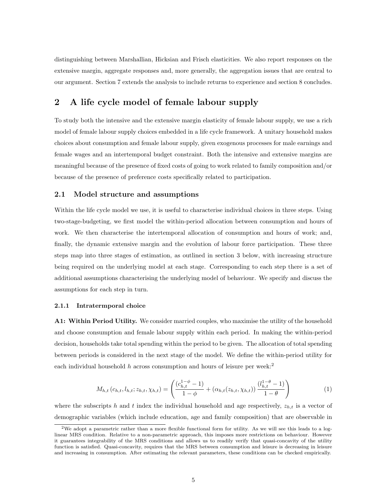distinguishing between Marshallian, Hicksian and Frisch elasticities. We also report responses on the extensive margin, aggregate responses and, more generally, the aggregation issues that are central to our argument. Section 7 extends the analysis to include returns to experience and section 8 concludes.

## 2 A life cycle model of female labour supply

To study both the intensive and the extensive margin elasticity of female labour supply, we use a rich model of female labour supply choices embedded in a life cycle framework. A unitary household makes choices about consumption and female labour supply, given exogenous processes for male earnings and female wages and an intertemporal budget constraint. Both the intensive and extensive margins are meaningful because of the presence of fixed costs of going to work related to family composition and/or because of the presence of preference costs specifically related to participation.

#### 2.1 Model structure and assumptions

Within the life cycle model we use, it is useful to characterise individual choices in three steps. Using two-stage-budgeting, we first model the within-period allocation between consumption and hours of work. We then characterise the intertemporal allocation of consumption and hours of work; and, finally, the dynamic extensive margin and the evolution of labour force participation. These three steps map into three stages of estimation, as outlined in section 3 below, with increasing structure being required on the underlying model at each stage. Corresponding to each step there is a set of additional assumptions characterising the underlying model of behaviour. We specify and discuss the assumptions for each step in turn.

#### 2.1.1 Intratermporal choice

A1: Within Period Utility. We consider married couples, who maximise the utility of the household and choose consumption and female labour supply within each period. In making the within-period decision, households take total spending within the period to be given. The allocation of total spending between periods is considered in the next stage of the model. We define the within-period utility for each individual household h across consumption and hours of leisure per week:<sup>2</sup>

$$
M_{h,t}(c_{h,t}, l_{h,t}; z_{h,t}, \chi_{h,t}) = \left(\frac{(c_{h,t}^{1-\phi}-1)}{1-\phi} + (\alpha_{h,t}(z_{h,t}, \chi_{h,t})) \frac{(l_{h,t}^{1-\theta}-1)}{1-\theta}\right)
$$
(1)

where the subscripts h and t index the individual household and age respectively,  $z_{h,t}$  is a vector of demographic variables (which include education, age and family composition) that are observable in

<sup>&</sup>lt;sup>2</sup>We adopt a parametric rather than a more flexible functional form for utility. As we will see this leads to a loglinear MRS condition. Relative to a non-parametric approach, this imposes more restrictions on behaviour. However it guarantees integrability of the MRS conditions and allows us to readily verify that quasi-concavity of the utility function is satisfied. Quasi-concavity, requires that the MRS between consumption and leisure is decreasing in leisure and increasing in consumption. After estimating the relevant parameters, these conditions can be checked empirically.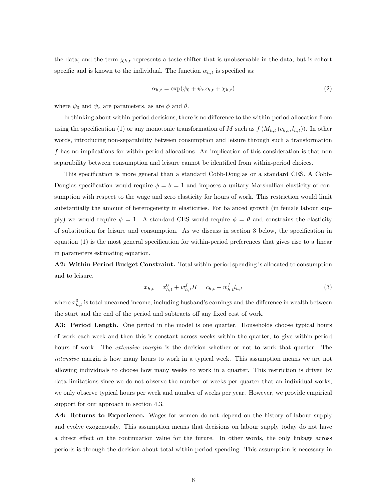the data; and the term  $\chi_{h,t}$  represents a taste shifter that is unobservable in the data, but is cohort specific and is known to the individual. The function  $\alpha_{h,t}$  is specified as:

$$
\alpha_{h,t} = \exp(\psi_0 + \psi_z z_{h,t} + \chi_{h,t})
$$
\n<sup>(2)</sup>

where  $\psi_0$  and  $\psi_z$  are parameters, as are  $\phi$  and  $\theta$ .

In thinking about within-period decisions, there is no difference to the within-period allocation from using the specification (1) or any monotonic transformation of M such as  $f(M_{h,t}(c_{h,t}, l_{h,t}))$ . In other words, introducing non-separability between consumption and leisure through such a transformation f has no implications for within-period allocations. An implication of this consideration is that non separability between consumption and leisure cannot be identified from within-period choices.

This specification is more general than a standard Cobb-Douglas or a standard CES. A Cobb-Douglas specification would require  $\phi = \theta = 1$  and imposes a unitary Marshallian elasticity of consumption with respect to the wage and zero elasticity for hours of work. This restriction would limit substantially the amount of heterogeneity in elasticities. For balanced growth (in female labour supply) we would require  $\phi = 1$ . A standard CES would require  $\phi = \theta$  and constrains the elasticity of substitution for leisure and consumption. As we discuss in section 3 below, the specification in equation (1) is the most general specification for within-period preferences that gives rise to a linear in parameters estimating equation.

A2: Within Period Budget Constraint. Total within-period spending is allocated to consumption and to leisure.

$$
x_{h,t} = x_{h,t}^0 + w_{h,t}^f H = c_{h,t} + w_{h,t}^f l_{h,t}
$$
\n<sup>(3)</sup>

where  $x_{h,t}^0$  is total unearned income, including husband's earnings and the difference in wealth between the start and the end of the period and subtracts off any fixed cost of work.

A3: Period Length. One period in the model is one quarter. Households choose typical hours of work each week and then this is constant across weeks within the quarter, to give within-period hours of work. The *extensive margin* is the decision whether or not to work that quarter. The intensive margin is how many hours to work in a typical week. This assumption means we are not allowing individuals to choose how many weeks to work in a quarter. This restriction is driven by data limitations since we do not observe the number of weeks per quarter that an individual works, we only observe typical hours per week and number of weeks per year. However, we provide empirical support for our approach in section 4.3.

A4: Returns to Experience. Wages for women do not depend on the history of labour supply and evolve exogenously. This assumption means that decisions on labour supply today do not have a direct effect on the continuation value for the future. In other words, the only linkage across periods is through the decision about total within-period spending. This assumption is necessary in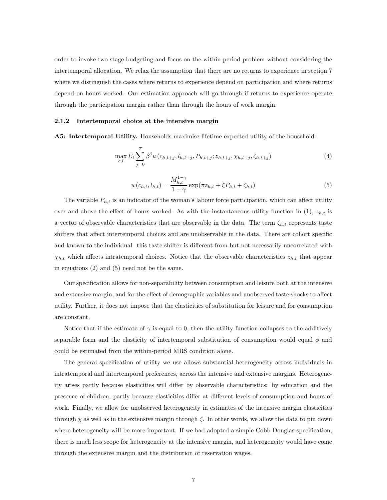order to invoke two stage budgeting and focus on the within-period problem without considering the intertemporal allocation. We relax the assumption that there are no returns to experience in section 7 where we distinguish the cases where returns to experience depend on participation and where returns depend on hours worked. Our estimation approach will go through if returns to experience operate through the participation margin rather than through the hours of work margin.

#### 2.1.2 Intertemporal choice at the intensive margin

A5: Intertemporal Utility. Households maximise lifetime expected utility of the household:

$$
\max_{c,l} E_t \sum_{j=0}^T \beta^j u(c_{h,t+j}, l_{h,t+j}, P_{h,t+j}; z_{h,t+j}, \chi_{h,t+j}, \zeta_{h,t+j})
$$
(4)

$$
u(c_{h,t}, l_{h,t}) = \frac{M_{h,t}^{1-\gamma}}{1-\gamma} \exp(\pi z_{h,t} + \xi P_{h,t} + \zeta_{h,t})
$$
(5)

The variable  $P_{h,t}$  is an indicator of the woman's labour force participation, which can affect utility over and above the effect of hours worked. As with the instantaneous utility function in  $(1)$ ,  $z_{h,t}$  is a vector of observable characteristics that are observable in the data. The term  $\zeta_{h,t}$  represents taste shifters that affect intertemporal choices and are unobservable in the data. There are cohort specific and known to the individual: this taste shifter is different from but not necessarily uncorrelated with  $\chi_{h,t}$  which affects intratemporal choices. Notice that the observable characteristics  $z_{h,t}$  that appear in equations (2) and (5) need not be the same.

Our specification allows for non-separability between consumption and leisure both at the intensive and extensive margin, and for the effect of demographic variables and unobserved taste shocks to affect utility. Further, it does not impose that the elasticities of substitution for leisure and for consumption are constant.

Notice that if the estimate of  $\gamma$  is equal to 0, then the utility function collapses to the additively separable form and the elasticity of intertemporal substitution of consumption would equal  $\phi$  and could be estimated from the within-period MRS condition alone.

The general specification of utility we use allows substantial heterogeneity across individuals in intratemporal and intertemporal preferences, across the intensive and extensive margins. Heterogeneity arises partly because elasticities will differ by observable characteristics: by education and the presence of children; partly because elasticities differ at different levels of consumption and hours of work. Finally, we allow for unobserved heterogeneity in estimates of the intensive margin elasticities through  $\chi$  as well as in the extensive margin through  $\zeta$ . In other words, we allow the data to pin down where heterogeneity will be more important. If we had adopted a simple Cobb-Douglas specification, there is much less scope for heterogeneity at the intensive margin, and heterogeneity would have come through the extensive margin and the distribution of reservation wages.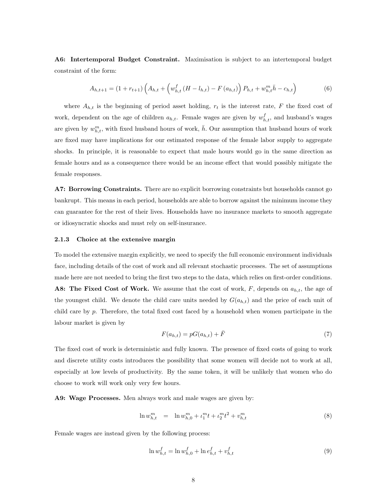A6: Intertemporal Budget Constraint. Maximisation is subject to an intertemporal budget constraint of the form:

$$
A_{h,t+1} = (1 + r_{t+1}) \left( A_{h,t} + \left( w_{h,t}^f \left( H - l_{h,t} \right) - F \left( a_{h,t} \right) \right) P_{h,t} + w_{h,t}^m \bar{h} - c_{h,t} \right) \tag{6}
$$

where  $A_{h,t}$  is the beginning of period asset holding,  $r_t$  is the interest rate, F the fixed cost of work, dependent on the age of children  $a_{h,t}$ . Female wages are given by  $w_{h,t}^f$ , and husband's wages are given by  $w_{h,t}^m$ , with fixed husband hours of work,  $\bar{h}$ . Our assumption that husband hours of work are fixed may have implications for our estimated response of the female labor supply to aggregate shocks. In principle, it is reasonable to expect that male hours would go in the same direction as female hours and as a consequence there would be an income effect that would possibly mitigate the female responses.

A7: Borrowing Constraints. There are no explicit borrowing constraints but households cannot go bankrupt. This means in each period, households are able to borrow against the minimum income they can guarantee for the rest of their lives. Households have no insurance markets to smooth aggregate or idiosyncratic shocks and must rely on self-insurance.

#### 2.1.3 Choice at the extensive margin

To model the extensive margin explicitly, we need to specify the full economic environment individuals face, including details of the cost of work and all relevant stochastic processes. The set of assumptions made here are not needed to bring the first two steps to the data, which relies on first-order conditions. A8: The Fixed Cost of Work. We assume that the cost of work,  $F$ , depends on  $a_{h,t}$ , the age of the youngest child. We denote the child care units needed by  $G(a_{h,t})$  and the price of each unit of child care by p. Therefore, the total fixed cost faced by a household when women participate in the labour market is given by

$$
F(a_{h,t}) = pG(a_{h,t}) + \bar{F} \tag{7}
$$

The fixed cost of work is deterministic and fully known. The presence of fixed costs of going to work and discrete utility costs introduces the possibility that some women will decide not to work at all, especially at low levels of productivity. By the same token, it will be unlikely that women who do choose to work will work only very few hours.

A9: Wage Processes. Men always work and male wages are given by:

$$
\ln w_{h,t}^m = \ln w_{h,0}^m + \iota_1^m t + \iota_2^m t^2 + v_{h,t}^m \tag{8}
$$

Female wages are instead given by the following process:

$$
\ln w_{h,t}^f = \ln w_{h,0}^f + \ln e_{h,t}^f + v_{h,t}^f \tag{9}
$$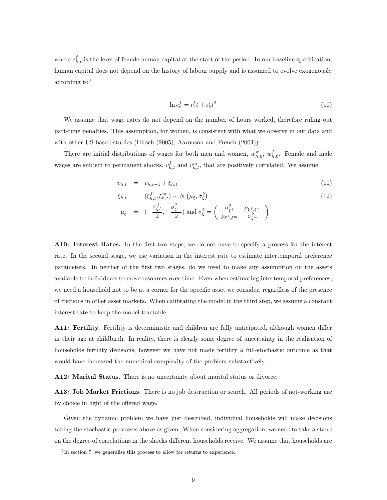where  $e_{h,t}^f$  is the level of female human capital at the start of the period. In our baseline specification, human capital does not depend on the history of labour supply and is assumed to evolve exogenously  $\rm{according\ to}^{3}$ 

$$
\ln e_t^f = \iota_1^f t + \iota_2^f t^2 \tag{10}
$$

We assume that wage rates do not depend on the number of hours worked, therefore ruling out part-time penalties. This assumption, for women, is consistent with what we observe in our data and with other US-based studies (Hirsch (2005); Aaronson and French (2004)).

There are initial distributions of wages for both men and women,  $w_{h,0}^m$ ,  $w_{h,0}^f$ . Female and male wages are subject to permanent shocks,  $v_{h,t}^f$  and  $v_{h,t}^m$ , that are positively correlated. We assume

$$
v_{h,t} = v_{h,t-1} + \xi_{h,t} \tag{11}
$$

$$
\xi_{h,t} = (\xi_{h,t}^f, \xi_{h,t}^m) \sim N\left(\mu_{\xi}, \sigma_{\xi}^2\right) \tag{12}
$$

$$
\mu_{\xi} = \left( -\frac{\sigma_{\xi}^2}{2}, -\frac{\sigma_{\xi}^2}{2} \right) \text{ and } \sigma_{\xi}^2 = \begin{pmatrix} \sigma_{\xi}^2 & \rho_{\xi} f_{,\xi^m} \\ \rho_{\xi} f_{,\xi^m} & \sigma_{\xi^m}^2 \end{pmatrix}
$$

A10: Interest Rates. In the first two steps, we do not have to specify a process for the interest rate. In the second stage, we use variation in the interest rate to estimate intertemporal preference parameters. In neither of the first two stages, do we need to make any assumption on the assets available to individuals to move resources over time. Even when estimating intertemporal preferences, we need a household not to be at a corner for the specific asset we consider, regardless of the presence of frictions in other asset markets. When calibrating the model in the third step, we assume a constant interest rate to keep the model tractable.

A11: Fertility. Fertility is deterministic and children are fully anticipated, although women differ in their age at childbirth. In reality, there is clearly some degree of uncertainty in the realisation of households fertility decisions, however we have not made fertility a full-stochastic outcome as that would have increased the numerical complexity of the problem substantively.

A12: Marital Status. There is no uncertainty about marital status or divorce.

A13: Job Market Frictions. There is no job destruction or search. All periods of not-working are by choice in light of the offered wage.

Given the dynamic problem we have just described, individual households will make decisions taking the stochastic processes above as given. When considering aggregation, we need to take a stand on the degree of correlations in the shocks different households receive. We assume that households are

<sup>&</sup>lt;sup>3</sup>In section 7, we generalise this process to allow for returns to experience.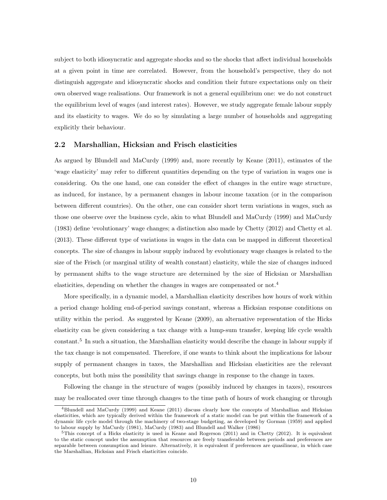subject to both idiosyncratic and aggregate shocks and so the shocks that affect individual households at a given point in time are correlated. However, from the household's perspective, they do not distinguish aggregate and idiosyncratic shocks and condition their future expectations only on their own observed wage realisations. Our framework is not a general equilibrium one: we do not construct the equilibrium level of wages (and interest rates). However, we study aggregate female labour supply and its elasticity to wages. We do so by simulating a large number of households and aggregating explicitly their behaviour.

#### 2.2 Marshallian, Hicksian and Frisch elasticities

As argued by Blundell and MaCurdy (1999) and, more recently by Keane (2011), estimates of the 'wage elasticity' may refer to different quantities depending on the type of variation in wages one is considering. On the one hand, one can consider the effect of changes in the entire wage structure, as induced, for instance, by a permanent changes in labour income taxation (or in the comparison between different countries). On the other, one can consider short term variations in wages, such as those one observe over the business cycle, akin to what Blundell and MaCurdy (1999) and MaCurdy (1983) define 'evolutionary' wage changes; a distinction also made by Chetty (2012) and Chetty et al. (2013). These different type of variations in wages in the data can be mapped in different theoretical concepts. The size of changes in labour supply induced by evolutionary wage changes is related to the size of the Frisch (or marginal utility of wealth constant) elasticity, while the size of changes induced by permanent shifts to the wage structure are determined by the size of Hicksian or Marshallian elasticities, depending on whether the changes in wages are compensated or not.<sup>4</sup>

More specifically, in a dynamic model, a Marshallian elasticity describes how hours of work within a period change holding end-of-period savings constant, whereas a Hicksian response conditions on utility within the period. As suggested by Keane (2009), an alternative representation of the Hicks elasticity can be given considering a tax change with a lump-sum transfer, keeping life cycle wealth constant.<sup>5</sup> In such a situation, the Marshallian elasticity would describe the change in labour supply if the tax change is not compensated. Therefore, if one wants to think about the implications for labour supply of permanent changes in taxes, the Marshallian and Hicksian elasticities are the relevant concepts, but both miss the possibility that savings change in response to the change in taxes.

Following the change in the structure of wages (possibly induced by changes in taxes), resources may be reallocated over time through changes to the time path of hours of work changing or through

<sup>4</sup>Blundell and MaCurdy (1999) and Keane (2011) discuss clearly how the concepts of Marshallian and Hicksian elasticities, which are typically derived within the framework of a static model can be put within the framework of a dynamic life cycle model through the machinery of two-stage budgeting, as developed by Gorman (1959) and applied to labour supply by MaCurdy (1981), MaCurdy (1983) and Blundell and Walker (1986)

 $5$ This concept of a Hicks elasticity is used in Keane and Rogerson (2011) and in Chetty (2012). It is equivalent to the static concept under the assumption that resources are freely transferable between periods and preferences are separable between consumption and leisure. Alternatively, it is equivalent if preferences are quasilinear, in which case the Marshallian, Hicksian and Frisch elasticities coincide.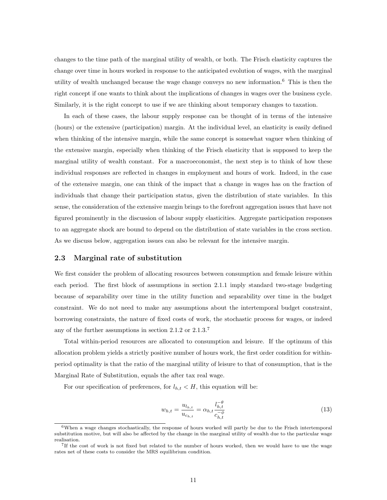changes to the time path of the marginal utility of wealth, or both. The Frisch elasticity captures the change over time in hours worked in response to the anticipated evolution of wages, with the marginal utility of wealth unchanged because the wage change conveys no new information.<sup>6</sup> This is then the right concept if one wants to think about the implications of changes in wages over the business cycle. Similarly, it is the right concept to use if we are thinking about temporary changes to taxation.

In each of these cases, the labour supply response can be thought of in terms of the intensive (hours) or the extensive (participation) margin. At the individual level, an elasticity is easily defined when thinking of the intensive margin, while the same concept is somewhat vaguer when thinking of the extensive margin, especially when thinking of the Frisch elasticity that is supposed to keep the marginal utility of wealth constant. For a macroeconomist, the next step is to think of how these individual responses are reflected in changes in employment and hours of work. Indeed, in the case of the extensive margin, one can think of the impact that a change in wages has on the fraction of individuals that change their participation status, given the distribution of state variables. In this sense, the consideration of the extensive margin brings to the forefront aggregation issues that have not figured prominently in the discussion of labour supply elasticities. Aggregate participation responses to an aggregate shock are bound to depend on the distribution of state variables in the cross section. As we discuss below, aggregation issues can also be relevant for the intensive margin.

#### 2.3 Marginal rate of substitution

We first consider the problem of allocating resources between consumption and female leisure within each period. The first block of assumptions in section 2.1.1 imply standard two-stage budgeting because of separability over time in the utility function and separability over time in the budget constraint. We do not need to make any assumptions about the intertemporal budget constraint, borrowing constraints, the nature of fixed costs of work, the stochastic process for wages, or indeed any of the further assumptions in section 2.1.2 or 2.1.3.<sup>7</sup>

Total within-period resources are allocated to consumption and leisure. If the optimum of this allocation problem yields a strictly positive number of hours work, the first order condition for withinperiod optimality is that the ratio of the marginal utility of leisure to that of consumption, that is the Marginal Rate of Substitution, equals the after tax real wage.

For our specification of preferences, for  $l_{h,t} < H$ , this equation will be:

$$
w_{h,t} = \frac{u_{l_{h,t}}}{u_{c_{h,t}}} = \alpha_{h,t} \frac{l_{h,t}^{-\theta}}{c_{h,t}^{-\phi}}
$$
(13)

<sup>&</sup>lt;sup>6</sup>When a wage changes stochastically, the response of hours worked will partly be due to the Frisch intertemporal substitution motive, but will also be affected by the change in the marginal utility of wealth due to the particular wage realisation.

<sup>7</sup> If the cost of work is not fixed but related to the number of hours worked, then we would have to use the wage rates net of these costs to consider the MRS equilibrium condition.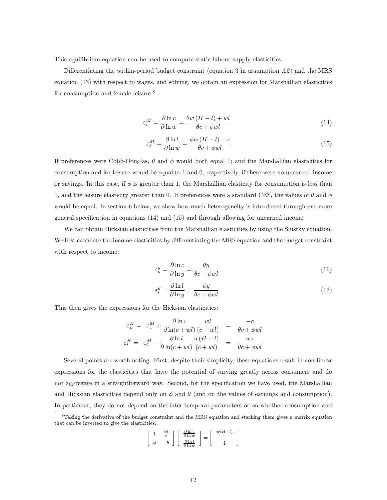This equilibrium equation can be used to compute static labour supply elasticities.

Differentiating the within-period budget constraint (equation 3 in assumption  $A\hat{z}$ ) and the MRS equation (13) with respect to wages, and solving, we obtain an expression for Marshallian elasticities for consumption and female leisure:<sup>8</sup>

$$
\varepsilon_c^M = \frac{\partial \ln c}{\partial \ln w} = \frac{\theta w \left( H - l \right) + w l}{\theta c + \phi w l} \tag{14}
$$

$$
\varepsilon_l^M = \frac{\partial \ln l}{\partial \ln w} = \frac{\phi w \left( H - l \right) - c}{\theta c + \phi w l} \tag{15}
$$

If preferences were Cobb-Douglas,  $\theta$  and  $\phi$  would both equal 1; and the Marshallian elasticities for consumption and for leisure would be equal to 1 and 0, respectively, if there were no unearned income or savings. In this case, if  $\phi$  is greater than 1, the Marshallian elasticity for consumption is less than 1, and the leisure elasticity greater than 0. If preferences were a standard CES, the values of  $\theta$  and  $\phi$ would be equal. In section 6 below, we show how much heterogeneity is introduced through our more general specification in equations (14) and (15) and through allowing for unearned income.

We can obtain Hicksian elasticities from the Marshallian elasticities by using the Slustky equation. We first calculate the income elasticities by differentiating the MRS equation and the budget constraint with respect to income:

$$
\varepsilon_c^y = \frac{\partial \ln c}{\partial \ln y} = \frac{\theta y}{\theta c + \phi w l} \tag{16}
$$

$$
\varepsilon_l^y = \frac{\partial \ln l}{\partial \ln y} = \frac{\phi y}{\theta c + \phi w l} \tag{17}
$$

This then gives the expressions for the Hicksian elasticities:

$$
\varepsilon_c^H = \varepsilon_c^M + \frac{\partial \ln c}{\partial \ln(c + ul)} \frac{wl}{(c + ul)} = \frac{-c}{\theta c + \phi w l}
$$

$$
\varepsilon_l^H = \varepsilon_l^M - \frac{\partial \ln l}{\partial \ln(c + ul)} \frac{w(H - l)}{(c + ul)} = \frac{wz}{\theta c + \phi w l}
$$

Several points are worth noting. First, despite their simplicity, these equations result in non-linear expressions for the elasticities that have the potential of varying greatly across consumers and do not aggregate in a straightforward way. Second, for the specification we have used, the Marshallian and Hicksian elasticities depend only on  $\phi$  and  $\theta$  (and on the values of earnings and consumption). In particular, they do not depend on the inter-temporal parameters or on whether consumption and

$$
\begin{bmatrix} 1 & \frac{wl}{c} \\ \phi & -\theta \end{bmatrix} \begin{bmatrix} \frac{\partial \ln c}{\partial \ln w} \\ \frac{\partial \ln l}{\partial \ln w} \end{bmatrix} = \begin{bmatrix} \frac{w(H-l)}{c} \\ 1 \end{bmatrix}
$$

<sup>8</sup>Taking the derivative of the budget constraint and the MRS equation and stacking them gives a matrix equation that can be inverted to give the elasticities: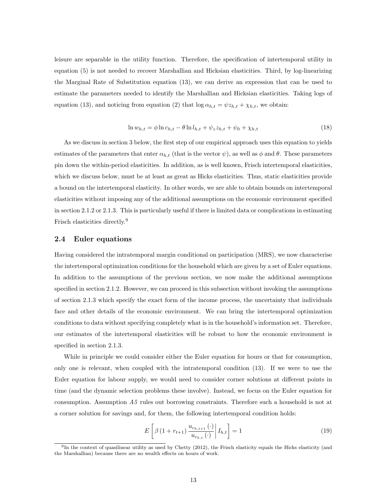leisure are separable in the utility function. Therefore, the specification of intertemporal utility in equation (5) is not needed to recover Marshallian and Hicksian elasticities. Third, by log-linearizing the Marginal Rate of Substitution equation (13), we can derive an expression that can be used to estimate the parameters needed to identify the Marshallian and Hicksian elasticities. Taking logs of equation (13), and noticing from equation (2) that  $\log \alpha_{h,t} = \psi z_{h,t} + \chi_{h,t}$ , we obtain:

$$
\ln w_{h,t} = \phi \ln c_{h,t} - \theta \ln l_{h,t} + \psi_z z_{h,t} + \psi_0 + \chi_{h,t}
$$
\n(18)

As we discuss in section 3 below, the first step of our empirical approach uses this equation to yields estimates of the parameters that enter  $\alpha_{h,t}$  (that is the vector  $\psi$ ), as well as  $\phi$  and  $\theta$ . These parameters pin down the within-period elasticities. In addition, as is well known, Frisch intertemporal elasticities, which we discuss below, must be at least as great as Hicks elasticities. Thus, static elasticities provide a bound on the intertemporal elasticity. In other words, we are able to obtain bounds on intertemporal elasticities without imposing any of the additional assumptions on the economic environment specified in section 2.1.2 or 2.1.3. This is particularly useful if there is limited data or complications in estimating Frisch elasticities directly.<sup>9</sup>

#### 2.4 Euler equations

Having considered the intratemporal margin conditional on participation (MRS), we now characterise the intertemporal optimization conditions for the household which are given by a set of Euler equations. In addition to the assumptions of the previous section, we now make the additional assumptions specified in section 2.1.2. However, we can proceed in this subsection without invoking the assumptions of section 2.1.3 which specify the exact form of the income process, the uncertainty that individuals face and other details of the economic environment. We can bring the intertemporal optimization conditions to data without specifying completely what is in the household's information set. Therefore, our estimates of the intertemporal elasticities will be robust to how the economic environment is specified in section 2.1.3.

While in principle we could consider either the Euler equation for hours or that for consumption, only one is relevant, when coupled with the intratemporal condition (13). If we were to use the Euler equation for labour supply, we would need to consider corner solutions at different points in time (and the dynamic selection problems these involve). Instead, we focus on the Euler equation for consumption. Assumption A5 rules out borrowing constraints. Therefore such a household is not at a corner solution for savings and, for them, the following intertemporal condition holds:

$$
E\left[\beta\left(1+r_{t+1}\right)\frac{u_{c_{h,t+1}}\left(\cdot\right)}{u_{c_{h,t}}\left(\cdot\right)}\bigg|I_{h,t}\right] = 1\tag{19}
$$

 $^{9}$ In the context of quasilinear utility as used by Chetty (2012), the Frisch elasticity equals the Hicks elasticity (and the Marshallian) because there are no wealth effects on hours of work.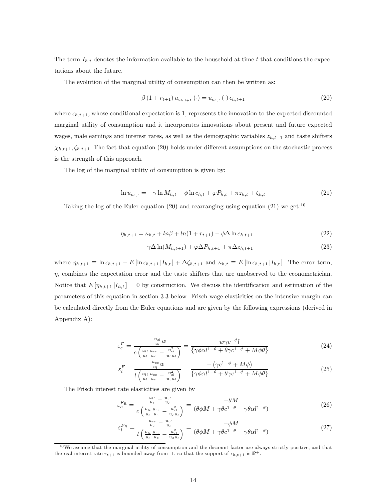The term  $I_{h,t}$  denotes the information available to the household at time t that conditions the expectations about the future.

The evolution of the marginal utility of consumption can then be written as:

$$
\beta (1 + r_{t+1}) u_{c_{h,t+1}} (\cdot) = u_{c_{h,t}} (\cdot) \epsilon_{h,t+1}
$$
\n(20)

where  $\epsilon_{h,t+1}$ , whose conditional expectation is 1, represents the innovation to the expected discounted marginal utility of consumption and it incorporates innovations about present and future expected wages, male earnings and interest rates, as well as the demographic variables  $z_{h,t+1}$  and taste shifters  $\chi_{h,t+1}, \zeta_{h,t+1}$ . The fact that equation (20) holds under different assumptions on the stochastic process is the strength of this approach.

The log of the marginal utility of consumption is given by:

$$
\ln u_{c_{h,t}} = -\gamma \ln M_{h,t} - \phi \ln c_{h,t} + \varphi P_{h,t} + \pi z_{h,t} + \zeta_{h,t}
$$
\n(21)

Taking the log of the Euler equation (20) and rearranging using equation (21) we get:<sup>10</sup>

$$
\eta_{h,t+1} = \kappa_{h,t} + \ln\beta + \ln(1 + r_{t+1}) - \phi \Delta \ln c_{h,t+1} \tag{22}
$$

$$
-\gamma \Delta \ln(M_{h,t+1}) + \varphi \Delta P_{h,t+1} + \pi \Delta z_{h,t+1}
$$
\n(23)

where  $\eta_{h,t+1} \equiv \ln \epsilon_{h,t+1} - E \left[ \ln \epsilon_{h,t+1} | I_{h,t} \right] + \Delta \zeta_{h,t+1}$  and  $\kappa_{h,t} \equiv E \left[ \ln \epsilon_{h,t+1} | I_{h,t} \right]$ . The error term,  $\eta$ , combines the expectation error and the taste shifters that are unobserved to the econometrician. Notice that  $E[\eta_{h,t+1} | I_{h,t}] = 0$  by construction. We discuss the identification and estimation of the parameters of this equation in section 3.3 below. Frisch wage elasticities on the intensive margin can be calculated directly from the Euler equations and are given by the following expressions (derived in Appendix A):

$$
\varepsilon_c^F = \frac{-\frac{u_{cl}}{u_l}w}{c\left(\frac{u_{ll}}{u_l}\frac{u_{cc}}{u_c} - \frac{u_{cl}^2}{u_c u_l}\right)} = \frac{w\gamma c^{-\phi}l}{\{\gamma\phi\alpha l^{1-\theta} + \theta\gamma c^{1-\phi} + M\phi\theta\}}\tag{24}
$$

$$
\varepsilon_l^F = \frac{\frac{u_{cc}}{u_l} w}{l \left(\frac{u_{ll}}{u_l} \frac{u_{cc}}{u_c} - \frac{u_{cl}^2}{u_c u_l}\right)} = \frac{-\left(\gamma c^{1-\phi} + M\phi\right)}{\left\{\gamma \phi \alpha l^{1-\theta} + \theta \gamma c^{1-\phi} + M\phi \theta\right\}}
$$
(25)

The Frisch interest rate elasticities are given by

$$
\varepsilon_c^{F_R} = \frac{\frac{u_{ll}}{u_l} - \frac{u_{cl}}{u_c}}{c \left(\frac{u_{ll}}{u_l} \frac{u_{cc}}{u_c} - \frac{u_{cl}^2}{u_c u_l}\right)} = \frac{-\theta M}{(\theta \phi M + \gamma \theta c^{1-\theta} + \gamma \theta \alpha l^{1-\theta})}
$$
(26)

$$
\varepsilon_l^{F_R} = \frac{\frac{u_{cc}}{u_c} - \frac{u_{cl}}{u_l}}{l\left(\frac{u_{ll}}{u_l}\frac{u_{cc}}{u_c} - \frac{u_{cl}^2}{u_c u_l}\right)} = \frac{-\phi M}{(\theta \phi M + \gamma \theta c^{1-\theta} + \gamma \theta \alpha l^{1-\theta})}
$$
(27)

 $10$ We assume that the marginal utility of consumption and the discount factor are always strictly positive, and that the real interest rate  $r_{t+1}$  is bounded away from -1, so that the support of  $\epsilon_{h,t+1}$  is  $\Re^+$ .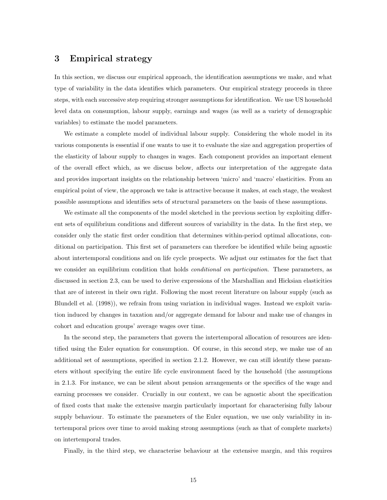## 3 Empirical strategy

In this section, we discuss our empirical approach, the identification assumptions we make, and what type of variability in the data identifies which parameters. Our empirical strategy proceeds in three steps, with each successive step requiring stronger assumptions for identification. We use US household level data on consumption, labour supply, earnings and wages (as well as a variety of demographic variables) to estimate the model parameters.

We estimate a complete model of individual labour supply. Considering the whole model in its various components is essential if one wants to use it to evaluate the size and aggregation properties of the elasticity of labour supply to changes in wages. Each component provides an important element of the overall effect which, as we discuss below, affects our interpretation of the aggregate data and provides important insights on the relationship between 'micro' and 'macro' elasticities. From an empirical point of view, the approach we take is attractive because it makes, at each stage, the weakest possible assumptions and identifies sets of structural parameters on the basis of these assumptions.

We estimate all the components of the model sketched in the previous section by exploiting different sets of equilibrium conditions and different sources of variability in the data. In the first step, we consider only the static first order condition that determines within-period optimal allocations, conditional on participation. This first set of parameters can therefore be identified while being agnostic about intertemporal conditions and on life cycle prospects. We adjust our estimates for the fact that we consider an equilibrium condition that holds *conditional on participation*. These parameters, as discussed in section 2.3, can be used to derive expressions of the Marshallian and Hicksian elasticities that are of interest in their own right. Following the most recent literature on labour supply (such as Blundell et al. (1998)), we refrain from using variation in individual wages. Instead we exploit variation induced by changes in taxation and/or aggregate demand for labour and make use of changes in cohort and education groups' average wages over time.

In the second step, the parameters that govern the intertemporal allocation of resources are identified using the Euler equation for consumption. Of course, in this second step, we make use of an additional set of assumptions, specified in section 2.1.2. However, we can still identify these parameters without specifying the entire life cycle environment faced by the household (the assumptions in 2.1.3. For instance, we can be silent about pension arrangements or the specifics of the wage and earning processes we consider. Crucially in our context, we can be agnostic about the specification of fixed costs that make the extensive margin particularly important for characterising fully labour supply behaviour. To estimate the parameters of the Euler equation, we use only variability in intertemporal prices over time to avoid making strong assumptions (such as that of complete markets) on intertemporal trades.

Finally, in the third step, we characterise behaviour at the extensive margin, and this requires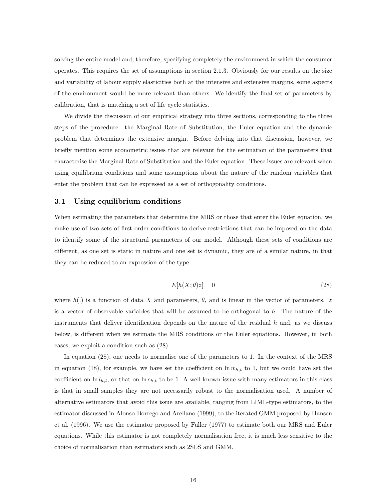solving the entire model and, therefore, specifying completely the environment in which the consumer operates. This requires the set of assumptions in section 2.1.3. Obviously for our results on the size and variability of labour supply elasticities both at the intensive and extensive margins, some aspects of the environment would be more relevant than others. We identify the final set of parameters by calibration, that is matching a set of life cycle statistics.

We divide the discussion of our empirical strategy into three sections, corresponding to the three steps of the procedure: the Marginal Rate of Substitution, the Euler equation and the dynamic problem that determines the extensive margin. Before delving into that discussion, however, we briefly mention some econometric issues that are relevant for the estimation of the parameters that characterise the Marginal Rate of Substitution and the Euler equation. These issues are relevant when using equilibrium conditions and some assumptions about the nature of the random variables that enter the problem that can be expressed as a set of orthogonality conditions.

#### 3.1 Using equilibrium conditions

When estimating the parameters that determine the MRS or those that enter the Euler equation, we make use of two sets of first order conditions to derive restrictions that can be imposed on the data to identify some of the structural parameters of our model. Although these sets of conditions are different, as one set is static in nature and one set is dynamic, they are of a similar nature, in that they can be reduced to an expression of the type

$$
E[h(X; \theta)z] = 0\tag{28}
$$

where  $h(.)$  is a function of data X and parameters,  $\theta$ , and is linear in the vector of parameters. z is a vector of observable variables that will be assumed to be orthogonal to  $h$ . The nature of the instruments that deliver identification depends on the nature of the residual  $h$  and, as we discuss below, is different when we estimate the MRS conditions or the Euler equations. However, in both cases, we exploit a condition such as (28).

In equation (28), one needs to normalise one of the parameters to 1. In the context of the MRS in equation (18), for example, we have set the coefficient on  $\ln w_{h,t}$  to 1, but we could have set the coefficient on  $\ln l_{h,t}$ , or that on  $\ln c_{h,t}$  to be 1. A well-known issue with many estimators in this class is that in small samples they are not necessarily robust to the normalisation used. A number of alternative estimators that avoid this issue are available, ranging from LIML-type estimators, to the estimator discussed in Alonso-Borrego and Arellano (1999), to the iterated GMM proposed by Hansen et al. (1996). We use the estimator proposed by Fuller (1977) to estimate both our MRS and Euler equations. While this estimator is not completely normalisation free, it is much less sensitive to the choice of normalisation than estimators such as 2SLS and GMM.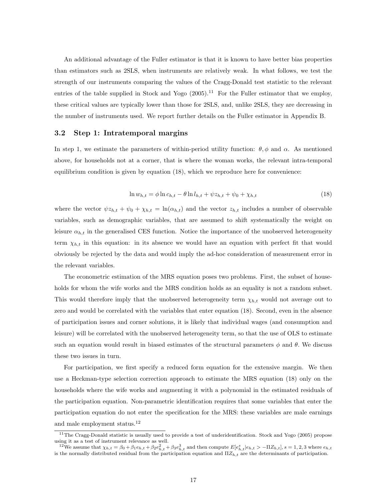An additional advantage of the Fuller estimator is that it is known to have better bias properties than estimators such as 2SLS, when instruments are relatively weak. In what follows, we test the strength of our instruments comparing the values of the Cragg-Donald test statistic to the relevant entries of the table supplied in Stock and Yogo  $(2005).<sup>11</sup>$  For the Fuller estimator that we employ, these critical values are typically lower than those for 2SLS, and, unlike 2SLS, they are decreasing in the number of instruments used. We report further details on the Fuller estimator in Appendix B.

#### 3.2 Step 1: Intratemporal margins

In step 1, we estimate the parameters of within-period utility function:  $\theta$ ,  $\phi$  and  $\alpha$ . As mentioned above, for households not at a corner, that is where the woman works, the relevant intra-temporal equilibrium condition is given by equation (18), which we reproduce here for convenience:

$$
\ln w_{h,t} = \phi \ln c_{h,t} - \theta \ln l_{h,t} + \psi z_{h,t} + \psi_0 + \chi_{h,t}
$$
\n(18)

where the vector  $\psi z_{h,t} + \psi_0 + \chi_{h,t} = \ln(\alpha_{h,t})$  and the vector  $z_{h,t}$  includes a number of observable variables, such as demographic variables, that are assumed to shift systematically the weight on leisure  $\alpha_{h,t}$  in the generalised CES function. Notice the importance of the unobserved heterogeneity term  $\chi_{h,t}$  in this equation: in its absence we would have an equation with perfect fit that would obviously be rejected by the data and would imply the ad-hoc consideration of measurement error in the relevant variables.

The econometric estimation of the MRS equation poses two problems. First, the subset of households for whom the wife works and the MRS condition holds as an equality is not a random subset. This would therefore imply that the unobserved heterogeneity term  $\chi_{h,t}$  would not average out to zero and would be correlated with the variables that enter equation (18). Second, even in the absence of participation issues and corner solutions, it is likely that individual wages (and consumption and leisure) will be correlated with the unobserved heterogeneity term, so that the use of OLS to estimate such an equation would result in biased estimates of the structural parameters  $\phi$  and  $\theta$ . We discuss these two issues in turn.

For participation, we first specify a reduced form equation for the extensive margin. We then use a Heckman-type selection correction approach to estimate the MRS equation (18) only on the households where the wife works and augmenting it with a polynomial in the estimated residuals of the participation equation. Non-parametric identification requires that some variables that enter the participation equation do not enter the specification for the MRS: these variables are male earnings and male employment status.<sup>12</sup>

<sup>&</sup>lt;sup>11</sup>The Cragg-Donald statistic is usually used to provide a test of underidentification. Stock and Yogo (2005) propose using it as a test of instrument relevance as well.

<sup>&</sup>lt;sup>12</sup>We assume that  $\chi_{h,t} = \beta_0 + \beta_1 e_{h,t} + \beta_2 e_{h,t}^2 + \beta_3 e_{h,t}^3$  and then compute  $E[e_{h,t}^s|e_{h,t} > -\Pi Z_{h,t}],$ ,  $s = 1, 2, 3$  where  $e_{h,t}$ is the normally distributed residual from the participation equation and  $\Pi Z_{h,t}$  are the determinants of participation.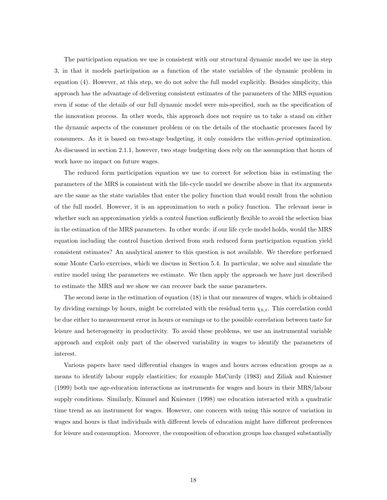The participation equation we use is consistent with our structural dynamic model we use in step 3, in that it models participation as a function of the state variables of the dynamic problem in equation (4). However, at this step, we do not solve the full model explicitly. Besides simplicity, this approach has the advantage of delivering consistent estimates of the parameters of the MRS equation even if some of the details of our full dynamic model were mis-specified, such as the specification of the innovation process. In other words, this approach does not require us to take a stand on either the dynamic aspects of the consumer problem or on the details of the stochastic processes faced by consumers. As it is based on two-stage budgeting, it only considers the within-period optimization. As discussed in section 2.1.1, however, two stage budgeting does rely on the assumption that hours of work have no impact on future wages.

The reduced form participation equation we use to correct for selection bias in estimating the parameters of the MRS is consistent with the life-cycle model we describe above in that its arguments are the same as the state variables that enter the policy function that would result from the solution of the full model. However, it is an approximation to such a policy function. The relevant issue is whether such an approximation yields a control function sufficiently flexible to avoid the selection bias in the estimation of the MRS parameters. In other words: if our life cycle model holds, would the MRS equation including the control function derived from such reduced form participation equation yield consistent estimates? An analytical answer to this question is not available. We therefore performed some Monte Carlo exercises, which we discuss in Section 5.4. In particular, we solve and simulate the entire model using the parameters we estimate. We then apply the approach we have just described to estimate the MRS and we show we can recover back the same parameters.

The second issue in the estimation of equation (18) is that our measures of wages, which is obtained by dividing earnings by hours, might be correlated with the residual term  $\chi_{h,t}$ . This correlation could be due either to measurement error in hours or earnings or to the possible correlation between taste for leisure and heterogeneity in productivity. To avoid these problems, we use an instrumental variable approach and exploit only part of the observed variability in wages to identify the parameters of interest.

Various papers have used differential changes in wages and hours across education groups as a means to identify labour supply elasticities; for example MaCurdy (1983) and Ziliak and Kniesner (1999) both use age-education interactions as instruments for wages and hours in their MRS/labour supply conditions. Similarly, Kimmel and Kniesner (1998) use education interacted with a quadratic time trend as an instrument for wages. However, one concern with using this source of variation in wages and hours is that individuals with different levels of education might have different preferences for leisure and consumption. Moreover, the composition of education groups has changed substantially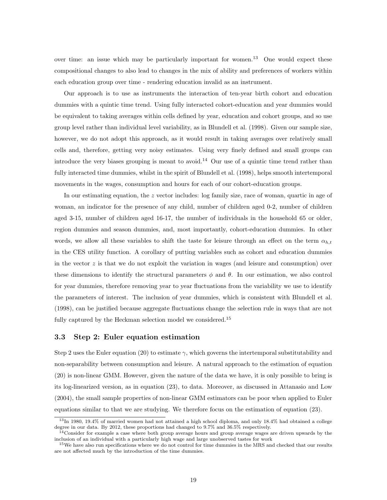over time: an issue which may be particularly important for women.<sup>13</sup> One would expect these compositional changes to also lead to changes in the mix of ability and preferences of workers within each education group over time - rendering education invalid as an instrument.

Our approach is to use as instruments the interaction of ten-year birth cohort and education dummies with a quintic time trend. Using fully interacted cohort-education and year dummies would be equivalent to taking averages within cells defined by year, education and cohort groups, and so use group level rather than individual level variability, as in Blundell et al. (1998). Given our sample size, however, we do not adopt this approach, as it would result in taking averages over relatively small cells and, therefore, getting very noisy estimates. Using very finely defined and small groups can introduce the very biases grouping is meant to avoid.<sup>14</sup> Our use of a quintic time trend rather than fully interacted time dummies, whilst in the spirit of Blundell et al. (1998), helps smooth intertemporal movements in the wages, consumption and hours for each of our cohort-education groups.

In our estimating equation, the z vector includes: log family size, race of woman, quartic in age of woman, an indicator for the presence of any child, number of children aged 0-2, number of children aged 3-15, number of children aged 16-17, the number of individuals in the household 65 or older, region dummies and season dummies, and, most importantly, cohort-education dummies. In other words, we allow all these variables to shift the taste for leisure through an effect on the term  $\alpha_{h,t}$ in the CES utility function. A corollary of putting variables such as cohort and education dummies in the vector  $z$  is that we do not exploit the variation in wages (and leisure and consumption) over these dimensions to identify the structural parameters  $\phi$  and  $\theta$ . In our estimation, we also control for year dummies, therefore removing year to year fluctuations from the variability we use to identify the parameters of interest. The inclusion of year dummies, which is consistent with Blundell et al. (1998), can be justified because aggregate fluctuations change the selection rule in ways that are not fully captured by the Heckman selection model we considered.<sup>15</sup>

#### 3.3 Step 2: Euler equation estimation

Step 2 uses the Euler equation (20) to estimate  $\gamma$ , which governs the intertemporal substitutability and non-separability between consumption and leisure. A natural approach to the estimation of equation (20) is non-linear GMM. However, given the nature of the data we have, it is only possible to bring is its log-linearized version, as in equation (23), to data. Moreover, as discussed in Attanasio and Low (2004), the small sample properties of non-linear GMM estimators can be poor when applied to Euler equations similar to that we are studying. We therefore focus on the estimation of equation (23).

<sup>13</sup>In 1980, 19.4% of married women had not attained a high school diploma, and only 18.4% had obtained a college degree in our data. By 2012, these proportions had changed to 9.7% and 36.5% respectively.

 $4$ Consider for example a case where both group average hours and group average wages are driven upwards by the inclusion of an individual with a particularly high wage and large unobserved tastes for work

<sup>&</sup>lt;sup>15</sup>We have also run specifications where we do not control for time dummies in the MRS and checked that our results are not affected much by the introduction of the time dummies.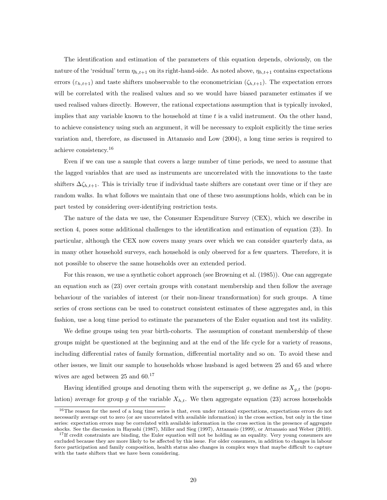The identification and estimation of the parameters of this equation depends, obviously, on the nature of the 'residual' term  $\eta_{h,t+1}$  on its right-hand-side. As noted above,  $\eta_{h,t+1}$  contains expectations errors  $(\varepsilon_{h,t+1})$  and taste shifters unobservable to the econometrician  $(\zeta_{h,t+1})$ . The expectation errors will be correlated with the realised values and so we would have biased parameter estimates if we used realised values directly. However, the rational expectations assumption that is typically invoked, implies that any variable known to the household at time  $t$  is a valid instrument. On the other hand, to achieve consistency using such an argument, it will be necessary to exploit explicitly the time series variation and, therefore, as discussed in Attanasio and Low (2004), a long time series is required to achieve consistency.<sup>16</sup>

Even if we can use a sample that covers a large number of time periods, we need to assume that the lagged variables that are used as instruments are uncorrelated with the innovations to the taste shifters  $\Delta \zeta_{h,t+1}$ . This is trivially true if individual taste shifters are constant over time or if they are random walks. In what follows we maintain that one of these two assumptions holds, which can be in part tested by considering over-identifying restriction tests.

The nature of the data we use, the Consumer Expenditure Survey (CEX), which we describe in section 4, poses some additional challenges to the identification and estimation of equation (23). In particular, although the CEX now covers many years over which we can consider quarterly data, as in many other household surveys, each household is only observed for a few quarters. Therefore, it is not possible to observe the same households over an extended period.

For this reason, we use a synthetic cohort approach (see Browning et al. (1985)). One can aggregate an equation such as (23) over certain groups with constant membership and then follow the average behaviour of the variables of interest (or their non-linear transformation) for such groups. A time series of cross sections can be used to construct consistent estimates of these aggregates and, in this fashion, use a long time period to estimate the parameters of the Euler equation and test its validity.

We define groups using ten year birth-cohorts. The assumption of constant membership of these groups might be questioned at the beginning and at the end of the life cycle for a variety of reasons, including differential rates of family formation, differential mortality and so on. To avoid these and other issues, we limit our sample to households whose husband is aged between 25 and 65 and where wives are aged between 25 and 60.<sup>17</sup>

Having identified groups and denoting them with the superscript g, we define as  $X_{g,t}$  the (population) average for group g of the variable  $X_{h,t}$ . We then aggregate equation (23) across households

<sup>&</sup>lt;sup>16</sup>The reason for the need of a long time series is that, even under rational expectations, expectations errors do not necessarily average out to zero (or are uncorrelated with available information) in the cross section, but only in the time series: expectation errors may be correlated with available information in the cross section in the presence of aggregate shocks. See the discussion in Hayashi (1987), Miller and Sieg (1997), Attanasio (1999), or Attanasio and Weber (2010).

 $17$ If credit constraints are binding, the Euler equation will not be holding as an equality. Very young consumers are excluded because they are more likely to be affected by this issue. For older consumers, in addition to changes in labour force participation and family composition, health status also changes in complex ways that maybe difficult to capture with the taste shifters that we have been considering.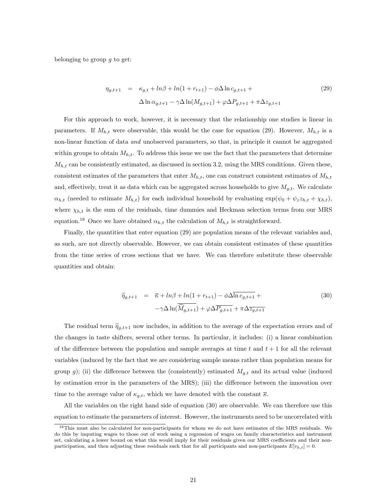belonging to group  $q$  to get:

$$
\eta_{g,t+1} = \kappa_{g,t} + \ln\beta + \ln(1 + r_{t+1}) - \phi \Delta \ln c_{g,t+1} +
$$
  
 
$$
\Delta \ln \alpha_{g,t+1} - \gamma \Delta \ln(M_{g,t+1}) + \varphi \Delta P_{g,t+1} + \pi \Delta z_{g,t+1}
$$
 (29)

For this approach to work, however, it is necessary that the relationship one studies is linear in parameters. If  $M_{h,t}$  were observable, this would be the case for equation (29). However,  $M_{h,t}$  is a non-linear function of data and unobserved parameters, so that, in principle it cannot be aggregated within groups to obtain  $M_{h,t}$ . To address this issue we use the fact that the parameters that determine  $M_{h,t}$  can be consistently estimated, as discussed in section 3.2, using the MRS conditions. Given these, consistent estimates of the parameters that enter  $M_{h,t}$ , one can construct consistent estimates of  $M_{h,t}$ and, effectively, treat it as data which can be aggregated across households to give  $M_{g,t}$ . We calculate  $\alpha_{h,t}$  (needed to estimate  $M_{h,t}$ ) for each individual household by evaluating  $\exp(\psi_0 + \psi_z z_{h,t} + \chi_{h,t}),$ where  $\chi_{h,t}$  is the sum of the residuals, time dummies and Heckman selection terms from our MRS equation.<sup>18</sup> Once we have obtained  $\alpha_{h,t}$  the calculation of  $M_{h,t}$  is straightforward.

Finally, the quantities that enter equation (29) are population means of the relevant variables and, as such, are not directly observable. However, we can obtain consistent estimates of these quantities from the time series of cross sections that we have. We can therefore substitute these observable quantities and obtain:

$$
\widetilde{\eta}_{g,t+1} = \overline{\kappa} + \ln\beta + \ln(1 + r_{t+1}) - \phi \Delta \overline{\ln c_{g,t+1}} +
$$
  

$$
-\gamma \Delta \ln(\overline{\widehat{M}_{g,t+1}}) + \varphi \Delta \overline{P_{g,t+1}} + \pi \Delta \overline{z_{g,t+1}}
$$
(30)

The residual term  $\tilde{\eta}_{q,t+1}$  now includes, in addition to the average of the expectation errors and of the changes in taste shifters, several other terms. In particular, it includes: (i) a linear combination of the difference between the population and sample averages at time t and  $t + 1$  for all the relevant variables (induced by the fact that we are considering sample means rather than population means for group g); (ii) the difference between the (consistently) estimated  $M_{q,t}$  and its actual value (induced by estimation error in the parameters of the MRS); (iii) the difference between the innovation over time to the average value of  $\kappa_{q,t}$ , which we have denoted with the constant  $\bar{\kappa}$ .

All the variables on the right hand side of equation (30) are observable. We can therefore use this equation to estimate the parameters of interest. However, the instruments need to be uncorrelated with

<sup>&</sup>lt;sup>18</sup>This must also be calculated for non-participants for whom we do not have estimates of the MRS residuals. We do this by imputing wages to those out of work using a regression of wages on family characteristics and instrument set, calculating a lower bound on what this would imply for their residuals given our MRS coefficients and their nonparticipation, and then adjusting these residuals such that for all participants and non-participants  $E[v_{h,t}] = 0$ .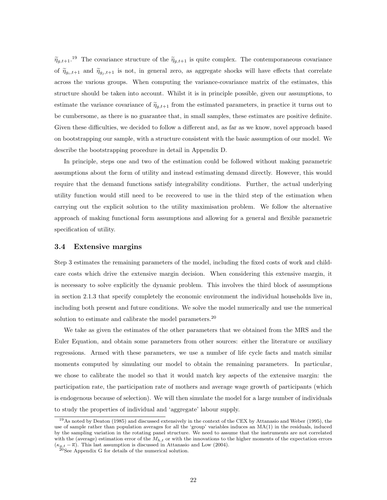$\tilde{\eta}_{g,t+1}.$ <sup>19</sup> The covariance structure of the  $\tilde{\eta}_{g,t+1}$  is quite complex. The contemporaneous covariance of  $\tilde{\eta}_{g_i,t+1}$  and  $\tilde{\eta}_{g_i,t+1}$  is not, in general zero, as aggregate shocks will have effects that correlate across the various groups. When computing the variance-covariance matrix of the estimates, this structure should be taken into account. Whilst it is in principle possible, given our assumptions, to estimate the variance covariance of  $\tilde{\eta}_{g,t+1}$  from the estimated parameters, in practice it turns out to be cumbersome, as there is no guarantee that, in small samples, these estimates are positive definite. Given these difficulties, we decided to follow a different and, as far as we know, novel approach based on bootstrapping our sample, with a structure consistent with the basic assumption of our model. We describe the bootstrapping procedure in detail in Appendix D.

In principle, steps one and two of the estimation could be followed without making parametric assumptions about the form of utility and instead estimating demand directly. However, this would require that the demand functions satisfy integrability conditions. Further, the actual underlying utility function would still need to be recovered to use in the third step of the estimation when carrying out the explicit solution to the utility maximisation problem. We follow the alternative approach of making functional form assumptions and allowing for a general and flexible parametric specification of utility.

#### 3.4 Extensive margins

Step 3 estimates the remaining parameters of the model, including the fixed costs of work and childcare costs which drive the extensive margin decision. When considering this extensive margin, it is necessary to solve explicitly the dynamic problem. This involves the third block of assumptions in section 2.1.3 that specify completely the economic environment the individual households live in, including both present and future conditions. We solve the model numerically and use the numerical solution to estimate and calibrate the model parameters.<sup>20</sup>

We take as given the estimates of the other parameters that we obtained from the MRS and the Euler Equation, and obtain some parameters from other sources: either the literature or auxiliary regressions. Armed with these parameters, we use a number of life cycle facts and match similar moments computed by simulating our model to obtain the remaining parameters. In particular, we chose to calibrate the model so that it would match key aspects of the extensive margin: the participation rate, the participation rate of mothers and average wage growth of participants (which is endogenous because of selection). We will then simulate the model for a large number of individuals to study the properties of individual and 'aggregate' labour supply.

<sup>19</sup>As noted by Deaton (1985) and discussed extensively in the context of the CEX by Attanasio and Weber (1995), the use of sample rather than population averages for all the 'group' variables induces an MA(1) in the residuals, induced by the sampling variation in the rotating panel structure. We need to assume that the instruments are not correlated with the (average) estimation error of the  $M_{h,t}$  or with the innovations to the higher moments of the expectation errors  $(\kappa_{g,t} - \overline{\kappa})$ . This last assumption is discussed in Attanasio and Low (2004).

 $^{20}$ See Appendix G for details of the numerical solution.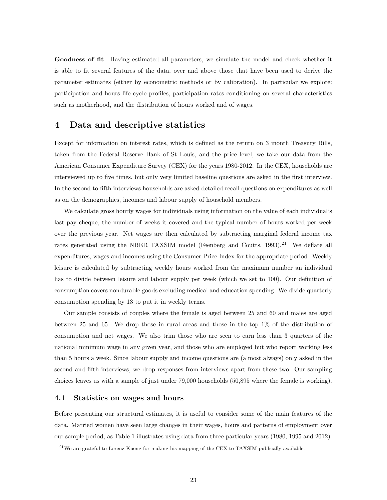Goodness of fit Having estimated all parameters, we simulate the model and check whether it is able to fit several features of the data, over and above those that have been used to derive the parameter estimates (either by econometric methods or by calibration). In particular we explore: participation and hours life cycle profiles, participation rates conditioning on several characteristics such as motherhood, and the distribution of hours worked and of wages.

## 4 Data and descriptive statistics

Except for information on interest rates, which is defined as the return on 3 month Treasury Bills, taken from the Federal Reserve Bank of St Louis, and the price level, we take our data from the American Consumer Expenditure Survey (CEX) for the years 1980-2012. In the CEX, households are interviewed up to five times, but only very limited baseline questions are asked in the first interview. In the second to fifth interviews households are asked detailed recall questions on expenditures as well as on the demographics, incomes and labour supply of household members.

We calculate gross hourly wages for individuals using information on the value of each individual's last pay cheque, the number of weeks it covered and the typical number of hours worked per week over the previous year. Net wages are then calculated by subtracting marginal federal income tax rates generated using the NBER TAXSIM model (Feenberg and Coutts,  $1993$ ).<sup>21</sup> We deflate all expenditures, wages and incomes using the Consumer Price Index for the appropriate period. Weekly leisure is calculated by subtracting weekly hours worked from the maximum number an individual has to divide between leisure and labour supply per week (which we set to 100). Our definition of consumption covers nondurable goods excluding medical and education spending. We divide quarterly consumption spending by 13 to put it in weekly terms.

Our sample consists of couples where the female is aged between 25 and 60 and males are aged between 25 and 65. We drop those in rural areas and those in the top 1% of the distribution of consumption and net wages. We also trim those who are seen to earn less than 3 quarters of the national minimum wage in any given year, and those who are employed but who report working less than 5 hours a week. Since labour supply and income questions are (almost always) only asked in the second and fifth interviews, we drop responses from interviews apart from these two. Our sampling choices leaves us with a sample of just under 79,000 households (50,895 where the female is working).

#### 4.1 Statistics on wages and hours

Before presenting our structural estimates, it is useful to consider some of the main features of the data. Married women have seen large changes in their wages, hours and patterns of employment over our sample period, as Table 1 illustrates using data from three particular years (1980, 1995 and 2012).

<sup>21</sup>We are grateful to Lorenz Kueng for making his mapping of the CEX to TAXSIM publically available.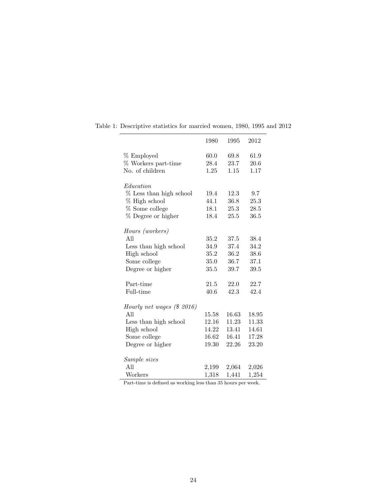|                                      | 1980         | 1995         | 2012         |
|--------------------------------------|--------------|--------------|--------------|
| % Employed<br>% Workers part-time    | 60.0<br>28.4 | 69.8<br>23.7 | 61.9<br>20.6 |
| No. of children                      | 1.25         | 1.15         | 1.17         |
|                                      |              |              |              |
| Education<br>% Less than high school | 19.4         | 12.3         | 9.7          |
|                                      |              |              |              |
| % High school                        | 44.1         | 36.8         | 25.3         |
| % Some college                       | 18.1         | 25.3         | 28.5         |
| % Degree or higher                   | 18.4         | 25.5         | 36.5         |
|                                      |              |              |              |
| Hours (workers)<br>All               | 35.2         | 37.5         | 38.4         |
| Less than high school                | 34.9         | 37.4         | 34.2         |
| High school                          | 35.2         | 36.2         |              |
|                                      |              |              | 38.6         |
| Some college                         | 35.0         | 36.7         | 37.1         |
| Degree or higher                     | 35.5         | 39.7         | 39.5         |
| Part-time                            | 21.5         | 22.0         | 22.7         |
| Full-time                            | 40.6         | 42.3         | 42.4         |
|                                      |              |              |              |
| Hourly net wages (\$ 2016)           |              |              |              |
| A11                                  | 15.58        | 16.63        | 18.95        |
| Less than high school                | 12.16        | 11.23        | 11.33        |
| High school                          | 14.22        | 13.41        | 14.61        |
| Some college                         | 16.62        | 16.41        | 17.28        |
| Degree or higher                     | 19.30        | 22.26        | 23.20        |
|                                      |              |              |              |
| Sample sizes                         |              |              |              |
| A11                                  | 2,199        | 2,064        | 2,026        |
| Workers                              | 1,318        | 1,441        | 1,254        |

Table 1: Descriptive statistics for married women, 1980, 1995 and 2012

Part-time is defined as working less than 35 hours per week.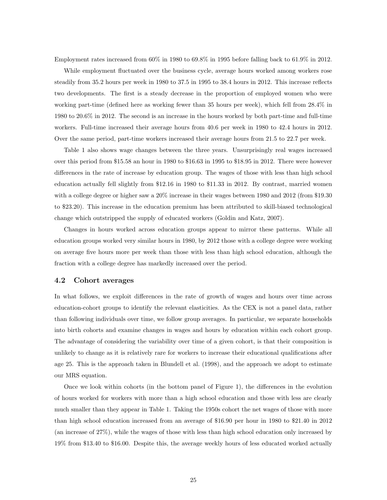Employment rates increased from 60% in 1980 to 69.8% in 1995 before falling back to 61.9% in 2012.

While employment fluctuated over the business cycle, average hours worked among workers rose steadily from 35.2 hours per week in 1980 to 37.5 in 1995 to 38.4 hours in 2012. This increase reflects two developments. The first is a steady decrease in the proportion of employed women who were working part-time (defined here as working fewer than 35 hours per week), which fell from 28.4% in 1980 to 20.6% in 2012. The second is an increase in the hours worked by both part-time and full-time workers. Full-time increased their average hours from 40.6 per week in 1980 to 42.4 hours in 2012. Over the same period, part-time workers increased their average hours from 21.5 to 22.7 per week.

Table 1 also shows wage changes between the three years. Unsurprisingly real wages increased over this period from \$15.58 an hour in 1980 to \$16.63 in 1995 to \$18.95 in 2012. There were however differences in the rate of increase by education group. The wages of those with less than high school education actually fell slightly from \$12.16 in 1980 to \$11.33 in 2012. By contrast, married women with a college degree or higher saw a 20% increase in their wages between 1980 and 2012 (from \$19.30) to \$23.20). This increase in the education premium has been attributed to skill-biased technological change which outstripped the supply of educated workers (Goldin and Katz, 2007).

Changes in hours worked across education groups appear to mirror these patterns. While all education groups worked very similar hours in 1980, by 2012 those with a college degree were working on average five hours more per week than those with less than high school education, although the fraction with a college degree has markedly increased over the period.

#### 4.2 Cohort averages

In what follows, we exploit differences in the rate of growth of wages and hours over time across education-cohort groups to identify the relevant elasticities. As the CEX is not a panel data, rather than following individuals over time, we follow group averages. In particular, we separate households into birth cohorts and examine changes in wages and hours by education within each cohort group. The advantage of considering the variability over time of a given cohort, is that their composition is unlikely to change as it is relatively rare for workers to increase their educational qualifications after age 25. This is the approach taken in Blundell et al. (1998), and the approach we adopt to estimate our MRS equation.

Once we look within cohorts (in the bottom panel of Figure 1), the differences in the evolution of hours worked for workers with more than a high school education and those with less are clearly much smaller than they appear in Table 1. Taking the 1950s cohort the net wages of those with more than high school education increased from an average of \$16.90 per hour in 1980 to \$21.40 in 2012 (an increase of 27%), while the wages of those with less than high school education only increased by 19% from \$13.40 to \$16.00. Despite this, the average weekly hours of less educated worked actually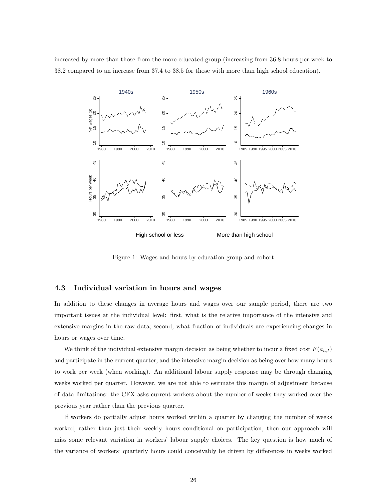increased by more than those from the more educated group (increasing from 36.8 hours per week to 38.2 compared to an increase from 37.4 to 38.5 for those with more than high school education).



Figure 1: Wages and hours by education group and cohort

#### 4.3 Individual variation in hours and wages

In addition to these changes in average hours and wages over our sample period, there are two important issues at the individual level: first, what is the relative importance of the intensive and extensive margins in the raw data; second, what fraction of individuals are experiencing changes in hours or wages over time.

We think of the individual extensive margin decision as being whether to incur a fixed cost  $F(a_{h,t})$ and participate in the current quarter, and the intensive margin decision as being over how many hours to work per week (when working). An additional labour supply response may be through changing weeks worked per quarter. However, we are not able to esitmate this margin of adjustment because of data limitations: the CEX asks current workers about the number of weeks they worked over the previous year rather than the previous quarter.

If workers do partially adjust hours worked within a quarter by changing the number of weeks worked, rather than just their weekly hours conditional on participation, then our approach will miss some relevant variation in workers' labour supply choices. The key question is how much of the variance of workers' quarterly hours could conceivably be driven by differences in weeks worked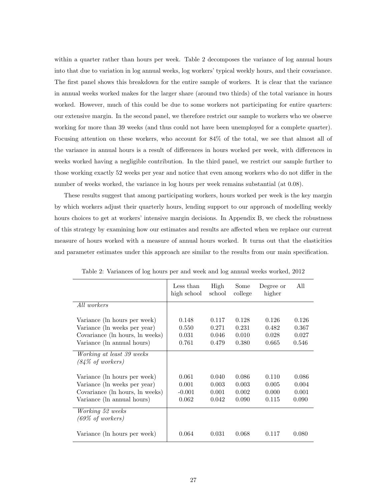within a quarter rather than hours per week. Table 2 decomposes the variance of log annual hours into that due to variation in log annual weeks, log workers' typical weekly hours, and their covariance. The first panel shows this breakdown for the entire sample of workers. It is clear that the variance in annual weeks worked makes for the larger share (around two thirds) of the total variance in hours worked. However, much of this could be due to some workers not participating for entire quarters: our extensive margin. In the second panel, we therefore restrict our sample to workers who we observe working for more than 39 weeks (and thus could not have been unemployed for a complete quarter). Focusing attention on these workers, who account for 84% of the total, we see that almost all of the variance in annual hours is a result of differences in hours worked per week, with differences in weeks worked having a negligible contribution. In the third panel, we restrict our sample further to those working exactly 52 weeks per year and notice that even among workers who do not differ in the number of weeks worked, the variance in log hours per week remains substantial (at 0.08).

These results suggest that among participating workers, hours worked per week is the key margin by which workers adjust their quarterly hours, lending support to our approach of modelling weekly hours choices to get at workers' intensive margin decisions. In Appendix B, we check the robustness of this strategy by examining how our estimates and results are affected when we replace our current measure of hours worked with a measure of annual hours worked. It turns out that the elasticities and parameter estimates under this approach are similar to the results from our main specification.

|                                                                                                                               | Less than<br>high school            | High<br>school                   | Some<br>college                  | Degree or<br>higher              | All                              |
|-------------------------------------------------------------------------------------------------------------------------------|-------------------------------------|----------------------------------|----------------------------------|----------------------------------|----------------------------------|
| All workers                                                                                                                   |                                     |                                  |                                  |                                  |                                  |
| Variance (ln hours per week)<br>Variance (ln weeks per year)<br>Covariance (ln hours, ln weeks)<br>Variance (ln annual hours) | 0.148<br>0.550<br>0.031<br>0.761    | 0.117<br>0.271<br>0.046<br>0.479 | 0.128<br>0.231<br>0.010<br>0.380 | 0.126<br>0.482<br>0.028<br>0.665 | 0.126<br>0.367<br>0.027<br>0.546 |
| Working at least 39 weeks<br>$(84\% \text{ of workers})$                                                                      |                                     |                                  |                                  |                                  |                                  |
| Variance (ln hours per week)<br>Variance (ln weeks per year)<br>Covariance (ln hours, ln weeks)<br>Variance (ln annual hours) | 0.061<br>0.001<br>$-0.001$<br>0.062 | 0.040<br>0.003<br>0.001<br>0.042 | 0.086<br>0.003<br>0.002<br>0.090 | 0.110<br>0.005<br>0.000<br>0.115 | 0.086<br>0.004<br>0.001<br>0.090 |
| <i>Working</i> 52 weeks<br>$(69\% \text{ of workers})$<br>Variance (ln hours per week)                                        | 0.064                               | 0.031                            | 0.068                            | 0.117                            | 0.080                            |

Table 2: Variances of log hours per and week and log annual weeks worked, 2012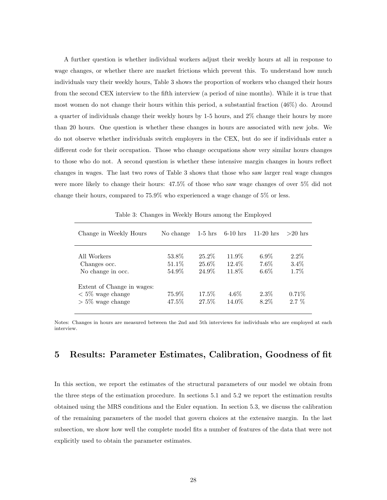A further question is whether individual workers adjust their weekly hours at all in response to wage changes, or whether there are market frictions which prevent this. To understand how much individuals vary their weekly hours, Table 3 shows the proportion of workers who changed their hours from the second CEX interview to the fifth interview (a period of nine months). While it is true that most women do not change their hours within this period, a substantial fraction (46%) do. Around a quarter of individuals change their weekly hours by 1-5 hours, and 2% change their hours by more than 20 hours. One question is whether these changes in hours are associated with new jobs. We do not observe whether individuals switch employers in the CEX, but do see if individuals enter a different code for their occupation. Those who change occupations show very similar hours changes to those who do not. A second question is whether these intensive margin changes in hours reflect changes in wages. The last two rows of Table 3 shows that those who saw larger real wage changes were more likely to change their hours: 47.5% of those who saw wage changes of over 5% did not change their hours, compared to 75.9% who experienced a wage change of 5% or less.

| Change in Weekly Hours                                                  | No change                | $1-5$ hrs                     | $6-10$ hrs               | $11-20$ hrs                   | $>20$ hrs                  |
|-------------------------------------------------------------------------|--------------------------|-------------------------------|--------------------------|-------------------------------|----------------------------|
| All Workers<br>Changes occ.<br>No change in occ.                        | 53.8%<br>51.1\%<br>54.9% | $25.2\%$<br>$25.6\%$<br>24.9% | 11.9%<br>12.4\%<br>11.8% | $6.9\%$<br>$7.6\%$<br>$6.6\%$ | $2.2\%$<br>$3.4\%$<br>1.7% |
| Extent of Change in wages:<br>$< 5\%$ wage change<br>$>$ 5% wage change | 75.9%<br>47.5%           | 17.5%<br>27.5%                | $4.6\%$<br>14.0%         | $2.3\%$<br>8.2%               | $0.71\%$<br>$2.7\%$        |

Table 3: Changes in Weekly Hours among the Employed

Notes: Changes in hours are measured between the 2nd and 5th interviews for individuals who are employed at each interview.

## 5 Results: Parameter Estimates, Calibration, Goodness of fit

In this section, we report the estimates of the structural parameters of our model we obtain from the three steps of the estimation procedure. In sections 5.1 and 5.2 we report the estimation results obtained using the MRS conditions and the Euler equation. In section 5.3, we discuss the calibration of the remaining parameters of the model that govern choices at the extensive margin. In the last subsection, we show how well the complete model fits a number of features of the data that were not explicitly used to obtain the parameter estimates.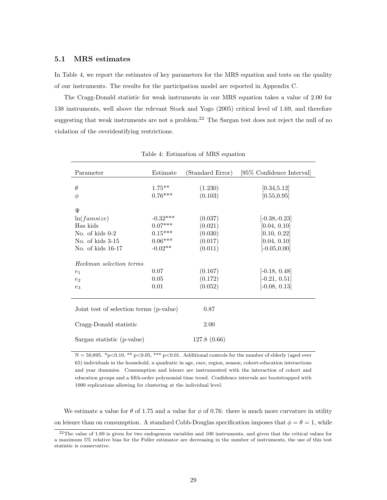#### 5.1 MRS estimates

In Table 4, we report the estimates of key parameters for the MRS equation and tests on the quality of our instruments. The results for the participation model are reported in Appendix C.

The Cragg-Donald statistic for weak instruments in our MRS equation takes a value of 2.00 for 138 instruments, well above the relevant Stock and Yogo (2005) critical level of 1.69, and therefore suggesting that weak instruments are not a problem.<sup>22</sup> The Sargan test does not reject the null of no violation of the overidentifying restrictions.

| Parameter                                                                                       | Estimate                                                       | (Standard Error)                                    | [95\% Confidence Interval]                                                         |
|-------------------------------------------------------------------------------------------------|----------------------------------------------------------------|-----------------------------------------------------|------------------------------------------------------------------------------------|
| $\theta$<br>$\phi$                                                                              | $1.75***$<br>$0.76***$                                         | (1.230)<br>(0.103)                                  | [0.34, 5.12]<br>[0.55, 0.95]                                                       |
| Ψ<br>ln(famsize)<br>Has kids<br>No. of kids $0-2$<br>No. of kids 3-15<br>No. of kids 16-17      | $-0.32***$<br>$0.07***$<br>$0.15***$<br>$0.06***$<br>$-0.02**$ | (0.037)<br>(0.021)<br>(0.030)<br>(0.017)<br>(0.011) | $[-0.38,-0.23]$<br>[0.04, 0.10]<br>[0.10, 0.22]<br>[0.04, 0.10]<br>$[-0.05, 0.00]$ |
| Heckman selection terms<br>e <sub>1</sub><br>e <sub>2</sub><br>$e_3$                            | 0.07<br>0.05<br>0.01                                           | (0.167)<br>(0.172)<br>(0.052)                       | $[-0.18, 0.48]$<br>$[-0.21, 0.51]$<br>$[-0.08, 0.13]$                              |
| Joint test of selection terms (p-value)<br>Cragg-Donald statistic<br>Sargan statistic (p-value) |                                                                | 0.87<br>2.00<br>127.8(0.66)                         |                                                                                    |

Table 4: Estimation of MRS equation

 $N = 50,895$ . \*p<0.10, \*\* p<0.05, \*\*\* p<0.01. Additional controls for the number of elderly (aged over 65) individuals in the household, a quadratic in age, race, region, season, cohort-education interactions and year dummies. Consumption and leisure are instrumented with the interaction of cohort and education groups and a fifth-order polynomial time trend. Confidence intervals are bootstrapped with 1000 replications allowing for clustering at the individual level.

We estimate a value for  $\theta$  of 1.75 and a value for  $\phi$  of 0.76: there is much more curvature in utility on leisure than on consumption. A standard Cobb-Douglas specification imposes that  $\phi = \theta = 1$ , while

 $22$ The value of 1.69 is given for two endogenous variables and 100 instruments, and given that the critical values for a maximum 5% relative bias for the Fuller estimator are decreasing in the number of instruments, the use of this test statistic is conservative.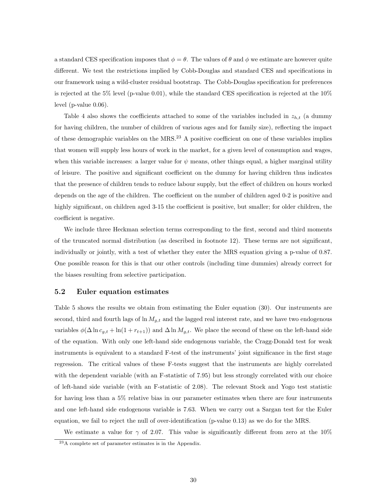a standard CES specification imposes that  $\phi = \theta$ . The values of  $\theta$  and  $\phi$  we estimate are however quite different. We test the restrictions implied by Cobb-Douglas and standard CES and specifications in our framework using a wild-cluster residual bootstrap. The Cobb-Douglas specification for preferences is rejected at the 5% level (p-value 0.01), while the standard CES specification is rejected at the  $10\%$ level (p-value 0.06).

Table 4 also shows the coefficients attached to some of the variables included in  $z_{h,t}$  (a dummy for having children, the number of children of various ages and for family size), reflecting the impact of these demographic variables on the  $MRS<sup>23</sup>$  A positive coefficient on one of these variables implies that women will supply less hours of work in the market, for a given level of consumption and wages, when this variable increases: a larger value for  $\psi$  means, other things equal, a higher marginal utility of leisure. The positive and significant coefficient on the dummy for having children thus indicates that the presence of children tends to reduce labour supply, but the effect of children on hours worked depends on the age of the children. The coefficient on the number of children aged 0-2 is positive and highly significant, on children aged 3-15 the coefficient is positive, but smaller; for older children, the coefficient is negative.

We include three Heckman selection terms corresponding to the first, second and third moments of the truncated normal distribution (as described in footnote 12). These terms are not significant, individually or jointly, with a test of whether they enter the MRS equation giving a p-value of 0.87. One possible reason for this is that our other controls (including time dummies) already correct for the biases resulting from selective participation.

#### 5.2 Euler equation estimates

Table 5 shows the results we obtain from estimating the Euler equation (30). Our instruments are second, third and fourth lags of  $\ln M_{g,t}$  and the lagged real interest rate, and we have two endogenous variables  $\phi(\Delta \ln c_{g,t} + \ln(1 + r_{t+1}))$  and  $\Delta \ln M_{g,t}$ . We place the second of these on the left-hand side of the equation. With only one left-hand side endogenous variable, the Cragg-Donald test for weak instruments is equivalent to a standard F-test of the instruments' joint significance in the first stage regression. The critical values of these F-tests suggest that the instruments are highly correlated with the dependent variable (with an F-statistic of 7.95) but less strongly correlated with our choice of left-hand side variable (with an F-statistic of 2.08). The relevant Stock and Yogo test statistic for having less than a 5% relative bias in our parameter estimates when there are four instruments and one left-hand side endogenous variable is 7.63. When we carry out a Sargan test for the Euler equation, we fail to reject the null of over-identification (p-value 0.13) as we do for the MRS.

We estimate a value for  $\gamma$  of 2.07. This value is significantly different from zero at the 10%

 $^{23}$ A complete set of parameter estimates is in the Appendix.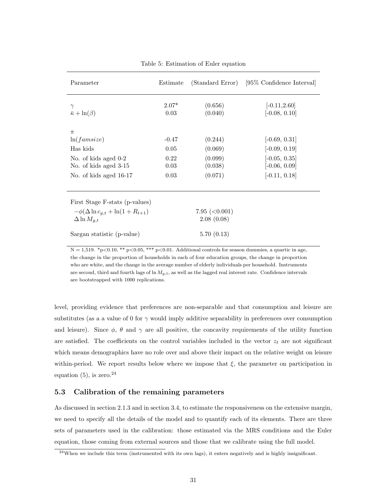| Parameter                                                                        | Estimate        |                    | (Standard Error) [95% Confidence Interval] |
|----------------------------------------------------------------------------------|-----------------|--------------------|--------------------------------------------|
| $\gamma$<br>$\bar{\kappa} + \ln(\beta)$                                          | $2.07*$<br>0.03 | (0.656)<br>(0.040) | $[-0.11, 2.60]$<br>$[-0.08, 0.10]$         |
| $\pi$                                                                            |                 |                    |                                            |
| ln(famsize)                                                                      | $-0.47$         | (0.244)            | $[-0.69, 0.31]$                            |
| Has kids                                                                         | 0.05            | (0.069)            | $[-0.09, 0.19]$                            |
| No. of kids aged 0-2                                                             | 0.22            | (0.099)            | $[-0.05, 0.35]$                            |
| No. of kids aged 3-15                                                            | 0.03            | (0.038)            | $[-0.06, 0.09]$                            |
| No. of kids aged 16-17                                                           | 0.03            | (0.071)            | $[-0.11, 0.18]$                            |
| First Stage F-stats (p-values)<br>$-\phi(\Delta \ln c_{q,t} + \ln(1 + R_{t+1}))$ |                 | 7.95 ( $<$ 0.001)  |                                            |
| $\Delta \ln M_{a,t}$                                                             |                 | 2.08(0.08)         |                                            |
| Sargan statistic (p-value)                                                       |                 | 5.70(0.13)         |                                            |

Table 5: Estimation of Euler equation

 $N = 1,519.$  \*p<0.10, \*\* p<0.05, \*\*\* p<0.01. Additional controls for season dummies, a quartic in age, the change in the proportion of households in each of four education groups, the change in proportion who are white, and the change in the average number of elderly individuals per household. Instruments are second, third and fourth lags of  $\ln M_{g,t}$ , as well as the lagged real interest rate. Confidence intervals are bootstrapped with 1000 replications.

level, providing evidence that preferences are non-separable and that consumption and leisure are substitutes (as a a value of 0 for  $\gamma$  would imply additive separability in preferences over consumption and leisure). Since  $\phi$ ,  $\theta$  and  $\gamma$  are all positive, the concavity requirements of the utility function are satisfied. The coefficients on the control variables included in the vector  $z_t$  are not significant which means demographics have no role over and above their impact on the relative weight on leisure within-period. We report results below where we impose that  $\xi$ , the parameter on participation in equation  $(5)$ , is zero.<sup>24</sup>

### 5.3 Calibration of the remaining parameters

As discussed in section 2.1.3 and in section 3.4, to estimate the responsiveness on the extensive margin, we need to specify all the details of the model and to quantify each of its elements. There are three sets of parameters used in the calibration: those estimated via the MRS conditions and the Euler equation, those coming from external sources and those that we calibrate using the full model.

<sup>24</sup>When we include this term (instrumented with its own lags), it enters negatively and is highly insignificant.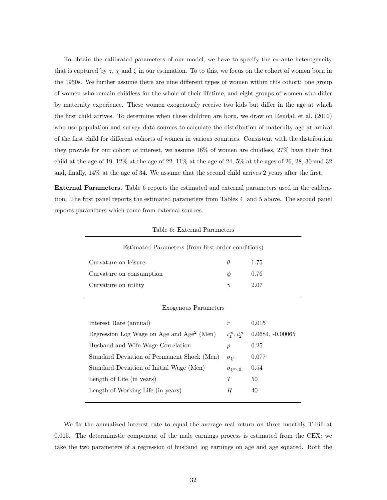To obtain the calibrated parameters of our model, we have to specify the ex-ante heterogeneity that is captured by z,  $\chi$  and  $\zeta$  in our estimation. To to this, we focus on the cohort of women born in the 1950s. We further assume there are nine different types of women within this cohort: one group of women who remain childless for the whole of their lifetime, and eight groups of women who differ by maternity experience. These women exogenously receive two kids but differ in the age at which the first child arrives. To determine when these children are born, we draw on Rendall et al. (2010) who use population and survey data sources to calculate the distribution of maternity age at arrival of the first child for different cohorts of women in various countries. Consistent with the distribution they provide for our cohort of interest, we assume 16% of women are childless, 27% have their first child at the age of 19, 12% at the age of 22, 11% at the age of 24, 5% at the ages of 26, 28, 30 and 32 and, finally, 14% at the age of 34. We assume that the second child arrives 2 years after the first.

External Parameters. Table 6 reports the estimated and external parameters used in the calibration. The first panel reports the estimated parameters from Tables 4 and 5 above. The second panel reports parameters which come from external sources.

| Estimated Parameters (from first-order conditions)    |                                               |                    |  |  |  |
|-------------------------------------------------------|-----------------------------------------------|--------------------|--|--|--|
| Curvature on leisure                                  | $\theta$                                      | 1.75               |  |  |  |
| Curvature on consumption                              | Φ                                             | 0.76               |  |  |  |
| Curvature on utility                                  | $\gamma$                                      | 2.07               |  |  |  |
|                                                       |                                               |                    |  |  |  |
| Exogenous Parameters                                  |                                               |                    |  |  |  |
| Interest Rate (annual)                                | $\boldsymbol{r}$                              | 0.015              |  |  |  |
| Regression Log Wage on Age and Age <sup>2</sup> (Men) | $\iota_1^m, \iota_2^m$                        | $0.0684, -0.00065$ |  |  |  |
| Husband and Wife Wage Correlation                     | $\rho$                                        | 0.25               |  |  |  |
| Standard Deviation of Permanent Shock (Men)           | $\sigma$ <sub><math>\epsilon</math></sub> $m$ | 0.077              |  |  |  |
| Standard Deviation of Initial Wage (Men)              | $\sigma_{\xi^m,0}$                            | 0.54               |  |  |  |

Table 6: External Parameters

We fix the annualized interest rate to equal the average real return on three monthly T-bill at 0.015. The deterministic component of the male earnings process is estimated from the CEX: we take the two parameters of a regression of husband log earnings on age and age squared. Both the

Length of Life (in years)  $T = 50$ Length of Working Life (in years)  $R = 40$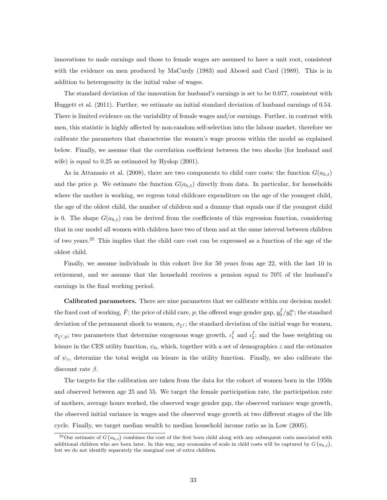innovations to male earnings and those to female wages are assumed to have a unit root, consistent with the evidence on men produced by MaCurdy (1983) and Abowd and Card (1989). This is in addition to heterogeneity in the initial value of wages.

The standard deviation of the innovation for husband's earnings is set to be 0.077, consistent with Huggett et al. (2011). Further, we estimate an initial standard deviation of husband earnings of 0.54. There is limited evidence on the variability of female wages and/or earnings. Further, in contrast with men, this statistic is highly affected by non-random self-selection into the labour market, therefore we calibrate the parameters that characterise the women's wage process within the model as explained below. Finally, we assume that the correlation coefficient between the two shocks (for husband and wife) is equal to 0.25 as estimated by Hyslop (2001).

As in Attanasio et al. (2008), there are two components to child care costs: the function  $G(a_{h,t})$ and the price p. We estimate the function  $G(a_{h,t})$  directly from data. In particular, for households where the mother is working, we regress total childcare expenditure on the age of the youngest child, the age of the oldest child, the number of children and a dummy that equals one if the youngest child is 0. The shape  $G(a_{h,t})$  can be derived from the coefficients of this regression function, considering that in our model all women with children have two of them and at the same interval between children of two years.<sup>25</sup> This implies that the child care cost can be expressed as a function of the age of the oldest child.

Finally, we assume individuals in this cohort live for 50 years from age 22, with the last 10 in retirement, and we assume that the household receives a pension equal to 70% of the husband's earnings in the final working period.

Calibrated parameters. There are nine parameters that we calibrate within our decision model: the fixed cost of working,  $\bar{F}$ ; the price of child care, p; the offered wage gender gap,  $y_0^f/y_0^m$ ; the standard deviation of the permanent shock to women,  $\sigma_{\xi} f$ ; the standard deviation of the initial wage for women,  $\sigma_{\xi^f,0}$ ; two parameters that determine exogenous wage growth,  $\iota_1^f$  and  $\iota_2^f$ ; and the base weighting on leisure in the CES utility function,  $\psi_0$ , which, together with a set of demographics z and the estimates of  $\psi_z$ , determine the total weight on leisure in the utility function. Finally, we also calibrate the discount rate  $\beta$ .

The targets for the calibration are taken from the data for the cohort of women born in the 1950s and observed between age 25 and 55. We target the female participation rate, the participation rate of mothers, average hours worked, the observed wage gender gap, the observed variance wage growth, the observed initial variance in wages and the observed wage growth at two different stages of the life cycle. Finally, we target median wealth to median household income ratio as in Low (2005).

<sup>&</sup>lt;sup>25</sup>Our estimate of  $G(a_{h,t})$  combines the cost of the first born child along with any subsequent costs associated with additional children who are born later. In this way, any economies of scale in child costs will be captured by  $G(a_{h,t})$ , but we do not identify separately the marginal cost of extra children.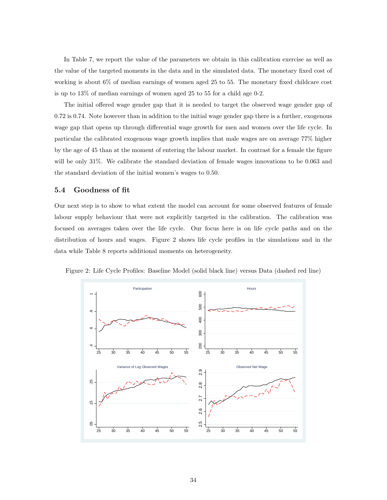In Table 7, we report the value of the parameters we obtain in this calibration exercise as well as the value of the targeted moments in the data and in the simulated data. The monetary fixed cost of working is about 6% of median earnings of women aged 25 to 55. The monetary fixed childcare cost is up to 13% of median earnings of women aged 25 to 55 for a child age 0-2.

The initial offered wage gender gap that it is needed to target the observed wage gender gap of 0.72 is 0.74. Note however than in addition to the initial wage gender gap there is a further, exogenous wage gap that opens up through differential wage growth for men and women over the life cycle. In particular the calibrated exogenous wage growth implies that male wages are on average 77% higher by the age of 45 than at the moment of entering the labour market. In contrast for a female the figure will be only 31%. We calibrate the standard deviation of female wages innovations to be 0.063 and the standard deviation of the initial women's wages to 0.50.

#### 5.4 Goodness of fit

Our next step is to show to what extent the model can account for some observed features of female labour supply behaviour that were not explicitly targeted in the calibration. The calibration was focused on averages taken over the life cycle. Our focus here is on life cycle paths and on the distribution of hours and wages. Figure 2 shows life cycle profiles in the simulations and in the data while Table 8 reports additional moments on heterogeneity.



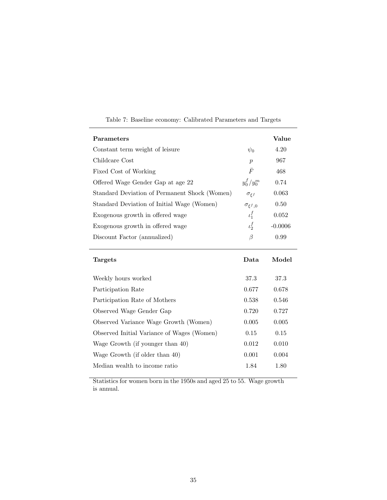| Parameters                                    |                          | Value     |
|-----------------------------------------------|--------------------------|-----------|
| Constant term weight of leisure               | $\psi_0$                 | 4.20      |
| Childcare Cost                                | $\boldsymbol{p}$         | 967       |
| Fixed Cost of Working                         | F                        | 468       |
| Offered Wage Gender Gap at age 22             | $y_0^f / y_0^m$          | 0.74      |
| Standard Deviation of Permanent Shock (Women) | $\sigma_{\varepsilon f}$ | 0.063     |
| Standard Deviation of Initial Wage (Women)    | $\sigma_{\xi^f,0}$       | 0.50      |
| Exogenous growth in offered wage              | $\iota_1^f$              | 0.052     |
| Exogenous growth in offered wage              | $\iota_2^f$              | $-0.0006$ |
| Discount Factor (annualized)                  | B                        | 0.99      |
|                                               |                          |           |

|  |  | Table 7: Baseline economy: Calibrated Parameters and Targets |  |  |
|--|--|--------------------------------------------------------------|--|--|
|  |  |                                                              |  |  |

| <b>Targets</b>                             | Data  | Model |
|--------------------------------------------|-------|-------|
| Weekly hours worked                        | 37.3  | 37.3  |
| Participation Rate                         | 0.677 | 0.678 |
| Participation Rate of Mothers              | 0.538 | 0.546 |
| Observed Wage Gender Gap                   | 0.720 | 0.727 |
| Observed Variance Wage Growth (Women)      | 0.005 | 0.005 |
| Observed Initial Variance of Wages (Women) | 0.15  | 0.15  |
| Wage Growth (if younger than 40)           | 0.012 | 0.010 |
| Wage Growth (if older than 40)             | 0.001 | 0.004 |
| Median wealth to income ratio              | 1.84  | 1.80  |

Statistics for women born in the 1950s and aged 25 to 55. Wage growth is annual.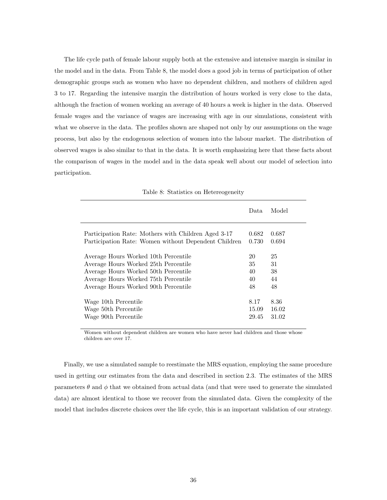The life cycle path of female labour supply both at the extensive and intensive margin is similar in the model and in the data. From Table 8, the model does a good job in terms of participation of other demographic groups such as women who have no dependent children, and mothers of children aged 3 to 17. Regarding the intensive margin the distribution of hours worked is very close to the data, although the fraction of women working an average of 40 hours a week is higher in the data. Observed female wages and the variance of wages are increasing with age in our simulations, consistent with what we observe in the data. The profiles shown are shaped not only by our assumptions on the wage process, but also by the endogenous selection of women into the labour market. The distribution of observed wages is also similar to that in the data. It is worth emphasizing here that these facts about the comparison of wages in the model and in the data speak well about our model of selection into participation.

|                                                      | Data. | Model |
|------------------------------------------------------|-------|-------|
| Participation Rate: Mothers with Children Aged 3-17  | 0.682 | 0.687 |
| Participation Rate: Women without Dependent Children | 0.730 | 0.694 |
| Average Hours Worked 10th Percentile                 | 20    | 25    |
| Average Hours Worked 25th Percentile                 | 35    | 31    |
| Average Hours Worked 50th Percentile                 | 40    | 38    |
| Average Hours Worked 75th Percentile                 | 40    | 44    |
| Average Hours Worked 90th Percentile                 | 48    | 48    |
| Wage 10th Percentile                                 | 8.17  | 8.36  |
| Wage 50th Percentile                                 | 15.09 | 16.02 |
| Wage 90th Percentile                                 | 29.45 | 31.02 |

Table 8: Statistics on Hetereogeneity

Women without dependent children are women who have never had children and those whose children are over 17.

Finally, we use a simulated sample to reestimate the MRS equation, employing the same procedure used in getting our estimates from the data and described in section 2.3. The estimates of the MRS parameters  $\theta$  and  $\phi$  that we obtained from actual data (and that were used to generate the simulated data) are almost identical to those we recover from the simulated data. Given the complexity of the model that includes discrete choices over the life cycle, this is an important validation of our strategy.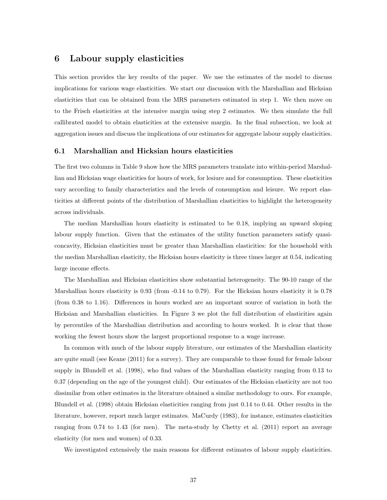## 6 Labour supply elasticities

This section provides the key results of the paper. We use the estimates of the model to discuss implications for various wage elasticities. We start our discussion with the Marshallian and Hicksian elasticities that can be obtained from the MRS parameters estimated in step 1. We then move on to the Frisch elasticities at the intensive margin using step 2 estimates. We then simulate the full callibrated model to obtain elasticities at the extensive margin. In the final subsection, we look at aggregation issues and discuss the implications of our estimates for aggregate labour supply elasticities.

#### 6.1 Marshallian and Hicksian hours elasticities

The first two columns in Table 9 show how the MRS parameters translate into within-period Marshallian and Hicksian wage elasticities for hours of work, for lesiure and for consumption. These elasticities vary according to family characteristics and the levels of consumption and leisure. We report elasticities at different points of the distribution of Marshallian elasticities to highlight the heterogeneity across individuals.

The median Marshallian hours elasticity is estimated to be 0.18, implying an upward sloping labour supply function. Given that the estimates of the utility function parameters satisfy quasiconcavity, Hicksian elasticities must be greater than Marshallian elasticities: for the household with the median Marshallian elasticity, the Hicksian hours elasticity is three times larger at 0.54, indicating large income effects.

The Marshallian and Hicksian elasticities show substantial heterogeneity. The 90-10 range of the Marshallian hours elasticity is  $0.93$  (from  $-0.14$  to  $0.79$ ). For the Hicksian hours elasticity it is  $0.78$ (from 0.38 to 1.16). Differences in hours worked are an important source of variation in both the Hicksian and Marshallian elasticities. In Figure 3 we plot the full distribution of elasticities again by percentiles of the Marshallian distribution and according to hours worked. It is clear that those working the fewest hours show the largest proportional response to a wage increase.

In common with much of the labour supply literature, our estimates of the Marshallian elasticity are quite small (see Keane (2011) for a survey). They are comparable to those found for female labour supply in Blundell et al. (1998), who find values of the Marshallian elasticity ranging from 0.13 to 0.37 (depending on the age of the youngest child). Our estimates of the Hicksian elasticity are not too dissimilar from other estimates in the literature obtained a similar methodology to ours. For example, Blundell et al. (1998) obtain Hicksian elasticities ranging from just 0.14 to 0.44. Other results in the literature, however, report much larger estimates. MaCurdy (1983), for instance, estimates elasticities ranging from 0.74 to 1.43 (for men). The meta-study by Chetty et al. (2011) report an average elasticity (for men and women) of 0.33.

We investigated extensively the main reasons for different estimates of labour supply elasticities.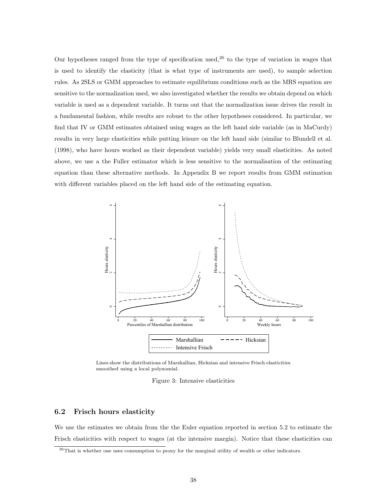Our hypotheses ranged from the type of specification used, $2<sup>6</sup>$  to the type of variation in wages that is used to identify the elasticity (that is what type of instruments are used), to sample selection rules. As 2SLS or GMM approaches to estimate equilibrium conditions such as the MRS equation are sensitive to the normalization used, we also investigated whether the results we obtain depend on which variable is used as a dependent variable. It turns out that the normalization issue drives the result in a fundamental fashion, while results are robust to the other hypotheses considered. In particular, we find that IV or GMM estimates obtained using wages as the left hand side variable (as in MaCurdy) results in very large elasticities while putting leisure on the left hand side (similar to Blundell et al. (1998), who have hours worked as their dependent variable) yields very small elasticities. As noted above, we use a the Fuller estimator which is less sensitive to the normalisation of the estimating equation than these alternative methods. In Appendix B we report results from GMM estimation with different variables placed on the left hand side of the estimating equation.



Lines show the distributions of Marshallian, Hicksian and intensive Frisch elasticities smoothed using a local polynomial.

Figure 3: Intensive elasticities

#### 6.2 Frisch hours elasticity

We use the estimates we obtain from the the Euler equation reported in section 5.2 to estimate the Frisch elasticities with respect to wages (at the intensive margin). Notice that these elasticities can

<sup>26</sup>That is whether one uses consumption to proxy for the marginal utility of wealth or other indicators.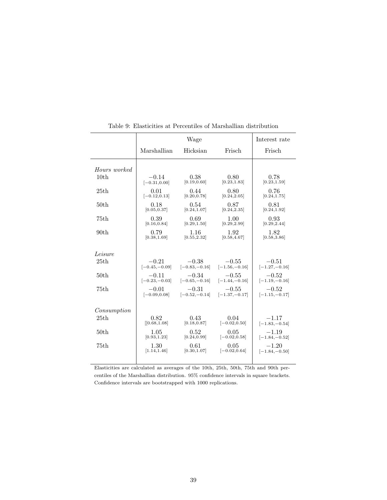|                  |                  | Wage             |                  | Interest rate    |
|------------------|------------------|------------------|------------------|------------------|
|                  | Marshallian      | Hicksian         | Frisch           | Frisch           |
| Hours worked     |                  |                  |                  |                  |
| 10 <sub>th</sub> | $-0.14$          | 0.38             | 0.80             | 0.78             |
|                  | $[-0.31, 0.00]$  | [0.19, 0.60]     | [0.23, 1.83]     | [0.23, 1.59]     |
| 25th             | 0.01             | 0.44             | 0.80             | 0.76             |
|                  | $[-0.12, 0.13]$  | [0.20, 0.78]     | [0.24, 2.05]     | [0.24, 1.75]     |
| 50 <sub>th</sub> | 0.18             | 0.54             | 0.87             | 0.81             |
|                  | [0.05, 0.37]     | [0.24, 1.07]     | [0.24, 2.35]     | [0.24, 1.92]     |
| 75th             | 0.39             | 0.69             | 1.00             | 0.93             |
|                  | [0.16, 0.84]     | [0.29, 1.50]     | [0.29, 2.99]     | [0.29, 2.44]     |
| 90 <sub>th</sub> | 0.79             | 1.16             | 1.92             | 1.82             |
|                  | [0.38, 1.69]     | [0.55, 2.32]     | [0.58, 4.67]     | [0.58, 3.86]     |
| Leisure          |                  |                  |                  |                  |
| 25th             | $-0.21$          | $-0.38$          | $-0.55$          | $-0.51$          |
|                  | $[-0.45, -0.09]$ | $[-0.83, -0.16]$ | $[-1.56, -0.16]$ | $[-1.27, -0.16]$ |
| 50 <sub>th</sub> | $-0.11$          | $-0.34$          | $-0.55$          | $-0.52$          |
|                  | $[-0.23, -0.03]$ | $[-0.65, -0.16]$ | $[-1.44, -0.16]$ | $[-1.19, -0.16]$ |
| 75th             | $-0.01$          | $-0.31$          | $-0.55$          | $-0.52$          |
|                  | $[-0.09, 0.08]$  | $[-0.52, -0.14]$ | $[-1.37, -0.17]$ | $[-1.15, -0.17]$ |
| Consumption      |                  |                  |                  |                  |
| 25th             | 0.82             | 0.43             | 0.04             | $-1.17$          |
|                  | [0.68, 1.08]     | [0.18, 0.87]     | $[-0.02, 0.50]$  | $[-1.83, -0.54]$ |
| 50 <sub>th</sub> | 1.05             | 0.52             | 0.05             | $-1.19$          |
|                  | [0.93, 1.23]     | [0.24, 0.99]     | $[-0.02, 0.58]$  | $[-1.84, -0.52]$ |
| 75th             | 1.30             | 0.61             | 0.05             | $-1.20$          |
|                  | [1.14, 1.46]     | [0.30, 1.07]     | $[-0.02, 0.64]$  | $[-1.84, -0.50]$ |
|                  |                  |                  |                  |                  |

Table 9: Elasticities at Percentiles of Marshallian distribution

Elasticities are calculated as averages of the 10th, 25th, 50th, 75th and 90th percentiles of the Marshallian distribution. 95% confidence intervals in square brackets. Confidence intervals are bootstrapped with 1000 replications.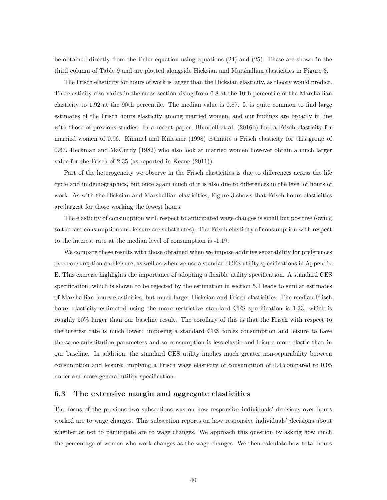be obtained directly from the Euler equation using equations (24) and (25). These are shown in the third column of Table 9 and are plotted alongside Hicksian and Marshallian elasticities in Figure 3.

The Frisch elasticity for hours of work is larger than the Hicksian elasticity, as theory would predict. The elasticity also varies in the cross section rising from 0.8 at the 10th percentile of the Marshallian elasticity to 1.92 at the 90th percentile. The median value is 0.87. It is quite common to find large estimates of the Frisch hours elasticity among married women, and our findings are broadly in line with those of previous studies. In a recent paper, Blundell et al. (2016b) find a Frisch elasticity for married women of 0.96. Kimmel and Kniesner (1998) estimate a Frisch elasticity for this group of 0.67. Heckman and MaCurdy (1982) who also look at married women however obtain a much larger value for the Frisch of 2.35 (as reported in Keane (2011)).

Part of the heterogeneity we observe in the Frisch elasticities is due to differences across the life cycle and in demographics, but once again much of it is also due to differences in the level of hours of work. As with the Hicksian and Marshallian elasticities, Figure 3 shows that Frisch hours elasticities are largest for those working the fewest hours.

The elasticity of consumption with respect to anticipated wage changes is small but positive (owing to the fact consumption and leisure are substitutes). The Frisch elasticity of consumption with respect to the interest rate at the median level of consumption is -1.19.

We compare these results with those obtained when we impose additive separability for preferences over consumption and leisure, as well as when we use a standard CES utility specifications in Appendix E. This exercise highlights the importance of adopting a flexible utility specification. A standard CES specification, which is shown to be rejected by the estimation in section 5.1 leads to similar estimates of Marshallian hours elasticities, but much larger Hicksian and Frisch elasticities. The median Frisch hours elasticity estimated using the more restrictive standard CES specification is 1.33, which is roughly 50% larger than our baseline result. The corollary of this is that the Frisch with respect to the interest rate is much lower: imposing a standard CES forces consumption and leisure to have the same substitution parameters and so consumption is less elastic and leisure more elastic than in our baseline. In addition, the standard CES utility implies much greater non-separability between consumption and leisure: implying a Frisch wage elasticity of consumption of 0.4 compared to 0.05 under our more general utility specification.

#### 6.3 The extensive margin and aggregate elasticities

The focus of the previous two subsections was on how responsive individuals' decisions over hours worked are to wage changes. This subsection reports on how responsive individuals' decisions about whether or not to participate are to wage changes. We approach this question by asking how much the percentage of women who work changes as the wage changes. We then calculate how total hours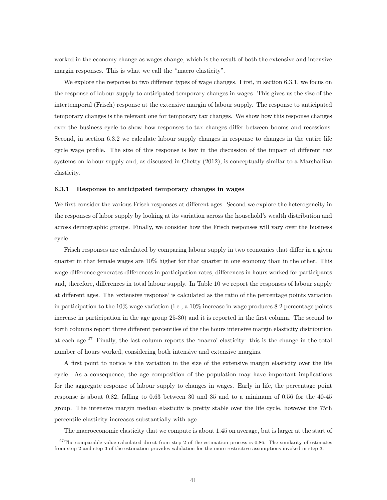worked in the economy change as wages change, which is the result of both the extensive and intensive margin responses. This is what we call the "macro elasticity".

We explore the response to two different types of wage changes. First, in section 6.3.1, we focus on the response of labour supply to anticipated temporary changes in wages. This gives us the size of the intertemporal (Frisch) response at the extensive margin of labour supply. The response to anticipated temporary changes is the relevant one for temporary tax changes. We show how this response changes over the business cycle to show how responses to tax changes differ between booms and recessions. Second, in section 6.3.2 we calculate labour supply changes in response to changes in the entire life cycle wage profile. The size of this response is key in the discussion of the impact of different tax systems on labour supply and, as discussed in Chetty (2012), is conceptually similar to a Marshallian elasticity.

#### 6.3.1 Response to anticipated temporary changes in wages

We first consider the various Frisch responses at different ages. Second we explore the heterogeneity in the responses of labor supply by looking at its variation across the household's wealth distribution and across demographic groups. Finally, we consider how the Frisch responses will vary over the business cycle.

Frisch responses are calculated by comparing labour supply in two economies that differ in a given quarter in that female wages are 10% higher for that quarter in one economy than in the other. This wage difference generates differences in participation rates, differences in hours worked for participants and, therefore, differences in total labour supply. In Table 10 we report the responses of labour supply at different ages. The 'extensive response' is calculated as the ratio of the percentage points variation in participation to the 10% wage variation (i.e., a 10% increase in wage produces  $8.2$  percentage points increase in participation in the age group 25-30) and it is reported in the first column. The second to forth columns report three different percentiles of the the hours intensive margin elasticity distribution at each age.<sup>27</sup> Finally, the last column reports the 'macro' elasticity: this is the change in the total number of hours worked, considering both intensive and extensive margins.

A first point to notice is the variation in the size of the extensive margin elasticity over the life cycle. As a consequence, the age composition of the population may have important implications for the aggregate response of labour supply to changes in wages. Early in life, the percentage point response is about 0.82, falling to 0.63 between 30 and 35 and to a minimum of 0.56 for the 40-45 group. The intensive margin median elasticity is pretty stable over the life cycle, however the 75th percentile elasticity increases substantially with age.

The macroeconomic elasticity that we compute is about 1.45 on average, but is larger at the start of

<sup>&</sup>lt;sup>27</sup>The comparable value calculated direct from step 2 of the estimation process is 0.86. The similarity of estimates from step 2 and step 3 of the estimation provides validation for the more restrictive assumptions invoked in step 3.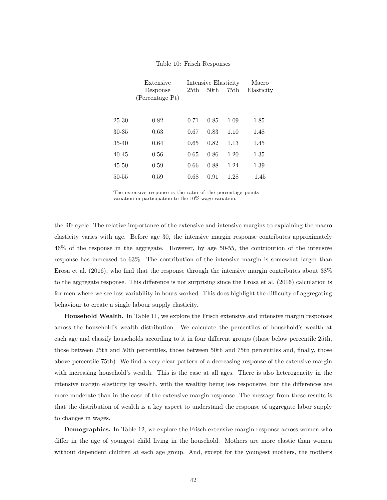|           | Extensive<br>Response<br>(Percentage Pt) | 25th | Intensive Elasticity<br>50 <sub>th</sub> | 75th | Macro<br>Elasticity |
|-----------|------------------------------------------|------|------------------------------------------|------|---------------------|
| 25-30     | 0.82                                     | 0.71 | 0.85                                     | 1.09 | 1.85                |
| $30 - 35$ | 0.63                                     | 0.67 | 0.83                                     | 1.10 | 1.48                |
| $35 - 40$ | 0.64                                     | 0.65 | 0.82                                     | 1.13 | 1.45                |
| $40 - 45$ | 0.56                                     | 0.65 | 0.86                                     | 1.20 | 1.35                |
| $45 - 50$ | 0.59                                     | 0.66 | 0.88                                     | 1.24 | 1.39                |
| $50 - 55$ | 0.59                                     | 0.68 | 0.91                                     | 1.28 | 1.45                |
|           |                                          |      |                                          |      |                     |

Table 10: Frisch Responses

The extensive response is the ratio of the percentage points variation in participation to the 10% wage variation.

the life cycle. The relative importance of the extensive and intensive margins to explaining the macro elasticity varies with age. Before age 30, the intensive margin response contributes approximately 46% of the response in the aggregate. However, by age 50-55, the contribution of the intensive response has increased to 63%. The contribution of the intensive margin is somewhat larger than Erosa et al. (2016), who find that the response through the intensive margin contributes about 38% to the aggregate response. This difference is not surprising since the Erosa et al. (2016) calculation is for men where we see less variability in hours worked. This does highlight the difficulty of aggregating behaviour to create a single labour supply elasticity.

Household Wealth. In Table 11, we explore the Frisch extensive and intensive margin responses across the household's wealth distribution. We calculate the percentiles of household's wealth at each age and classify households according to it in four different groups (those below percentile 25th, those between 25th and 50th percentiles, those between 50th and 75th percentiles and, finally, those above percentile 75th). We find a very clear pattern of a decreasing response of the extensive margin with increasing household's wealth. This is the case at all ages. There is also heterogeneity in the intensive margin elasticity by wealth, with the wealthy being less responsive, but the differences are more moderate than in the case of the extensive margin response. The message from these results is that the distribution of wealth is a key aspect to understand the response of aggregate labor supply to changes in wages.

Demographics. In Table 12, we explore the Frisch extensive margin response across women who differ in the age of youngest child living in the household. Mothers are more elastic than women without dependent children at each age group. And, except for the youngest mothers, the mothers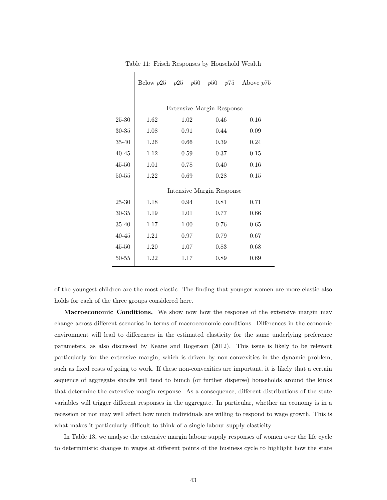|           |      | Below $p25$ $p25 - p50$ $p50 - p75$ Above $p75$ |      |      |
|-----------|------|-------------------------------------------------|------|------|
|           |      |                                                 |      |      |
|           |      | Extensive Margin Response                       |      |      |
| 25-30     | 1.62 | 1.02                                            | 0.46 | 0.16 |
| 30-35     | 1.08 | 0.91                                            | 0.44 | 0.09 |
| 35-40     | 1.26 | 0.66                                            | 0.39 | 0.24 |
| $40 - 45$ | 1.12 | 0.59                                            | 0.37 | 0.15 |
| $45 - 50$ | 1.01 | 0.78                                            | 0.40 | 0.16 |
| $50 - 55$ | 1.22 | 0.69                                            | 0.28 | 0.15 |
|           |      | Intensive Margin Response                       |      |      |
| 25-30     | 1.18 | 0.94                                            | 0.81 | 0.71 |
| 30-35     | 1.19 | 1.01                                            | 0.77 | 0.66 |
| $35 - 40$ | 1.17 | 1.00                                            | 0.76 | 0.65 |
| $40 - 45$ | 1.21 | 0.97                                            | 0.79 | 0.67 |
| $45 - 50$ | 1.20 | 1.07                                            | 0.83 | 0.68 |
| 50-55     | 1.22 | 1.17                                            | 0.89 | 0.69 |

Table 11: Frisch Responses by Household Wealth

of the youngest children are the most elastic. The finding that younger women are more elastic also holds for each of the three groups considered here.

Macroeconomic Conditions. We show now how the response of the extensive margin may change across different scenarios in terms of macroeconomic conditions. Differences in the economic environment will lead to differences in the estimated elasticity for the same underlying preference parameters, as also discussed by Keane and Rogerson (2012). This issue is likely to be relevant particularly for the extensive margin, which is driven by non-convexities in the dynamic problem, such as fixed costs of going to work. If these non-convexities are important, it is likely that a certain sequence of aggregate shocks will tend to bunch (or further disperse) households around the kinks that determine the extensive margin response. As a consequence, different distributions of the state variables will trigger different responses in the aggregate. In particular, whether an economy is in a recession or not may well affect how much individuals are willing to respond to wage growth. This is what makes it particularly difficult to think of a single labour supply elasticity.

In Table 13, we analyse the extensive margin labour supply responses of women over the life cycle to deterministic changes in wages at different points of the business cycle to highlight how the state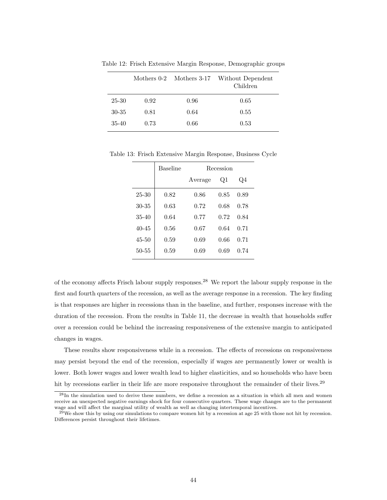|       |      |      | Mothers 0-2 Mothers 3-17 Without Dependent<br>Children |
|-------|------|------|--------------------------------------------------------|
| 25-30 | 0.92 | 0.96 | 0.65                                                   |
| 30-35 | 0.81 | 0.64 | 0.55                                                   |
| 35-40 | 0.73 | 0.66 | 0.53                                                   |

Table 12: Frisch Extensive Margin Response, Demographic groups

Table 13: Frisch Extensive Margin Response, Business Cycle

|           | <b>Baseline</b> |         | Recession      |      |
|-----------|-----------------|---------|----------------|------|
|           |                 | Average | Q <sub>1</sub> | Q4   |
| 25-30     | 0.82            | 0.86    | 0.85           | 0.89 |
| $30 - 35$ | 0.63            | 0.72    | 0.68           | 0.78 |
| $35 - 40$ | 0.64            | 0.77    | 0.72           | 0.84 |
| $40 - 45$ | 0.56            | 0.67    | 0.64           | 0.71 |
| $45 - 50$ | 0.59            | 0.69    | 0.66           | 0.71 |
| $50 - 55$ | 0.59            | 0.69    | 0.69           | 0.74 |

of the economy affects Frisch labour supply responses.<sup>28</sup> We report the labour supply response in the first and fourth quarters of the recession, as well as the average response in a recession. The key finding is that responses are higher in recessions than in the baseline, and further, responses increase with the duration of the recession. From the results in Table 11, the decrease in wealth that households suffer over a recession could be behind the increasing responsiveness of the extensive margin to anticipated changes in wages.

These results show responsiveness while in a recession. The effects of recessions on responsiveness may persist beyond the end of the recession, especially if wages are permanently lower or wealth is lower. Both lower wages and lower wealth lead to higher elasticities, and so households who have been hit by recessions earlier in their life are more responsive throughout the remainder of their lives.<sup>29</sup>

<sup>28</sup>In the simulation used to derive these numbers, we define a recession as a situation in which all men and women receive an unexpected negative earnings shock for four consecutive quarters. These wage changes are to the permanent wage and will affect the marginal utility of wealth as well as changing intertemporal incentives.

 $^{29}$ We show this by using our simulations to compare women hit by a recession at age 25 with those not hit by recession. Differences persist throughout their lifetimes.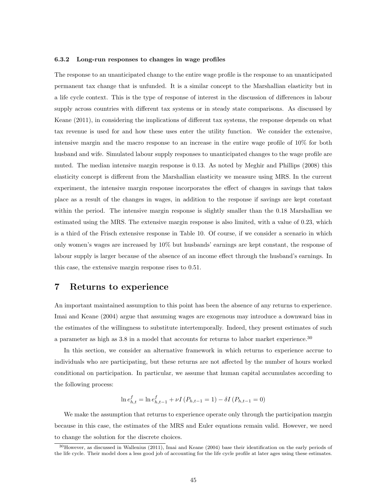#### 6.3.2 Long-run responses to changes in wage profiles

The response to an unanticipated change to the entire wage profile is the response to an unanticipated permanent tax change that is unfunded. It is a similar concept to the Marshallian elasticity but in a life cycle context. This is the type of response of interest in the discussion of differences in labour supply across countries with different tax systems or in steady state comparisons. As discussed by Keane (2011), in considering the implications of different tax systems, the response depends on what tax revenue is used for and how these uses enter the utility function. We consider the extensive, intensive margin and the macro response to an increase in the entire wage profile of 10% for both husband and wife. Simulated labour supply responses to unanticipated changes to the wage profile are muted. The median intensive margin response is 0.13. As noted by Meghir and Phillips (2008) this elasticity concept is different from the Marshallian elasticity we measure using MRS. In the current experiment, the intensive margin response incorporates the effect of changes in savings that takes place as a result of the changes in wages, in addition to the response if savings are kept constant within the period. The intensive margin response is slightly smaller than the 0.18 Marshallian we estimated using the MRS. The extensive margin response is also limited, with a value of 0.23, which is a third of the Frisch extensive response in Table 10. Of course, if we consider a scenario in which only women's wages are increased by 10% but husbands' earnings are kept constant, the response of labour supply is larger because of the absence of an income effect through the husband's earnings. In this case, the extensive margin response rises to 0.51.

## 7 Returns to experience

An important maintained assumption to this point has been the absence of any returns to experience. Imai and Keane (2004) argue that assuming wages are exogenous may introduce a downward bias in the estimates of the willingness to substitute intertemporally. Indeed, they present estimates of such a parameter as high as 3.8 in a model that accounts for returns to labor market experience.<sup>30</sup>

In this section, we consider an alternative framework in which returns to experience accrue to individuals who are participating, but these returns are not affected by the number of hours worked conditional on participation. In particular, we assume that human capital accumulates according to the following process:

$$
\ln e_{h,t}^f = \ln e_{h,t-1}^f + \nu I \left( P_{h,t-1} = 1 \right) - \delta I \left( P_{h,t-1} = 0 \right)
$$

We make the assumption that returns to experience operate only through the participation margin because in this case, the estimates of the MRS and Euler equations remain valid. However, we need to change the solution for the discrete choices.

<sup>30</sup>However, as discussed in Wallenius (2011), Imai and Keane (2004) base their identification on the early periods of the life cycle. Their model does a less good job of accounting for the life cycle profile at later ages using these estimates.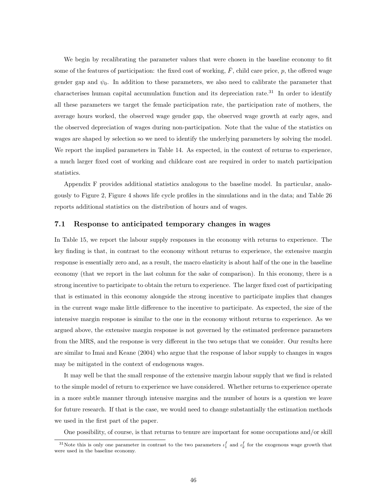We begin by recalibrating the parameter values that were chosen in the baseline economy to fit some of the features of participation: the fixed cost of working,  $\bar{F}$ , child care price, p, the offered wage gender gap and  $\psi_0$ . In addition to these parameters, we also need to calibrate the parameter that characterises human capital accumulation function and its depreciation rate.<sup>31</sup> In order to identify all these parameters we target the female participation rate, the participation rate of mothers, the average hours worked, the observed wage gender gap, the observed wage growth at early ages, and the observed depreciation of wages during non-participation. Note that the value of the statistics on wages are shaped by selection so we need to identify the underlying parameters by solving the model. We report the implied parameters in Table 14. As expected, in the context of returns to experience, a much larger fixed cost of working and childcare cost are required in order to match participation statistics.

Appendix F provides additional statistics analogous to the baseline model. In particular, analogously to Figure 2, Figure 4 shows life cycle profiles in the simulations and in the data; and Table 26 reports additional statistics on the distribution of hours and of wages.

#### 7.1 Response to anticipated temporary changes in wages

In Table 15, we report the labour supply responses in the economy with returns to experience. The key finding is that, in contrast to the economy without returns to experience, the extensive margin response is essentially zero and, as a result, the macro elasticity is about half of the one in the baseline economy (that we report in the last column for the sake of comparison). In this economy, there is a strong incentive to participate to obtain the return to experience. The larger fixed cost of participating that is estimated in this economy alongside the strong incentive to participate implies that changes in the current wage make little difference to the incentive to participate. As expected, the size of the intensive margin response is similar to the one in the economy without returns to experience. As we argued above, the extensive margin response is not governed by the estimated preference parameters from the MRS, and the response is very different in the two setups that we consider. Our results here are similar to Imai and Keane (2004) who argue that the response of labor supply to changes in wages may be mitigated in the context of endogenous wages.

It may well be that the small response of the extensive margin labour supply that we find is related to the simple model of return to experience we have considered. Whether returns to experience operate in a more subtle manner through intensive margins and the number of hours is a question we leave for future research. If that is the case, we would need to change substantially the estimation methods we used in the first part of the paper.

One possibility, of course, is that returns to tenure are important for some occupations and/or skill

<sup>&</sup>lt;sup>31</sup>Note this is only one parameter in contrast to the two parameters  $\iota_1^f$  and  $\iota_2^f$  for the exogenous wage growth that were used in the baseline economy.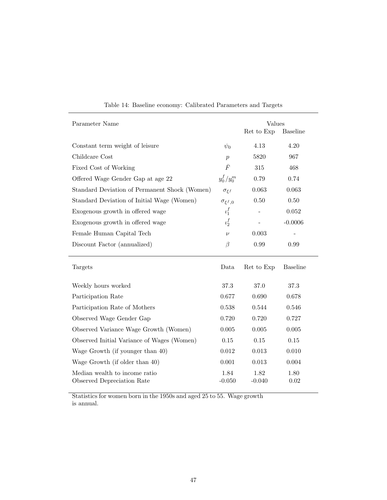| Parameter Name                                | Values             |            |                 |  |
|-----------------------------------------------|--------------------|------------|-----------------|--|
|                                               |                    | Ret to Exp | <b>Baseline</b> |  |
| Constant term weight of leisure               | $\psi_0$           | 4.13       | 4.20            |  |
| Childcare Cost                                | $\boldsymbol{p}$   | 5820       | 967             |  |
| Fixed Cost of Working                         | $\bar{F}$          | 315        | 468             |  |
| Offered Wage Gender Gap at age 22             | $y_0^f/y_0^m$      | 0.79       | 0.74            |  |
| Standard Deviation of Permanent Shock (Women) | $\sigma_{\xi f}$   | 0.063      | 0.063           |  |
| Standard Deviation of Initial Wage (Women)    | $\sigma_{\xi^f,0}$ | 0.50       | $0.50\,$        |  |
| Exogenous growth in offered wage              | $\iota_1^f$        |            | $0.052\,$       |  |
| Exogenous growth in offered wage              | $\iota_2^f$        |            | $-0.0006$       |  |
| Female Human Capital Tech                     | $\nu$              | 0.003      |                 |  |
| Discount Factor (annualized)                  | $\beta$            | 0.99       | 0.99            |  |
| Targets                                       | Data               | Ret to Exp | <b>Baseline</b> |  |
| Weekly hours worked                           | 37.3               | 37.0       | $37.3\,$        |  |
| Participation Rate                            | 0.677              | 0.690      | 0.678           |  |
| Participation Rate of Mothers                 | 0.538              | 0.544      | 0.546           |  |
| Observed Wage Gender Gap                      | 0.720              | 0.720      | 0.727           |  |
| Observed Variance Wage Growth (Women)         | $0.005\,$          | 0.005      | $0.005\,$       |  |
| Observed Initial Variance of Wages (Women)    | $0.15\,$           | 0.15       | 0.15            |  |
| Wage Growth (if younger than 40)              | 0.012              | 0.013      | 0.010           |  |
| Wage Growth (if older than 40)                | 0.001              | 0.013      | 0.004           |  |
| Median wealth to income ratio                 | 1.84               | 1.82       | 1.80            |  |

Table 14: Baseline economy: Calibrated Parameters and Targets

Statistics for women born in the 1950s and aged 25 to 55. Wage growth is annual.

Observed Depreciation Rate -0.050 -0.040 0.02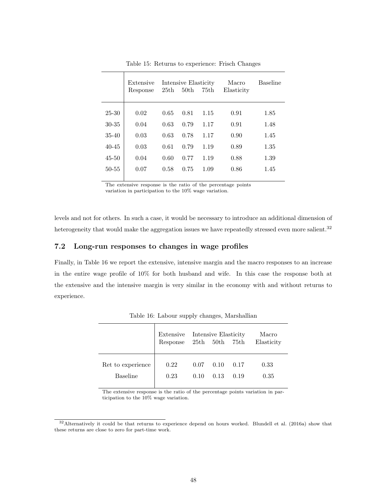|           | Extensive<br>Response | 25th | Intensive Elasticity<br>50 <sub>th</sub> | 75th | Macro<br>Elasticity | <b>Baseline</b> |
|-----------|-----------------------|------|------------------------------------------|------|---------------------|-----------------|
| $25 - 30$ | 0.02                  | 0.65 | 0.81                                     | 1.15 | 0.91                | 1.85            |
| $30 - 35$ | 0.04                  | 0.63 | 0.79                                     | 1.17 | 0.91                | 1.48            |
| $35 - 40$ | 0.03                  | 0.63 | 0.78                                     | 1.17 | 0.90                | 1.45            |
| $40 - 45$ | 0.03                  | 0.61 | 0.79                                     | 1.19 | 0.89                | 1.35            |
| $45 - 50$ | 0.04                  | 0.60 | 0.77                                     | 1.19 | 0.88                | 1.39            |
| $50 - 55$ | 0.07                  | 0.58 | 0.75                                     | 1.09 | 0.86                | 1.45            |
|           |                       |      |                                          |      |                     |                 |

Table 15: Returns to experience: Frisch Changes

The extensive response is the ratio of the percentage points

variation in participation to the 10% wage variation.

levels and not for others. In such a case, it would be necessary to introduce an additional dimension of heterogeneity that would make the aggregation issues we have repeatedly stressed even more salient.<sup>32</sup>

### 7.2 Long-run responses to changes in wage profiles

Finally, in Table 16 we report the extensive, intensive margin and the macro responses to an increase in the entire wage profile of 10% for both husband and wife. In this case the response both at the extensive and the intensive margin is very similar in the economy with and without returns to experience.

|                   | Extensive<br>Response 25th 50th 75th |      | Intensive Elasticity |      | Macro<br>Elasticity |
|-------------------|--------------------------------------|------|----------------------|------|---------------------|
| Ret to experience | 0.22                                 | 0.07 | 0.10                 | 0.17 | 0.33                |
| <b>Baseline</b>   | 0.23                                 | 0.10 | 0.13                 | 0.19 | 0.35                |

Table 16: Labour supply changes, Marshallian

The extensive response is the ratio of the percentage points variation in participation to the 10% wage variation.

<sup>32</sup>Alternatively it could be that returns to experience depend on hours worked. Blundell et al. (2016a) show that these returns are close to zero for part-time work.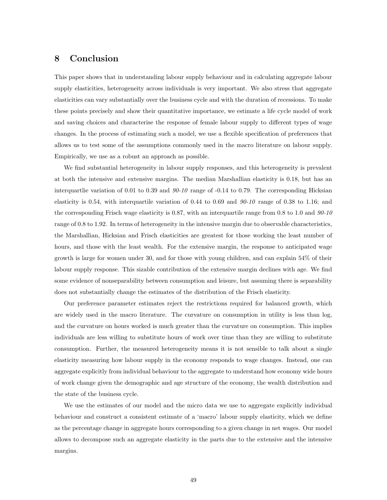## 8 Conclusion

This paper shows that in understanding labour supply behaviour and in calculating aggregate labour supply elasticities, heterogeneity across individuals is very important. We also stress that aggregate elasticities can vary substantially over the business cycle and with the duration of recessions. To make these points precisely and show their quantitative importance, we estimate a life cycle model of work and saving choices and characterise the response of female labour supply to different types of wage changes. In the process of estimating such a model, we use a flexible specification of preferences that allows us to test some of the assumptions commonly used in the macro literature on labour supply. Empirically, we use as a robust an approach as possible.

We find substantial heterogeneity in labour supply responses, and this heterogeneity is prevalent at both the intensive and extensive margins. The median Marshallian elasticity is 0.18, but has an interquartlie variation of 0.01 to 0.39 and  $90-10$  range of  $-0.14$  to 0.79. The corresponding Hicksian elasticity is 0.54, with interquartile variation of 0.44 to 0.69 and  $90-10$  range of 0.38 to 1.16; and the corresponding Frisch wage elasticity is 0.87, with an interquartile range from 0.8 to 1.0 and 90-10 range of 0.8 to 1.92. In terms of heterogeneity in the intensive margin due to observable characteristics, the Marshallian, Hicksian and Frisch elasticities are greatest for those working the least number of hours, and those with the least wealth. For the extensive margin, the response to anticipated wage growth is large for women under 30, and for those with young children, and can explain 54% of their labour supply response. This sizable contribution of the extensive margin declines with age. We find some evidence of nonseparability between consumption and leisure, but assuming there is separability does not substantially change the estimates of the distribution of the Frisch elasticity.

Our preference parameter estimates reject the restrictions required for balanced growth, which are widely used in the macro literature. The curvature on consumption in utility is less than log, and the curvature on hours worked is much greater than the curvature on consumption. This implies individuals are less willing to substitute hours of work over time than they are willing to substitute consumption. Further, the measured heterogeneity means it is not sensible to talk about a single elasticity measuring how labour supply in the economy responds to wage changes. Instead, one can aggregate explicitly from individual behaviour to the aggregate to understand how economy wide hours of work change given the demographic and age structure of the economy, the wealth distribution and the state of the business cycle.

We use the estimates of our model and the micro data we use to aggregate explicitly individual behaviour and construct a consistent estimate of a 'macro' labour supply elasticity, which we define as the percentage change in aggregate hours corresponding to a given change in net wages. Our model allows to decompose such an aggregate elasticity in the parts due to the extensive and the intensive margins.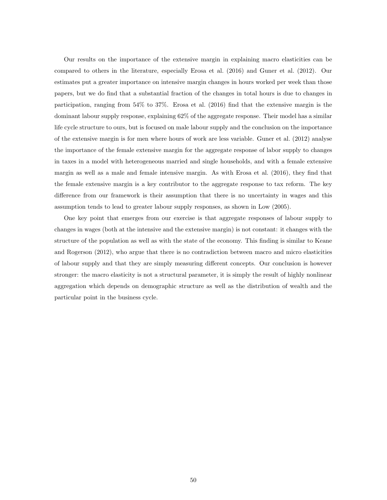Our results on the importance of the extensive margin in explaining macro elasticities can be compared to others in the literature, especially Erosa et al. (2016) and Guner et al. (2012). Our estimates put a greater importance on intensive margin changes in hours worked per week than those papers, but we do find that a substantial fraction of the changes in total hours is due to changes in participation, ranging from 54% to 37%. Erosa et al. (2016) find that the extensive margin is the dominant labour supply response, explaining 62% of the aggregate response. Their model has a similar life cycle structure to ours, but is focused on male labour supply and the conclusion on the importance of the extensive margin is for men where hours of work are less variable. Guner et al. (2012) analyse the importance of the female extensive margin for the aggregate response of labor supply to changes in taxes in a model with heterogeneous married and single households, and with a female extensive margin as well as a male and female intensive margin. As with Erosa et al. (2016), they find that the female extensive margin is a key contributor to the aggregate response to tax reform. The key difference from our framework is their assumption that there is no uncertainty in wages and this assumption tends to lead to greater labour supply responses, as shown in Low (2005).

One key point that emerges from our exercise is that aggregate responses of labour supply to changes in wages (both at the intensive and the extensive margin) is not constant: it changes with the structure of the population as well as with the state of the economy. This finding is similar to Keane and Rogerson (2012), who argue that there is no contradiction between macro and micro elasticities of labour supply and that they are simply measuring different concepts. Our conclusion is however stronger: the macro elasticity is not a structural parameter, it is simply the result of highly nonlinear aggregation which depends on demographic structure as well as the distribution of wealth and the particular point in the business cycle.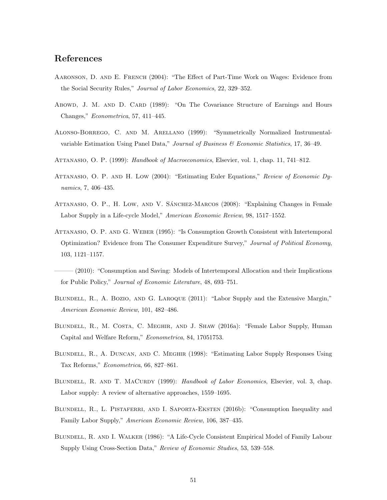## References

- Aaronson, D. and E. French (2004): "The Effect of Part-Time Work on Wages: Evidence from the Social Security Rules," Journal of Labor Economics, 22, 329–352.
- Abowd, J. M. AND D. CARD (1989): "On The Covariance Structure of Earnings and Hours Changes," Econometrica, 57, 411–445.
- Alonso-Borrego, C. and M. Arellano (1999): "Symmetrically Normalized Instrumentalvariable Estimation Using Panel Data," Journal of Business & Economic Statistics, 17, 36–49.
- ATTANASIO, O. P. (1999): Handbook of Macroeconomics, Elsevier, vol. 1, chap. 11, 741–812.
- ATTANASIO, O. P. AND H. LOW (2004): "Estimating Euler Equations," Review of Economic Dynamics, 7, 406–435.
- ATTANASIO, O. P., H. LOW, AND V. SÁNCHEZ-MARCOS (2008): "Explaining Changes in Female Labor Supply in a Life-cycle Model," American Economic Review, 98, 1517–1552.
- Attanasio, O. P. and G. Weber (1995): "Is Consumption Growth Consistent with Intertemporal Optimization? Evidence from The Consumer Expenditure Survey," Journal of Political Economy, 103, 1121–1157.
- $(2010)$ : "Consumption and Saving: Models of Intertemporal Allocation and their Implications for Public Policy," Journal of Economic Literature, 48, 693–751.
- BLUNDELL, R., A. BOZIO, AND G. LAROQUE (2011): "Labor Supply and the Extensive Margin," American Economic Review, 101, 482–486.
- Blundell, R., M. Costa, C. Meghir, and J. Shaw (2016a): "Female Labor Supply, Human Capital and Welfare Reform," Econometrica, 84, 17051753.
- Blundell, R., A. Duncan, and C. Meghir (1998): "Estimating Labor Supply Responses Using Tax Reforms," Econometrica, 66, 827–861.
- BLUNDELL, R. AND T. MACURDY (1999): Handbook of Labor Economics, Elsevier, vol. 3, chap. Labor supply: A review of alternative approaches, 1559–1695.
- BLUNDELL, R., L. PISTAFERRI, AND I. SAPORTA-EKSTEN (2016b): "Consumption Inequality and Family Labor Supply," American Economic Review, 106, 387–435.
- Blundell, R. and I. Walker (1986): "A Life-Cycle Consistent Empirical Model of Family Labour Supply Using Cross-Section Data," Review of Economic Studies, 53, 539–558.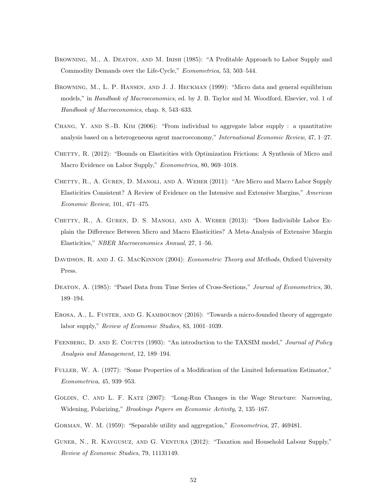- BROWNING, M., A. DEATON, AND M. IRISH (1985): "A Profitable Approach to Labor Supply and Commodity Demands over the Life-Cycle," Econometrica, 53, 503–544.
- Browning, M., L. P. Hansen, and J. J. Heckman (1999): "Micro data and general equilibrium models," in *Handbook of Macroeconomics*, ed. by J. B. Taylor and M. Woodford, Elsevier, vol. 1 of Handbook of Macroeconomics, chap. 8, 543–633.
- CHANG, Y. AND S.-B. KIM  $(2006)$ : "From individual to aggregate labor supply : a quantitative analysis based on a heterogeneous agent macroeconomy," International Economic Review, 47, 1–27.
- CHETTY, R. (2012): "Bounds on Elasticities with Optimization Frictions: A Synthesis of Micro and Macro Evidence on Labor Supply," Econometrica, 80, 969–1018.
- CHETTY, R., A. GUREN, D. MANOLI, AND A. WEBER (2011): "Are Micro and Macro Labor Supply Elasticities Consistent? A Review of Evidence on the Intensive and Extensive Margins," American Economic Review, 101, 471–475.
- Chetty, R., A. Guren, D. S. Manoli, and A. Weber (2013): "Does Indivisible Labor Explain the Difference Between Micro and Macro Elasticities? A Meta-Analysis of Extensive Margin Elasticities," NBER Macroeconomics Annual, 27, 1–56.
- DAVIDSON, R. AND J. G. MACKINNON (2004): Econometric Theory and Methods, Oxford University Press.
- DEATON, A. (1985): "Panel Data from Time Series of Cross-Sections," Journal of Econometrics, 30, 189–194.
- EROSA, A., L. FUSTER, AND G. KAMBOUROV (2016): "Towards a micro-founded theory of aggregate labor supply," Review of Economic Studies, 83, 1001–1039.
- FEENBERG, D. AND E. COUTTS (1993): "An introduction to the TAXSIM model," Journal of Policy Analysis and Management, 12, 189–194.
- Fuller, W. A. (1977): "Some Properties of a Modification of the Limited Information Estimator," Econometrica, 45, 939–953.
- Goldin, C. and L. F. Katz (2007): "Long-Run Changes in the Wage Structure: Narrowing, Widening, Polarizing," Brookings Papers on Economic Activity, 2, 135–167.
- Gorman, W. M. (1959): "Separable utility and aggregation," Econometrica, 27, 469481.
- Guner, N., R. Kaygusuz, and G. Ventura (2012): "Taxation and Household Labour Supply," Review of Economic Studies, 79, 11131149.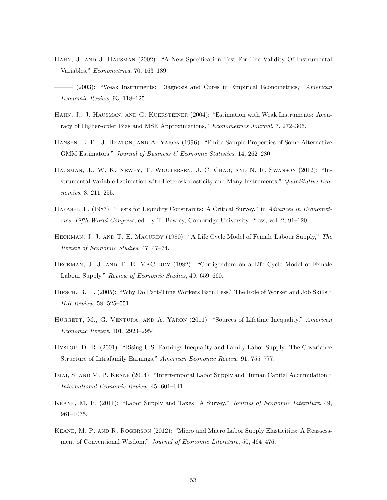- Hahn, J. and J. Hausman (2002): "A New Specification Test For The Validity Of Instrumental Variables," Econometrica, 70, 163–189.
- (2003): "Weak Instruments: Diagnosis and Cures in Empirical Econometrics," American Economic Review, 93, 118–125.
- Hahn, J., J. Hausman, and G. Kuersteiner (2004): "Estimation with Weak Instruments: Accuracy of Higher-order Bias and MSE Approximations," Econometrics Journal, 7, 272–306.
- Hansen, L. P., J. Heaton, and A. Yaron (1996): "Finite-Sample Properties of Some Alternative GMM Estimators," Journal of Business & Economic Statistics, 14, 262–280.
- Hausman, J., W. K. Newey, T. Woutersen, J. C. Chao, and N. R. Swanson (2012): "Instrumental Variable Estimation with Heteroskedasticity and Many Instruments," Quantitative Economics, 3, 211–255.
- Hayashi, F. (1987): "Tests for Liquidity Constraints: A Critical Survey," in Advances in Econometrics, Fifth World Congress, ed. by T. Bewley, Cambridge University Press, vol. 2, 91–120.
- HECKMAN, J. J. AND T. E. MACURDY (1980): "A Life Cycle Model of Female Labour Supply," The Review of Economic Studies, 47, 47–74.
- HECKMAN, J. J. AND T. E. MACURDY (1982): "Corrigendum on a Life Cycle Model of Female Labour Supply," Review of Economic Studies, 49, 659–660.
- Hirsch, B. T. (2005): "Why Do Part-Time Workers Earn Less? The Role of Worker and Job Skills," ILR Review, 58, 525–551.
- HUGGETT, M., G. VENTURA, AND A. YARON (2011): "Sources of Lifetime Inequality," American Economic Review, 101, 2923–2954.
- Hyslop, D. R. (2001): "Rising U.S. Earnings Inequality and Family Labor Supply: The Covariance Structure of Intrafamily Earnings," American Economic Review, 91, 755–777.
- IMAI, S. AND M. P. KEANE (2004): "Intertemporal Labor Supply and Human Capital Accumulation," International Economic Review, 45, 601–641.
- Keane, M. P. (2011): "Labor Supply and Taxes: A Survey," Journal of Economic Literature, 49, 961–1075.
- KEANE, M. P. AND R. ROGERSON (2012): "Micro and Macro Labor Supply Elasticities: A Reassessment of Conventional Wisdom," Journal of Economic Literature, 50, 464-476.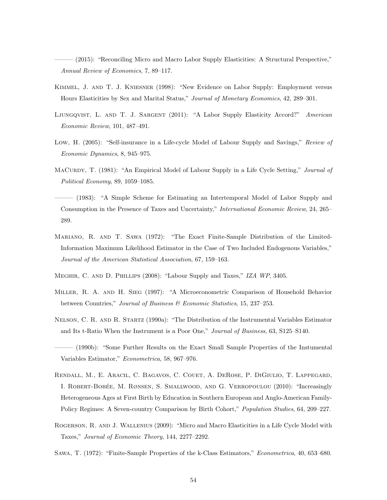(2015): "Reconciling Micro and Macro Labor Supply Elasticities: A Structural Perspective," Annual Review of Economics, 7, 89–117.

- Kimmel, J. and T. J. Kniesner (1998): "New Evidence on Labor Supply: Employment versus Hours Elasticities by Sex and Marital Status," Journal of Monetary Economics, 42, 289–301.
- LJUNGQVIST, L. AND T. J. SARGENT (2011): "A Labor Supply Elasticity Accord?" American Economic Review, 101, 487–491.
- Low, H. (2005): "Self-insurance in a Life-cycle Model of Labour Supply and Savings," Review of Economic Dynamics, 8, 945–975.
- MACURDY, T. (1981): "An Empirical Model of Labour Supply in a Life Cycle Setting," Journal of Political Economy, 89, 1059–1085.
- ——— (1983): "A Simple Scheme for Estimating an Intertemporal Model of Labor Supply and Consumption in the Presence of Taxes and Uncertainty," International Economic Review, 24, 265– 289.
- Mariano, R. and T. Sawa (1972): "The Exact Finite-Sample Distribution of the Limited-Information Maximum Likelihood Estimator in the Case of Two Included Endogenous Variables," Journal of the American Statistical Association, 67, 159–163.
- Meghir, C. and D. Phillips (2008): "Labour Supply and Taxes," IZA WP, 3405.
- Miller, R. A. and H. Sieg (1997): "A Microeconometric Comparison of Household Behavior between Countries," Journal of Business & Economic Statistics, 15, 237–253.
- Nelson, C. R. and R. Startz (1990a): "The Distribution of the Instrumental Variables Estimator and Its t-Ratio When the Instrument is a Poor One," Journal of Business, 63, S125–S140.
- ——— (1990b): "Some Further Results on the Exact Small Sample Properties of the Instumental Variables Estimator," Econometrica, 58, 967–976.
- Rendall, M., E. Aracil, C. Bagavos, C. Couet, A. DeRose, P. DiGiulio, T. Lappegard, I. ROBERT-BOBÉE, M. RØNSEN, S. SMALLWOOD, AND G. VERROPOULOU (2010): "Increasingly Heterogeneous Ages at First Birth by Education in Southern European and Anglo-American Family-Policy Regimes: A Seven-country Comparison by Birth Cohort," Population Studies, 64, 209–227.
- Rogerson, R. and J. Wallenius (2009): "Micro and Macro Elasticities in a Life Cycle Model with Taxes," Journal of Economic Theory, 144, 2277–2292.
- Sawa, T. (1972): "Finite-Sample Properties of the k-Class Estimators," Econometrica, 40, 653–680.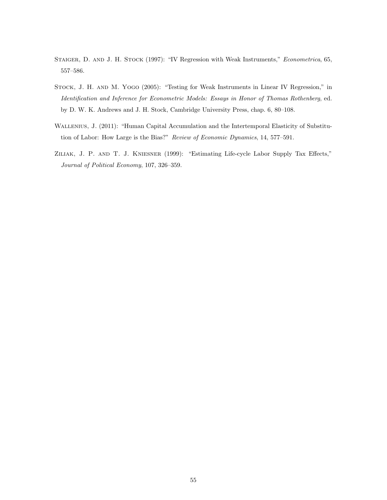- STAIGER, D. AND J. H. STOCK (1997): "IV Regression with Weak Instruments," Econometrica, 65, 557–586.
- Stock, J. H. and M. Yogo (2005): "Testing for Weak Instruments in Linear IV Regression," in Identification and Inference for Econometric Models: Essays in Honor of Thomas Rothenberg, ed. by D. W. K. Andrews and J. H. Stock, Cambridge University Press, chap. 6, 80–108.
- Wallenius, J. (2011): "Human Capital Accumulation and the Intertemporal Elasticity of Substitution of Labor: How Large is the Bias?" Review of Economic Dynamics, 14, 577–591.
- Ziliak, J. P. and T. J. Kniesner (1999): "Estimating Life-cycle Labor Supply Tax Effects," Journal of Political Economy, 107, 326–359.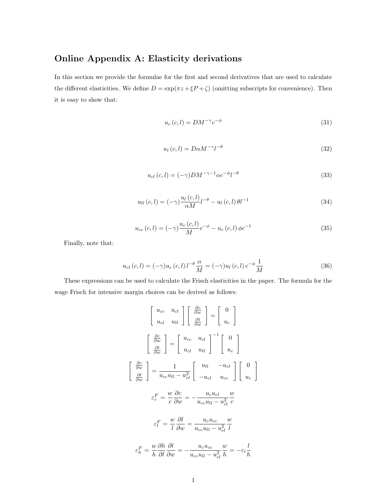# Online Appendix A: Elasticity derivations

In this section we provide the formulae for the first and second derivatives that are used to calculate the different elasticities. We define  $D = \exp(\pi z + \xi P + \zeta)$  (omitting subscripts for convenience). Then it is easy to show that:

$$
u_c(c, l) = DM^{-\gamma} c^{-\phi} \tag{31}
$$

$$
u_l(c,l) = D\alpha M^{-\gamma} l^{-\theta} \tag{32}
$$

$$
u_{cl}(c,l) = (-\gamma)DM^{-\gamma - 1} \alpha c^{-\phi} l^{-\theta}
$$
\n(33)

$$
u_{ll}(c,l) = (-\gamma) \frac{u_l(c,l)}{\alpha M} l^{-\theta} - u_l(c,l) \theta l^{-1}
$$
\n(34)

$$
u_{cc}(c,l) = (-\gamma) \frac{u_c(c,l)}{M} c^{-\phi} - u_c(c,l) \phi c^{-1}
$$
\n(35)

Finally, note that:

$$
u_{cl}(c, l) = (-\gamma)u_c(c, l)l^{-\theta} \frac{\alpha}{M} = (-\gamma)u_l(c, l)c^{-\phi} \frac{1}{M}
$$
\n(36)

These expressions can be used to calculate the Frisch elasticities in the paper. The formula for the wage Frisch for intensive margin choices can be derived as follows:

$$
\begin{bmatrix}\nu_{cc} & u_{cl} \\
u_{cl} & u_{ll}\n\end{bmatrix}\n\begin{bmatrix}\n\frac{\partial c}{\partial w} \\
\frac{\partial l}{\partial w}\n\end{bmatrix} =\n\begin{bmatrix}\n0 \\
u_c\n\end{bmatrix}
$$
\n
$$
\begin{bmatrix}\n\frac{\partial c}{\partial w} \\
\frac{\partial l}{\partial w}\n\end{bmatrix} =\n\begin{bmatrix}\nu_{cc} & u_{cl} \\
u_{cl} & u_{ll}\n\end{bmatrix}^{-1}\n\begin{bmatrix}\n0 \\
u_c\n\end{bmatrix}
$$
\n
$$
\begin{bmatrix}\n\frac{\partial c}{\partial w} \\
\frac{\partial l}{\partial w}\n\end{bmatrix} =\n\frac{1}{u_{cc}u_{ll} - u_{cl}^2}\n\begin{bmatrix}\nu_{ll} & -u_{cl} \\
-u_{cl} & u_{cc}\n\end{bmatrix}\n\begin{bmatrix}\n0 \\
u_c\n\end{bmatrix}
$$
\n
$$
\varepsilon_c^F = \frac{w}{c}\frac{\partial c}{\partial w} = -\frac{u_c u_{cl}}{u_{cc}u_{ll} - u_{cl}^2}\frac{w}{c}
$$
\n
$$
\varepsilon_l^F = \frac{w}{l}\frac{\partial l}{\partial w} = \frac{u_c u_{cc}}{u_{cc}u_{ll} - u_{cl}^2}\frac{w}{l}
$$
\n
$$
\varepsilon_h^F = \frac{w}{h}\frac{\partial h}{\partial l}\frac{\partial l}{\partial w} = -\frac{u_c u_{cc}}{u_{cc}u_{ll} - u_{cl}^2}\frac{w}{h} = -\varepsilon_l\frac{l}{h}
$$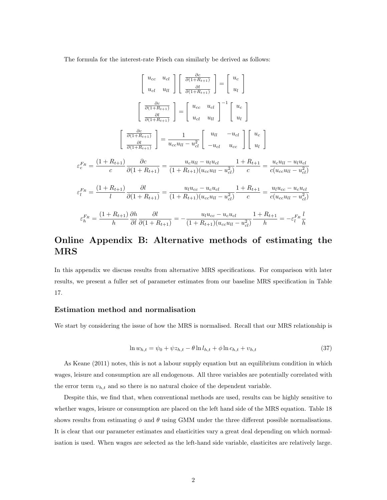The formula for the interest-rate Frisch can similarly be derived as follows:

$$
\begin{bmatrix}\nu_{cc} & u_{cl} \\
u_{cl} & u_{ll}\n\end{bmatrix}\begin{bmatrix}\n\frac{\partial c}{\partial(1+R_{t+1})} \\
\frac{\partial l}{\partial(1+R_{t+1})}\n\end{bmatrix} = \begin{bmatrix}\nu_{c} \\
u_{l}\n\end{bmatrix}
$$
\n
$$
\begin{bmatrix}\n\frac{\partial c}{\partial(1+R_{t+1})} \\
\frac{\partial l}{\partial(1+R_{t+1})}\n\end{bmatrix} = \begin{bmatrix}\nu_{cc} & u_{cl} \\
u_{cl} & u_{ll}\n\end{bmatrix}^{-1} \begin{bmatrix}\nu_{c} \\
u_{l}\n\end{bmatrix}
$$
\n
$$
\begin{bmatrix}\n\frac{\partial c}{\partial(1+R_{t+1})} \\
\frac{\partial l}{\partial(1+R_{t+1})}\n\end{bmatrix} = \frac{1}{u_{cc}u_{ll} - u_{cl}^2} \begin{bmatrix}\nu_{ll} & -u_{cl} \\
-u_{cl} & u_{cc}\n\end{bmatrix} \begin{bmatrix}\nu_{c} \\
u_{l}\n\end{bmatrix}
$$
\n
$$
\varepsilon_c^{F_R} = \frac{(1+R_{t+1})}{c} \frac{\partial c}{\partial(1+R_{t+1})} = \frac{u_c u_{ll} - u_l u_{cl}}{(1+R_{t+1})(u_{cc}u_{ll} - u_{cl}^2)} \frac{1+R_{t+1}}{c} = \frac{u_c u_{ll} - u_l u_{cl}}{c(u_{cc}u_{ll} - u_{cl}^2)}
$$
\n
$$
\varepsilon_l^{F_R} = \frac{(1+R_{t+1})}{l} \frac{\partial l}{\partial(1+R_{t+1})} = \frac{u_l u_{cc} - u_c u_{cl}}{(1+R_{t+1})(u_{cc}u_{ll} - u_{cl}^2)} \frac{1+R_{t+1}}{c} = \frac{u_l u_{cc} - u_c u_{cl}}{c(u_{cc}u_{ll} - u_{cl}^2)}
$$
\n
$$
\varepsilon_h^{F_R} = \frac{(1+R_{t+1})}{h} \frac{\partial h}{\partial l} \frac{\partial l}{\partial(1+R_{t+1})} = -\frac{u_l u_{cc} - u_c u_{cl}}{(1+R_{t+1})(u_{cc}u_{ll} - u_{cl}^2)} \frac{1+R_{t+1}}{h} = -\
$$

# Online Appendix B: Alternative methods of estimating the MRS

In this appendix we discuss results from alternative MRS specifications. For comparison with later results, we present a fuller set of parameter estimates from our baseline MRS specification in Table 17.

#### Estimation method and normalisation

We start by considering the issue of how the MRS is normalised. Recall that our MRS relationship is

$$
\ln w_{h,t} = \psi_0 + \psi z_{h,t} - \theta \ln l_{h,t} + \phi \ln c_{h,t} + v_{h,t}
$$
\n(37)

As Keane (2011) notes, this is not a labour supply equation but an equilibrium condition in which wages, leisure and consumption are all endogenous. All three variables are potentially correlated with the error term  $v_{h,t}$  and so there is no natural choice of the dependent variable.

Despite this, we find that, when conventional methods are used, results can be highly sensitive to whether wages, leisure or consumption are placed on the left hand side of the MRS equation. Table 18 shows results from estimating  $\phi$  and  $\theta$  using GMM under the three different possible normalisations. It is clear that our parameter estimates and elasticities vary a great deal depending on which normalisation is used. When wages are selected as the left-hand side variable, elasticites are relatively large.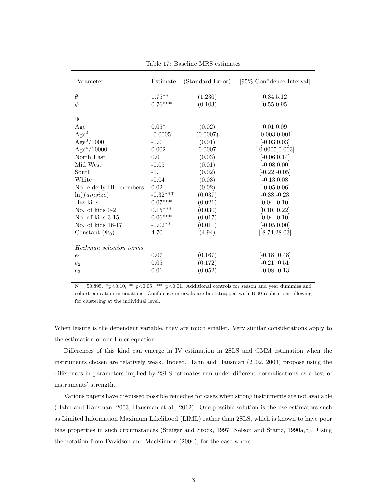| Parameter               | Estimate   | (Standard Error) | [95% Confidence Interval] |
|-------------------------|------------|------------------|---------------------------|
|                         |            |                  |                           |
| $\theta$                | $1.75***$  | (1.230)          | [0.34, 5.12]              |
| $\phi$                  | $0.76***$  | (0.103)          | [0.55, 0.95]              |
|                         |            |                  |                           |
| Ψ                       |            |                  |                           |
| Age                     | $0.05*$    | (0.02)           | [0.01, 0.09]              |
| Age <sup>2</sup>        | $-0.0005$  | (0.0007)         | $[-0.003, 0.001]$         |
| Age <sup>3</sup> /1000  | $-0.01$    | (0.01)           | $[-0.03, 0.03]$           |
| Age <sup>4</sup> /10000 | 0.002      | 0.0007           | $[-0.0005, 0.003]$        |
| North East              | 0.01       | (0.03)           | $[-0.06, 0.14]$           |
| Mid West                | $-0.05$    | (0.01)           | $[-0.08, 0.00]$           |
| South                   | $-0.11$    | (0.02)           | $[-0.22,-0.05]$           |
| White                   | $-0.04$    | (0.03)           | $[-0.13, 0.08]$           |
| No. elderly HH members  | $\rm 0.02$ | (0.02)           | $[-0.05, 0.06]$           |
| ln(famsize)             | $-0.32***$ | (0.037)          | $[-0.38,-0.23]$           |
| Has kids                | $0.07***$  | (0.021)          | [0.04, 0.10]              |
| No. of kids 0-2         | $0.15***$  | (0.030)          | [0.10, 0.22]              |
| No. of kids 3-15        | $0.06***$  | (0.017)          | [0.04, 0.10]              |
| No. of kids 16-17       | $-0.02**$  | (0.011)          | $[-0.05, 0.00]$           |
| Constant $(\Psi_0)$     | 4.70       | (4.94)           | $[-8.74, 28.03]$          |
| Heckman selection terms |            |                  |                           |
|                         |            |                  |                           |
| $e_1$                   | 0.07       | (0.167)          | $[-0.18, 0.48]$           |
| $e_2$                   | 0.05       | (0.172)          | $[-0.21, 0.51]$           |
| $e_3$                   | 0.01       | (0.052)          | $[-0.08, 0.13]$           |

Table 17: Baseline MRS estimates

 $N = 50,895.$  \*p<0.10, \*\* p<0.05, \*\*\* p<0.01. Additional controls for season and year dummies and cohort-education interactions. Confidence intervals are bootstrapped with 1000 replications allowing for clustering at the individual level.

When leisure is the dependent variable, they are much smaller. Very similar considerations apply to the estimation of our Euler equation.

Differences of this kind can emerge in IV estimation in 2SLS and GMM estimation when the instruments chosen are relatively weak. Indeed, Hahn and Hausman (2002, 2003) propose using the differences in parameters implied by 2SLS estimates run under different normalisations as a test of instruments' strength.

Various papers have discussed possible remedies for cases when strong instruments are not available (Hahn and Hausman, 2003; Hausman et al., 2012). One possible solution is the use estimators such as Limited Information Maximum Likelihood (LIML) rather than 2SLS, which is known to have poor bias properties in such circumstances (Staiger and Stock, 1997; Nelson and Startz, 1990a,b). Using the notation from Davidson and MacKinnon (2004), for the case where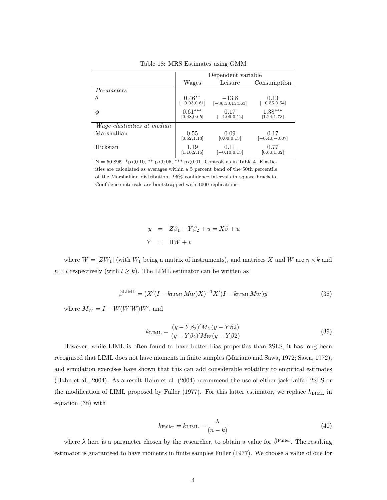|                                    | Dependent variable          |                               |                           |  |
|------------------------------------|-----------------------------|-------------------------------|---------------------------|--|
|                                    | Wages                       | Leisure                       | Consumption               |  |
| Parameters                         |                             |                               |                           |  |
| $\theta$                           | $0.46**$<br>$[-0.03, 0.61]$ | $-13.8$<br>$[-86.53, 154.63]$ | 0.13<br>$[-0.55, 0.54]$   |  |
| Φ                                  | $0.61***$<br>[0.48, 0.65]   | 0.17<br>$[-4.09, 0.12]$       | $1.38***$<br>[1.24, 1.73] |  |
| <i>Wage elasticities at median</i> |                             |                               |                           |  |
| Marshallian                        | 0.55<br>[0.52, 1.13]        | 0.09<br>[0.00, 0.13]          | 0.17<br>$[-0.40,-0.07]$   |  |
| Hicksian                           | 1.19<br>[1.10, 2.15]        | 0.11<br>$[-0.10, 0.13]$       | 0.77<br>[0.60, 1.02]      |  |

Table 18: MRS Estimates using GMM

 $N = 50,895.$  \*p<0.10, \*\* p<0.05, \*\*\* p<0.01. Controls as in Table 4. Elasticities are calculated as averages within a 5 percent band of the 50th percentile of the Marshallian distribution. 95% confidence intervals in square brackets. Confidence intervals are bootstrapped with 1000 replications.

> $y = Z\beta_1 + Y\beta_2 + u = X\beta + u$  $Y = \Pi W + v$

where  $W = [ZW_1]$  (with  $W_1$  being a matrix of instruments), and matrices X and W are  $n \times k$  and  $n \times l$  respectively (with  $l \geq k$ ). The LIML estimator can be written as

$$
\hat{\beta}^{\text{LIML}} = (X'(I - k_{\text{LIML}} M_W)X)^{-1} X'(I - k_{\text{LIML}} M_W) y
$$
\n(38)

where  $M_W = I - W(W'W)W'$ , and

$$
k_{\text{LIML}} = \frac{(y - Y\beta_2)'M_Z(y - Y\beta_2)}{(y - Y\beta_2)'M_W(y - Y\beta_2)}
$$
(39)

However, while LIML is often found to have better bias properties than 2SLS, it has long been recognised that LIML does not have moments in finite samples (Mariano and Sawa, 1972; Sawa, 1972), and simulation exercises have shown that this can add considerable volatility to empirical estimates (Hahn et al., 2004). As a result Hahn et al. (2004) recommend the use of either jack-knifed 2SLS or the modification of LIML proposed by Fuller (1977). For this latter estimator, we replace  $k_{\text{LIML}}$  in equation (38) with

$$
k_{\text{Fuller}} = k_{\text{LIML}} - \frac{\lambda}{(n-k)}
$$
\n
$$
(40)
$$

where  $\lambda$  here is a parameter chosen by the researcher, to obtain a value for  $\hat{\beta}^{\text{Fuller}}$ . The resulting estimator is guaranteed to have moments in finite samples Fuller (1977). We choose a value of one for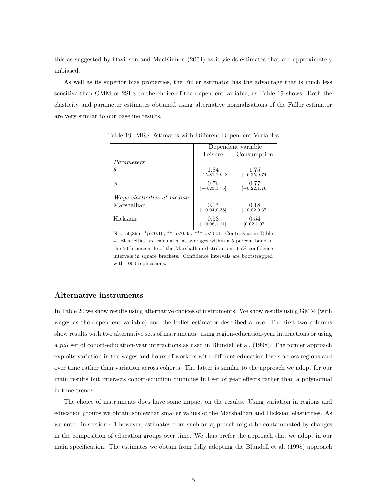this as suggested by Davidson and MacKinnon (2004) as it yields estimates that are approximately unbiased.

As well as its superior bias properties, the Fuller estimator has the advantage that is much less sensitive than GMM or 2SLS to the choice of the dependent variable, as Table 19 shows. Both the elasticity and parameter estimates obtained using alternative normalisations of the Fuller estimator are very similar to our baseline results.

|                                    | Dependent variable        |                         |  |
|------------------------------------|---------------------------|-------------------------|--|
|                                    | Leisure                   | Consumption             |  |
| Parameters                         |                           |                         |  |
| θ                                  | 1.84<br>$[-15.81, 19.48]$ | 1.75<br>$[-6.25, 9.74]$ |  |
| ⋒                                  | 0.76<br>$[-0.23, 1.75]$   | 0.77<br>$[-0.22, 1.76]$ |  |
| <i>Wage elasticities at median</i> |                           |                         |  |
| Marshallian                        | 0.17<br>$[-0.04, 0.38]$   | 0.18<br>$[-0.02, 0.37]$ |  |
| Hicksian                           | 0.53<br>$[-0.06, 1.11]$   | 0.54<br>[0.02, 1.07]    |  |

Table 19: MRS Estimates with Different Dependent Variables

 $N = 50,895.$  \*p<0.10, \*\* p<0.05, \*\*\* p<0.01. Controls as in Table 4. Elasticities are calculated as averages within a 5 percent band of the 50th percentile of the Marshallian distribution. 95% confidence intervals in square brackets. Confidence intervals are bootstrapped with 1000 replications.

#### Alternative instruments

In Table 20 we show results using alternative choices of instruments. We show results using GMM (with wages as the dependent variable) and the Fuller estimator described above. The first two columns show results with two alternative sets of instruments: using region-education-year interactions or using a full set of cohort-education-year interactions as used in Blundell et al. (1998). The former approach exploits variation in the wages and hours of workers with different education levels across regions and over time rather than variation across cohorts. The latter is similar to the approach we adopt for our main results but interacts cohort-eduction dummies full set of year effects rather than a polynomial in time trends.

The choice of instruments does have some impact on the results. Using variation in regions and education groups we obtain somewhat smaller values of the Marshallian and Hicksian elasticities. As we noted in section 4.1 however, estimates from such an approach might be contaminated by changes in the composition of education groups over time. We thus prefer the approach that we adopt in our main specification. The estimates we obtain from fully adopting the Blundell et al. (1998) approach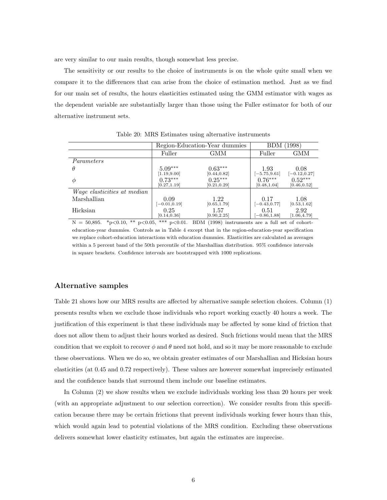are very similar to our main results, though somewhat less precise.

The sensitivity or our results to the choice of instruments is on the whole quite small when we compare it to the differences that can arise from the choice of estimation method. Just as we find for our main set of results, the hours elasticities estimated using the GMM estimator with wages as the dependent variable are substantially larger than those using the Fuller estimator for both of our alternative instrument sets.

|                                    | Region-Education-Year dummies |              | (1998)<br>BDM   |                 |
|------------------------------------|-------------------------------|--------------|-----------------|-----------------|
|                                    | Fuller                        | GMM          | Fuller          | GMM             |
| Parameters                         |                               |              |                 |                 |
| $\theta$                           | $5.09***$                     | $0.63***$    | 1.93            | 0.08            |
|                                    | [1.19, 9.00]                  | [0.44, 0.82] | $[-5.75, 9.61]$ | $[-0.12, 0.27]$ |
| Φ                                  | $0.73***$                     | $0.25***$    | $0.76***$       | $0.52***$       |
|                                    | [0.27, 1.19]                  | [0.21, 0.29] | [0.48, 1.04]    | [0.46, 0.52]    |
| <i>Wage elasticities at median</i> |                               |              |                 |                 |
| Marshallian                        | 0.09                          | 1.22         | 0.17            | 1.08            |
|                                    | $[-0.01, 0.19]$               | [0.65, 1.79] | $[-0.43, 0.77]$ | [0.53, 1.62]    |
| Hicksian                           | 0.25                          | 1.57         | 0.51            | 2.92            |
|                                    | [0.14, 0.36]                  | [0.90, 2.25] | $[-0.86, 1.88]$ | [1.06, 4.79]    |

Table 20: MRS Estimates using alternative instruments

 $N = 50,895.$  \*p<0.10, \*\* p<0.05, \*\*\* p<0.01. BDM (1998) instruments are a full set of cohorteducation-year dummies. Controls as in Table 4 except that in the region-education-year specification we replace cohort-education interactions with education dummies. Elasticities are calculated as averages within a 5 percent band of the 50th percentile of the Marshallian distribution. 95% confidence intervals in square brackets. Confidence intervals are bootstrapped with 1000 replications.

#### Alternative samples

Table 21 shows how our MRS results are affected by alternative sample selection choices. Column (1) presents results when we exclude those individuals who report working exactly 40 hours a week. The justification of this experiment is that these individuals may be affected by some kind of friction that does not allow them to adjust their hours worked as desired. Such frictions would mean that the MRS condition that we exploit to recover  $\phi$  and  $\theta$  need not hold, and so it may be more reasonable to exclude these observations. When we do so, we obtain greater estimates of our Marshallian and Hicksian hours elasticities (at 0.45 and 0.72 respectively). These values are however somewhat imprecisely estimated and the confidence bands that surround them include our baseline estimates.

In Column (2) we show results when we exclude individuals working less than 20 hours per week (with an appropriate adjustment to our selection correction). We consider results from this specification because there may be certain frictions that prevent individuals working fewer hours than this, which would again lead to potential violations of the MRS condition. Excluding these observations delivers somewhat lower elasticity estimates, but again the estimates are imprecise.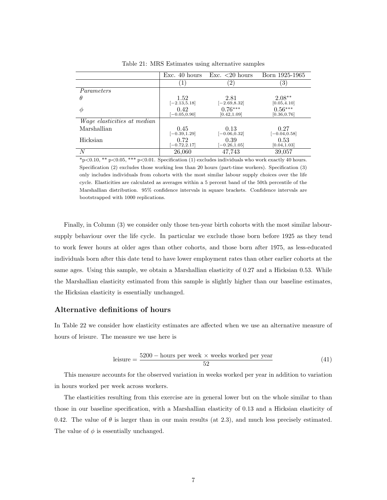|                                    | Exc. 40 hours           | Exc. $\langle 20 \text{ hours} \rangle$ | Born 1925-1965            |
|------------------------------------|-------------------------|-----------------------------------------|---------------------------|
|                                    | $\pm$ )                 | 2                                       | 3)                        |
| Parameters                         |                         |                                         |                           |
| $\theta$                           | 1.52<br>$[-2.13, 5.18]$ | 2.81<br>$[-2.69, 8.32]$                 | $2.08**$<br>[0.05, 4.10]  |
| Ф                                  | 0.42<br>$[-0.05, 0.90]$ | $0.76***$<br>[0.42, 1.09]               | $0.56***$<br>[0.36, 0.76] |
| <i>Wage elasticities at median</i> |                         |                                         |                           |
| Marshallian                        | 0.45<br>$[-0.39, 1.29]$ | 0.13<br>$[-0.06, 0.32]$                 | 0.27<br>$[-0.04, 0.58]$   |
| Hicksian                           | 0.72<br>$[-0.72, 2.17]$ | 0.39<br>$-0.26, 1.05$                   | 0.53<br>[0.04, 1.03]      |
| N                                  | 26,060                  | 47,743                                  | 39,057                    |

Table 21: MRS Estimates using alternative samples

 $*_{p<0.10,*p<0.05,**p<0.01}$ . Specification (1) excludes individuals who work exactly 40 hours. Specification (2) excludes those working less than 20 hours (part-time workers). Specification (3) only includes individuals from cohorts with the most similar labour supply choices over the life cycle. Elasticities are calculated as averages within a 5 percent band of the 50th percentile of the Marshallian distribution. 95% confidence intervals in square brackets. Confidence intervals are bootstrapped with 1000 replications.

Finally, in Column (3) we consider only those ten-year birth cohorts with the most similar laboursupply behaviour over the life cycle. In particular we exclude those born before 1925 as they tend to work fewer hours at older ages than other cohorts, and those born after 1975, as less-educated individuals born after this date tend to have lower employment rates than other earlier cohorts at the same ages. Using this sample, we obtain a Marshallian elasticity of 0.27 and a Hicksian 0.53. While the Marshallian elasticity estimated from this sample is slightly higher than our baseline estimates, the Hicksian elasticity is essentially unchanged.

#### Alternative definitions of hours

In Table 22 we consider how elasticity estimates are affected when we use an alternative measure of hours of leisure. The measure we use here is

$$
leisure = \frac{5200 - hours per week \times weeks worked per year}{52}
$$
 (41)

This measure accounts for the observed variation in weeks worked per year in addition to variation in hours worked per week across workers.

The elasticities resulting from this exercise are in general lower but on the whole similar to than those in our baseline specification, with a Marshallian elasticity of 0.13 and a Hicksian elasticity of 0.42. The value of  $\theta$  is larger than in our main results (at 2.3), and much less precisely estimated. The value of  $\phi$  is essentially unchanged.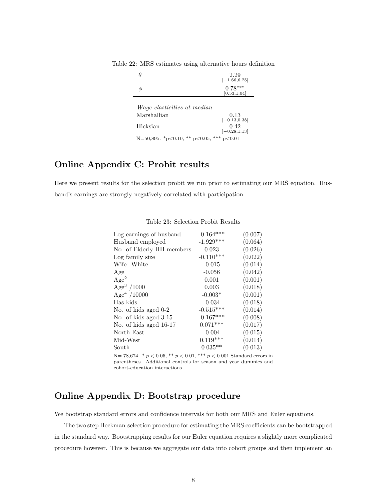| Ĥ                                        | 2.29<br>$[-1.66, 6.25]$   |
|------------------------------------------|---------------------------|
|                                          | $0.78***$<br>[0.53, 1.04] |
| <i>Wage elasticities at median</i>       |                           |
| Marshallian                              | 0.13<br>$[-0.13, 0.38]$   |
| Hicksian                                 | 0.42<br>$[-0.28, 1.13]$   |
| N=50,895. *p<0.10, ** p<0.05, *** p<0.01 |                           |

Table 22: MRS estimates using alternative hours definition

# Online Appendix C: Probit results

Here we present results for the selection probit we run prior to estimating our MRS equation. Husband's earnings are strongly negatively correlated with participation.

| Log earnings of husband   | $-0.164***$ | (0.007) |
|---------------------------|-------------|---------|
| Husband employed          | $-1.929***$ | (0.064) |
| No. of Elderly HH members | 0.023       | (0.026) |
| Log family size           | $-0.110***$ | (0.022) |
| Wife: White               | $-0.015$    | (0.014) |
| Age                       | $-0.056$    | (0.042) |
| Age <sup>2</sup>          | 0.001       | (0.001) |
| Age <sup>3</sup> /1000    | 0.003       | (0.018) |
| Age <sup>4</sup> /10000   | $-0.003*$   | (0.001) |
| Has kids                  | $-0.034$    | (0.018) |
| No. of kids aged 0-2      | $-0.515***$ | (0.014) |
| No. of kids aged 3-15     | $-0.167***$ | (0.008) |
| No. of kids aged 16-17    | $0.071***$  | (0.017) |
| North East                | $-0.004$    | (0.015) |
| Mid-West                  | $0.119***$  | (0.014) |
| South                     | $0.035**$   | (0.013) |

Table 23: Selection Probit Results

N= 78,674. \* $p < 0.05,$  \*\*  $p < 0.01,$  \*\*\*  $p < 0.001$  Standard errors in parentheses. Additional controls for season and year dummies and cohort-education interactions.

## Online Appendix D: Bootstrap procedure

We bootstrap standard errors and confidence intervals for both our MRS and Euler equations.

The two step Heckman-selection procedure for estimating the MRS coefficients can be bootstrapped in the standard way. Bootstrapping results for our Euler equation requires a slightly more complicated procedure however. This is because we aggregate our data into cohort groups and then implement an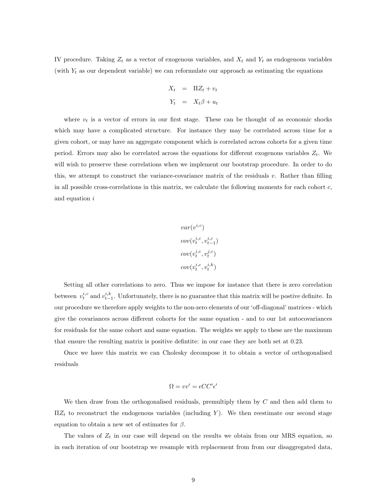IV procedure. Taking  $Z_t$  as a vector of exogenous variables, and  $X_t$  and  $Y_t$  as endogenous variables (with  $Y_t$  as our dependent variable) we can reformulate our approach as estimating the equations

$$
X_t = \Pi Z_t + v_t
$$

$$
Y_t = X_t \beta + u_t
$$

where  $v_t$  is a vector of errors in our first stage. These can be thought of as economic shocks which may have a complicated structure. For instance they may be correlated across time for a given cohort, or may have an aggregate component which is correlated across cohorts for a given time period. Errors may also be correlated across the equations for different exogenous variables  $Z_t$ . We will wish to preserve these correlations when we implement our bootstrap procedure. In order to do this, we attempt to construct the variance-covariance matrix of the residuals v. Rather than filling in all possible cross-correlations in this matrix, we calculate the following moments for each cohort  $c$ , and equation i

$$
var(v^{i,c})
$$
  
\n
$$
cov(v_t^{i,c}, v_{t-1}^{i,c})
$$
  
\n
$$
cov(v_t^{i,c}, v_t^{j,c})
$$
  
\n
$$
cov(v_t^{i,c}, v_t^{i,k})
$$

Setting all other correlations to zero. Thus we impose for instance that there is zero correlation between  $v_t^{i,c}$  and  $v_{t-1}^{i,k}$ . Unfortunately, there is no guarantee that this matrix will be postive definite. In our procedure we therefore apply weights to the non-zero elements of our 'off-diagonal' matrices - which give the covariances across different cohorts for the same equation - and to our 1st autocovariances for residuals for the same cohort and same equation. The weights we apply to these are the maximum that ensure the resulting matrix is positive defintite: in our case they are both set at 0.23.

Once we have this matrix we can Cholesky decompose it to obtain a vector of orthogonalised residuals

$$
\Omega = vv' = \epsilon C C' \epsilon'
$$

We then draw from the orthogonalised residuals, premultiply them by  $C$  and then add them to  $\Pi Z_t$  to reconstruct the endogenous variables (including Y). We then reestimate our second stage equation to obtain a new set of estimates for  $\beta$ .

The values of  $Z_t$  in our case will depend on the results we obtain from our MRS equation, so in each iteration of our bootstrap we resample with replacement from from our disaggregated data,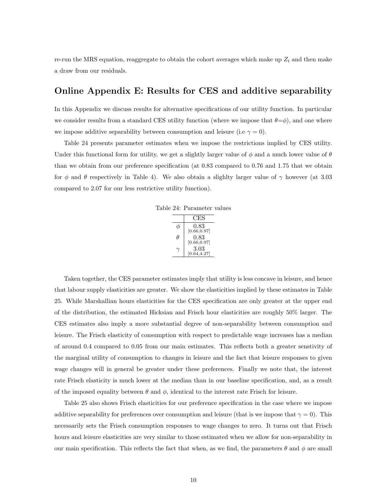re-run the MRS equation, reaggregate to obtain the cohort averages which make up  $Z_t$  and then make a draw from our residuals.

## Online Appendix E: Results for CES and additive separability

In this Appendix we discuss results for alternative specifications of our utility function. In particular we consider results from a standard CES utility function (where we impose that  $\theta = \phi$ ), and one where we impose additive separability between consumption and leisure (i.e  $\gamma = 0$ ).

Table 24 presents parameter estimates when we impose the restrictions implied by CES utility. Under this functional form for utility, we get a slightly larger value of  $\phi$  and a much lower value of  $\theta$ than we obtain from our preference specification (at 0.83 compared to 0.76 and 1.75 that we obtain for  $\phi$  and  $\theta$  respectively in Table 4). We also obtain a slightly larger value of  $\gamma$  however (at 3.03 compared to 2.07 for our less restrictive utility function).

Table 24: Parameter values

|   | CES                  |
|---|----------------------|
|   | 0.83<br>[0.66, 0.97] |
| Ĥ | 0.83                 |
|   | [0.66, 0.97]         |
|   | 3.03<br>[0.64, 4.27] |

Taken together, the CES parameter estimates imply that utility is less concave in leisure, and hence that labour supply elasticities are greater. We show the elasticities implied by these estimates in Table 25. While Marshallian hours elasticities for the CES specification are only greater at the upper end of the distribution, the estimated Hicksian and Frisch hour elasticities are roughly 50% larger. The CES estimates also imply a more substantial degree of non-separability between consumption and leisure. The Frisch elasticity of consumption with respect to predictable wage increases has a median of around 0.4 compared to 0.05 from our main estimates. This reflects both a greater senstivity of the marginal utility of consumption to changes in leisure and the fact that leisure responses to given wage changes will in general be greater under these preferences. Finally we note that, the interest rate Frisch elasticity is much lower at the median than in our baseline specification, and, as a result of the imposed equality between  $\theta$  and  $\phi$ , identical to the interest rate Frisch for leisure.

Table 25 also shows Frisch elasticities for our preference specification in the case where we impose additive separability for preferences over consumption and leisure (that is we impose that  $\gamma = 0$ ). This necessarily sets the Frisch consumption responses to wage changes to zero. It turns out that Frisch hours and leisure elasticities are very similar to those estimated when we allow for non-separability in our main specification. This reflects the fact that when, as we find, the parameters  $\theta$  and  $\phi$  are small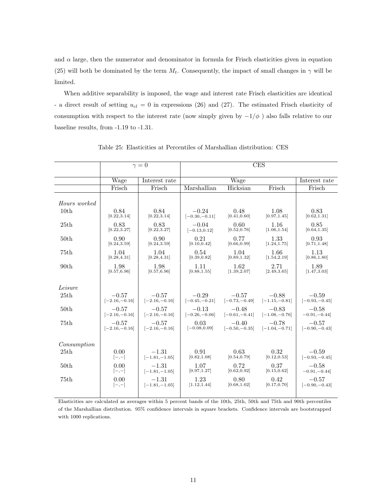and  $\alpha$  large, then the numerator and denominator in formula for Frisch elasticities given in equation (25) will both be dominated by the term  $M_t$ . Consequently, the impact of small changes in  $\gamma$  will be limited.

When additive separability is imposed, the wage and interest rate Frisch elasticities are identical - a direct result of setting  $u_{cl} = 0$  in expressions (26) and (27). The estimated Frisch elasticity of consumption with respect to the interest rate (now simply given by  $-1/\phi$ ) also falls relative to our baseline results, from -1.19 to -1.31.

|                  |                             | $\gamma = 0$                | $\overline{\text{CES}}$     |                                              |                                              |                             |
|------------------|-----------------------------|-----------------------------|-----------------------------|----------------------------------------------|----------------------------------------------|-----------------------------|
|                  | Wage                        | Interest rate               |                             | Wage                                         |                                              | Interest rate               |
|                  | Frisch                      | Frisch                      | Marshallian                 | Hicksian                                     | Frisch                                       | Frisch                      |
| Hours worked     |                             |                             |                             |                                              |                                              |                             |
| 10th             | 0.84<br>[0.22, 3.14]        | 0.84<br>[0.22, 3.14]        | $-0.24$<br>$[-0.30, -0.11]$ | 0.48<br>[0.41, 0.60]                         | 1.08<br>[0.97, 1.45]                         | 0.83<br>[0.62, 1.31]        |
| 25th             | 0.83<br>[0.22, 3.27]        | 0.83<br>[0.22, 3.27]        | $-0.04$<br>$[-0.13, 0.12]$  | 0.60<br>[0.52, 0.76]                         | 1.16<br>[1.06, 1.54]                         | 0.85<br>[0.64, 1.35]        |
| 50 <sub>th</sub> | 0.90<br>[0.24, 3.59]        | 0.90<br>[0.24, 3.59]        | 0.21<br>[0.10, 0.42]        | 0.77<br>[0.66, 0.99]                         | 1.33<br>[1.24, 1.75]                         | 0.93<br>[0.71, 1.48]        |
| 75th             | 1.04<br>[0.28, 4.31]        | 1.04<br>[0.28, 4.31]        | 0.54<br>[0.39, 0.82]        | 1.04<br>[0.89, 1.32]                         | 1.66<br>[1.54, 2.19]                         | 1.13<br>[0.86, 1.80]        |
| 90 <sub>th</sub> | 1.98<br>[0.57, 6.96]        | 1.98<br>[0.57, 6.96]        | 1.11<br>[0.88, 1.55]        | 1.62<br>[1.39, 2.07]                         | 2.71<br>[2.49, 3.65]                         | 1.89<br>[1.47, 3.03]        |
| Leisure          |                             |                             |                             |                                              |                                              |                             |
| 25th             | $-0.57$<br>$[-2.16, -0.16]$ | $-0.57$<br>$[-2.16, -0.16]$ | $-0.29$<br>$[-0.45,-0.21]$  | $-0.57$<br>$[-0.73, -0.49]$ $[-1.15, -0.81]$ | $-0.88$                                      | $-0.59$<br>$[-0.93, -0.45]$ |
| 50 <sub>th</sub> | $-0.57$<br>$[-2.16, -0.16]$ | $-0.57$<br>$[-2.16, -0.16]$ | $-0.13$<br>$[-0.26, -0.06]$ | $-0.48$<br>$[-0.61, -0.41]$                  | $-0.83$<br>$[-1.08, -0.76]$                  | $-0.58$<br>$-0.91, -0.44$ ] |
| 75th             | $-0.57$<br>$[-2.16, -0.16]$ | $-0.57$<br>$[-2.16, -0.16]$ | 0.03<br>$[-0.08, 0.09]$     | $-0.40$                                      | $-0.78$<br>$[-0.50, -0.35]$ $[-1.04, -0.71]$ | $-0.57$<br>$[-0.90, -0.43]$ |
| Consumption      |                             |                             |                             |                                              |                                              |                             |
| 25th             | 0.00<br>$[-,-]$             | $-1.31$<br>$[-1.81, -1.05]$ | 0.91<br>[0.82, 1.08]        | 0.63<br>[0.54, 0.79]                         | 0.32<br>[0.12, 0.53]                         | $-0.59$<br>$[-0.93, -0.45]$ |
| 50 <sub>th</sub> | 0.00<br>$[-,-]$             | $-1.31$<br>$[-1.81, -1.05]$ | 1.07<br>[0.97, 1.27]        | 0.72<br>[0.62, 0.92]                         | 0.37<br>[0.15, 0.62]                         | $-0.58$<br>$-0.91, -0.44$ ] |
| 75th             | 0.00<br>$[-,-]$             | $-1.31$<br>$[-1.81, -1.05]$ | 1.23<br>[1.12, 1.44]        | 0.80<br>[0.68, 1.02]                         | 0.42<br>[0.17, 0.70]                         | $-0.57$<br>$[-0.90, -0.43]$ |
|                  |                             |                             |                             |                                              |                                              |                             |

Table 25: Elasticities at Percentiles of Marshallian distribution: CES

Elasticities are calculated as averages within 5 percent bands of the 10th, 25th, 50th and 75th and 90th percentiles of the Marshallian distribution. 95% confidence intervals in square brackets. Confidence intervals are bootstrapped with 1000 replications.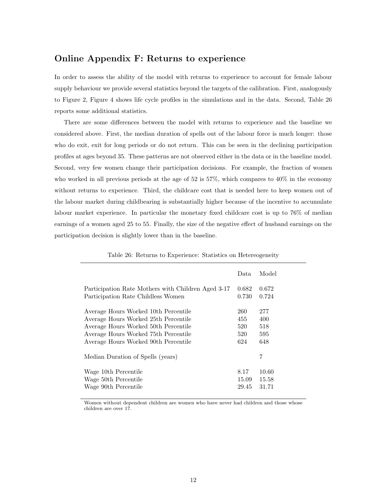## Online Appendix F: Returns to experience

In order to assess the ability of the model with returns to experience to account for female labour supply behaviour we provide several statistics beyond the targets of the calibration. First, analogously to Figure 2, Figure 4 shows life cycle profiles in the simulations and in the data. Second, Table 26 reports some additional statistics.

There are some differences between the model with returns to experience and the baseline we considered above. First, the median duration of spells out of the labour force is much longer: those who do exit, exit for long periods or do not return. This can be seen in the declining participation profiles at ages beyond 35. These patterns are not observed either in the data or in the baseline model. Second, very few women change their participation decisions. For example, the fraction of women who worked in all previous periods at the age of 52 is 57%, which compares to 40% in the economy without returns to experience. Third, the childcare cost that is needed here to keep women out of the labour market during childbearing is substantially higher because of the incentive to accumulate labour market experience. In particular the monetary fixed childcare cost is up to 76% of median earnings of a women aged 25 to 55. Finally, the size of the negative effect of husband earnings on the participation decision is slightly lower than in the baseline.

|                                                                                                                                                                                                      | Data                            | Model                           |
|------------------------------------------------------------------------------------------------------------------------------------------------------------------------------------------------------|---------------------------------|---------------------------------|
| Participation Rate Mothers with Children Aged 3-17<br>Participation Rate Childless Women                                                                                                             | 0.682<br>0.730                  | 0.672<br>0.724                  |
| Average Hours Worked 10th Percentile<br>Average Hours Worked 25th Percentile<br>Average Hours Worked 50th Percentile<br>Average Hours Worked 75th Percentile<br>Average Hours Worked 90th Percentile | 260<br>455<br>520<br>520<br>624 | 277<br>400<br>518<br>595<br>648 |
| Median Duration of Spells (years)                                                                                                                                                                    |                                 | 7                               |
| Wage 10th Percentile<br>Wage 50th Percentile<br>Wage 90th Percentile                                                                                                                                 | 8.17<br>15.09<br>29.45          | 10.60<br>15.58<br>31.71         |
|                                                                                                                                                                                                      |                                 |                                 |

Table 26: Returns to Experience: Statistics on Hetereogeneity

Women without dependent children are women who have never had children and those whose children are over 17.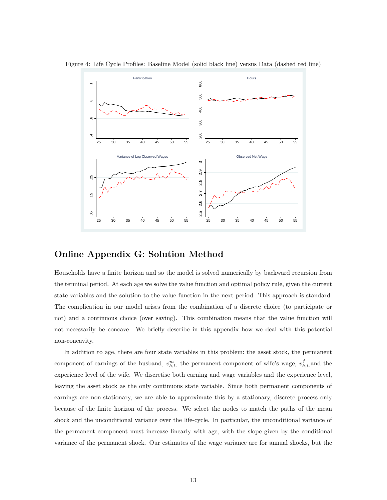

Figure 4: Life Cycle Profiles: Baseline Model (solid black line) versus Data (dashed red line)

## Online Appendix G: Solution Method

Households have a finite horizon and so the model is solved numerically by backward recursion from the terminal period. At each age we solve the value function and optimal policy rule, given the current state variables and the solution to the value function in the next period. This approach is standard. The complication in our model arises from the combination of a discrete choice (to participate or not) and a continuous choice (over saving). This combination means that the value function will not necessarily be concave. We briefly describe in this appendix how we deal with this potential non-concavity.

In addition to age, there are four state variables in this problem: the asset stock, the permanent component of earnings of the husband,  $v_{h,t}^m$ , the permanent component of wife's wage,  $v_{h,t}^f$ , and the experience level of the wife. We discretise both earning and wage variables and the experience level, leaving the asset stock as the only continuous state variable. Since both permanent components of earnings are non-stationary, we are able to approximate this by a stationary, discrete process only because of the finite horizon of the process. We select the nodes to match the paths of the mean shock and the unconditional variance over the life-cycle. In particular, the unconditional variance of the permanent component must increase linearly with age, with the slope given by the conditional variance of the permanent shock. Our estimates of the wage variance are for annual shocks, but the